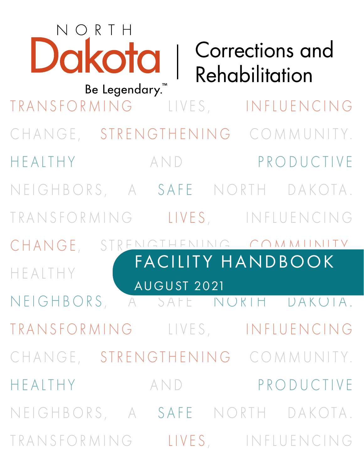| NORTH<br>Dakota  <br>Be Legendary.™ |             | <b>Corrections and</b><br>Rehabilitation |
|-------------------------------------|-------------|------------------------------------------|
| TRANSFORMING LIVES, INFLUENCING     |             |                                          |
| CHANGE, STRENGTHENING COMMUNITY.    |             |                                          |
| HEALTHY                             | AND         | PRODUCTIVE                               |
| NEIGHBORS, A SAFE NORTH DAKOTA.     |             |                                          |
| TRANSFORMING LIVES, INFLUENCING     |             |                                          |
| CHANGE,                             |             | STRENIGTHENING COMMUNITY                 |
| HFAITHY                             |             | FACILITY HANDBOOK                        |
| NEIGHBORS, A SAFE NURIH DAKUIA.     | AUGUST 2021 |                                          |
| TRANSFORMING LIVES, INFLUENCING     |             |                                          |
| CHANGE, STRENGTHENING COMMUNITY.    |             |                                          |
| HEALTHY AND PRODUCTIVE              |             |                                          |
| NEIGHBORS, A SAFE NORTH DAKOTA.     |             |                                          |
| TRANSFORMING LIVES, INFLUENCING     |             |                                          |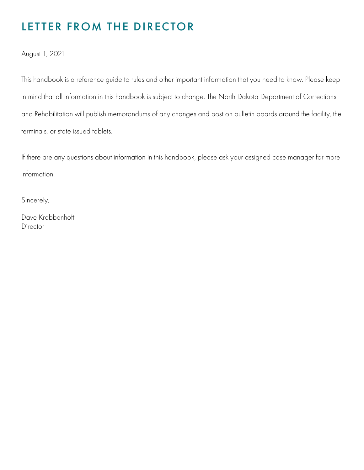# LETTER FROM THE DIRECTOR

August 1, 2021

This handbook is a reference guide to rules and other important information that you need to know. Please keep in mind that all information in this handbook is subject to change. The North Dakota Department of Corrections and Rehabilitation will publish memorandums of any changes and post on bulletin boards around the facility, the terminals, or state issued tablets.

If there are any questions about information in this handbook, please ask your assigned case manager for more information.

Sincerely,

Dave Krabbenhoft Director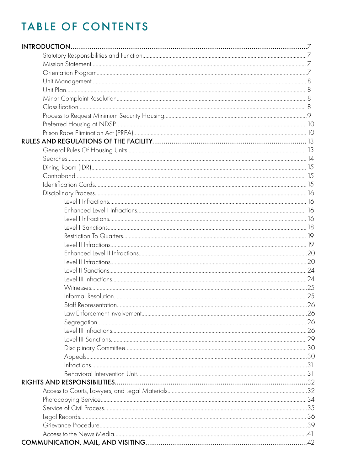| INTRODUCTION |  |
|--------------|--|
|              |  |
|              |  |
|              |  |
|              |  |
|              |  |
|              |  |
|              |  |
|              |  |
|              |  |
|              |  |
|              |  |
|              |  |
|              |  |
|              |  |
|              |  |
|              |  |
|              |  |
|              |  |
|              |  |
|              |  |
|              |  |
|              |  |
|              |  |
|              |  |
|              |  |
|              |  |
|              |  |
|              |  |
|              |  |
|              |  |
|              |  |
|              |  |
|              |  |
|              |  |
|              |  |
|              |  |
|              |  |
|              |  |
|              |  |
|              |  |
|              |  |
|              |  |
|              |  |
|              |  |
|              |  |
|              |  |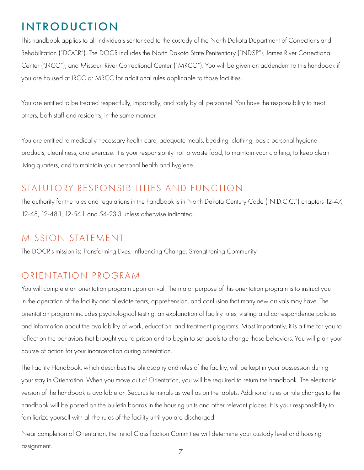# <span id="page-6-0"></span>INTRODUCTION

This handbook applies to all individuals sentenced to the custody of the North Dakota Department of Corrections and Rehabilitation ("DOCR"). The DOCR includes the North Dakota State Penitentiary ("NDSP"), James River Correctional Center ("JRCC"), and Missouri River Correctional Center ("MRCC"). You will be given an addendum to this handbook if you are housed at JRCC or MRCC for additional rules applicable to those facilities.

You are entitled to be treated respectfully, impartially, and fairly by all personnel. You have the responsibility to treat others, both staff and residents, in the same manner.

You are entitled to medically necessary health care, adequate meals, bedding, clothing, basic personal hygiene products, cleanliness, and exercise. It is your responsibility not to waste food, to maintain your clothing, to keep clean living quarters, and to maintain your personal health and hygiene.

# STATUTORY RESPONSIBILITIES AND FUNCTION

The authority for the rules and regulations in the handbook is in North Dakota Century Code ("N.D.C.C.") chapters 12-47, 12-48, 12-48.1, 12-54.1 and 54-23.3 unless otherwise indicated.

### MISSION STATEMENT

The DOCR's mission is: Transforming Lives. Influencing Change. Strengthening Community.

### ORIENTATION PROGRAM

You will complete an orientation program upon arrival. The major purpose of this orientation program is to instruct you in the operation of the facility and alleviate fears, apprehension, and confusion that many new arrivals may have. The orientation program includes psychological testing; an explanation of facility rules, visiting and correspondence policies; and information about the availability of work, education, and treatment programs. Most importantly, it is a time for you to reflect on the behaviors that brought you to prison and to begin to set goals to change those behaviors. You will plan your course of action for your incarceration during orientation.

The Facility Handbook, which describes the philosophy and rules of the facility, will be kept in your possession during your stay in Orientation. When you move out of Orientation, you will be required to return the handbook. The electronic version of the handbook is available on Securus terminals as well as on the tablets. Additional rules or rule changes to the handbook will be posted on the bulletin boards in the housing units and other relevant places. It is your responsibility to familiarize yourself with all the rules of the facility until you are discharged.

Near completion of Orientation, the Initial Classification Committee will determine your custody level and housing assignment. 7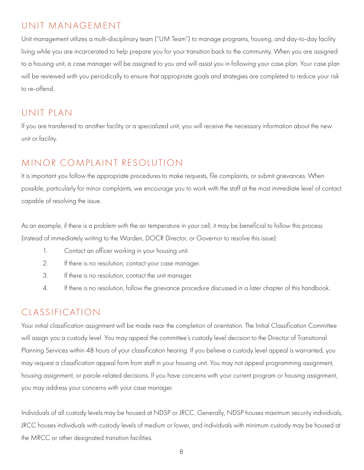### <span id="page-7-0"></span>UNIT MANAGEMENT

Unit management utilizes a multi-disciplinary team ("UM Team") to manage programs, housing, and day-to-day facility living while you are incarcerated to help prepare you for your transition back to the community. When you are assigned to a housing unit, a case manager will be assigned to you and will assist you in following your case plan. Your case plan will be reviewed with you periodically to ensure that appropriate goals and strategies are completed to reduce your risk to re-offend.

### UNIT PLAN

If you are transferred to another facility or a specialized unit, you will receive the necessary information about the new unit or facility.

# MINOR COMPLAINT RESOLUTION

It is important you follow the appropriate procedures to make requests, file complaints, or submit grievances. When possible, particularly for minor complaints, we encourage you to work with the staff at the most immediate level of contact capable of resolving the issue.

As an example, if there is a problem with the air temperature in your cell, it may be beneficial to follow this process (instead of immediately writing to the Warden, DOCR Director, or Governor to resolve this issue):

- 1. Contact an officer working in your housing unit.
- 2. If there is no resolution, contact your case manager.
- 3. If there is no resolution, contact the unit manager.
- 4. If there is no resolution, follow the grievance procedure discussed in a later chapter of this handbook.

# CLASSIFICATION

Your initial classification assignment will be made near the completion of orientation. The Initial Classification Committee will assign you a custody level. You may appeal the committee's custody level decision to the Director of Transitional Planning Services within 48 hours of your classification hearing. If you believe a custody level appeal is warranted, you may request a classification appeal form from staff in your housing unit. You may not appeal programming assignment, housing assignment, or parole-related decisions. If you have concerns with your current program or housing assignment, you may address your concerns with your case manager.

Individuals of all custody levels may be housed at NDSP or JRCC. Generally, NDSP houses maximum security individuals, JRCC houses individuals with custody levels of medium or lower, and individuals with minimum custody may be housed at the MRCC or other designated transition facilities.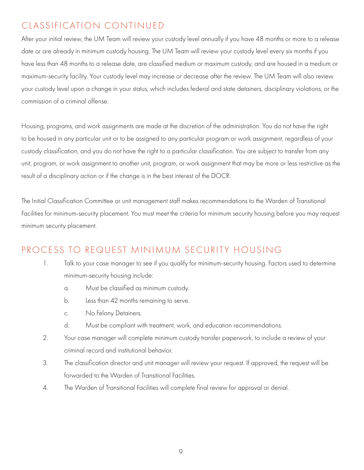# <span id="page-8-0"></span>CLASSIFICATION CONTINUED

After your initial review, the UM Team will review your custody level annually if you have 48 months or more to a release date or are already in minimum custody housing. The UM Team will review your custody level every six months if you have less than 48 months to a release date, are classified medium or maximum custody, and are housed in a medium or maximum-security facility. Your custody level may increase or decrease after the review. The UM Team will also review your custody level upon a change in your status, which includes federal and state detainers, disciplinary violations, or the commission of a criminal offense.

Housing, programs, and work assignments are made at the discretion of the administration. You do not have the right to be housed in any particular unit or to be assigned to any particular program or work assignment, regardless of your custody classification, and you do not have the right to a particular classification. You are subject to transfer from any unit, program, or work assignment to another unit, program, or work assignment that may be more or less restrictive as the result of a disciplinary action or if the change is in the best interest of the DOCR.

The Initial Classification Committee or unit management staff makes recommendations to the Warden of Transitional Facilities for minimum-security placement. You must meet the criteria for minimum security housing before you may request minimum security placement.

### PROCESS TO REQUEST MINIMUM SECURITY HOUSING

- 1. Talk to your case manager to see if you qualify for minimum-security housing. Factors used to determine minimum-security housing include:
	- a. Must be classified as minimum custody.
	- b. Less than 42 months remaining to serve.
	- c. No Felony Detainers.
	- d. Must be compliant with treatment, work, and education recommendations.
- 2. Your case manager will complete minimum custody transfer paperwork, to include a review of your criminal record and institutional behavior.
- 3. The classification director and unit manager will review your request. If approved, the request will be forwarded to the Warden of Transitional Facilities.
- 4. The Warden of Transitional Facilities will complete final review for approval or denial.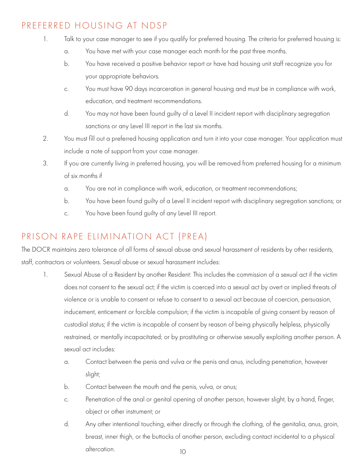## <span id="page-9-0"></span>PREFERRED HOUSING AT NDSP

- 1. Talk to your case manager to see if you qualify for preferred housing. The criteria for preferred housing is:
	- a. You have met with your case manager each month for the past three months.
	- b. You have received a positive behavior report or have had housing unit staff recognize you for your appropriate behaviors.
	- c. You must have 90 days incarceration in general housing and must be in compliance with work, education, and treatment recommendations.
	- d. You may not have been found guilty of a Level II incident report with disciplinary segregation sanctions or any Level III report in the last six months.
- 2. You must fill out a preferred housing application and turn it into your case manager. Your application must include a note of support from your case manager.
- 3. If you are currently living in preferred housing, you will be removed from preferred housing for a minimum of six months if
	- a. You are not in compliance with work, education, or treatment recommendations;
	- b. You have been found guilty of a Level II incident report with disciplinary segregation sanctions; or
	- c. You have been found guilty of any Level III report.

# PRISON RAPE ELIMINATION ACT (PREA)

The DOCR maintains zero tolerance of all forms of sexual abuse and sexual harassment of residents by other residents, staff, contractors or volunteers. Sexual abuse or sexual harassment includes:

- 1. Sexual Abuse of a Resident by another Resident: This includes the commission of a sexual act if the victim does not consent to the sexual act; if the victim is coerced into a sexual act by overt or implied threats of violence or is unable to consent or refuse to consent to a sexual act because of coercion, persuasion, inducement, enticement or forcible compulsion; if the victim is incapable of giving consent by reason of custodial status; if the victim is incapable of consent by reason of being physically helpless, physically restrained, or mentally incapacitated; or by prostituting or otherwise sexually exploiting another person. A sexual act includes:
	- a. Contact between the penis and vulva or the penis and anus, including penetration, however slight;
	- b. Contact between the mouth and the penis, vulva, or anus;
	- c. Penetration of the anal or genital opening of another person, however slight, by a hand, finger, object or other instrument; or
- d. Any other intentional touching, either directly or through the clothing, of the genitalia, anus, groin, breast, inner thigh, or the buttocks of another person, excluding contact incidental to a physical dercation.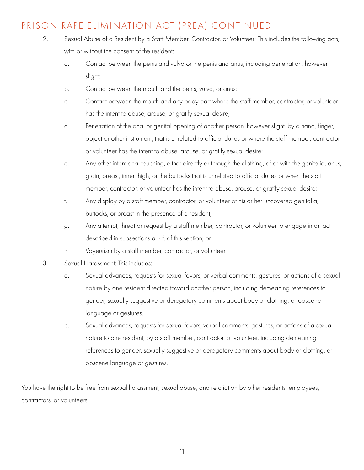## PRISON RAPE ELIMINATION ACT (PREA) CONTINUED

- 2. Sexual Abuse of a Resident by a Staff Member, Contractor, or Volunteer: This includes the following acts, with or without the consent of the resident:
	- a. Contact between the penis and vulva or the penis and anus, including penetration, however slight;
	- b. Contact between the mouth and the penis, vulva, or anus;
	- c. Contact between the mouth and any body part where the staff member, contractor, or volunteer has the intent to abuse, arouse, or gratify sexual desire;
	- d. Penetration of the anal or genital opening of another person, however slight, by a hand, finger, object or other instrument, that is unrelated to official duties or where the staff member, contractor, or volunteer has the intent to abuse, arouse, or gratify sexual desire;
	- e. Any other intentional touching, either directly or through the clothing, of or with the genitalia, anus, groin, breast, inner thigh, or the buttocks that is unrelated to official duties or when the staff member, contractor, or volunteer has the intent to abuse, arouse, or gratify sexual desire;
	- f. Any display by a staff member, contractor, or volunteer of his or her uncovered genitalia, buttocks, or breast in the presence of a resident;
	- g. Any attempt, threat or request by a staff member, contractor, or volunteer to engage in an act described in subsections a. - f. of this section; or
	- h. Voyeurism by a staff member, contractor, or volunteer.
- 3. Sexual Harassment: This includes:
	- a. Sexual advances, requests for sexual favors, or verbal comments, gestures, or actions of a sexual nature by one resident directed toward another person, including demeaning references to gender, sexually suggestive or derogatory comments about body or clothing, or obscene language or gestures.
	- b. Sexual advances, requests for sexual favors, verbal comments, gestures, or actions of a sexual nature to one resident, by a staff member, contractor, or volunteer, including demeaning references to gender, sexually suggestive or derogatory comments about body or clothing, or obscene language or gestures.

You have the right to be free from sexual harassment, sexual abuse, and retaliation by other residents, employees, contractors, or volunteers.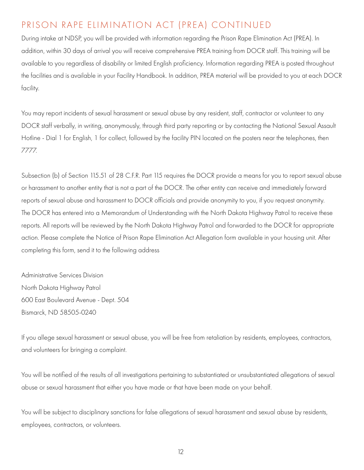## PRISON RAPE ELIMINATION ACT (PREA) CONTINUED

During intake at NDSP, you will be provided with information regarding the Prison Rape Elimination Act (PREA). In addition, within 30 days of arrival you will receive comprehensive PREA training from DOCR staff. This training will be available to you regardless of disability or limited English proficiency. Information regarding PREA is posted throughout the facilities and is available in your Facility Handbook. In addition, PREA material will be provided to you at each DOCR facility.

You may report incidents of sexual harassment or sexual abuse by any resident, staff, contractor or volunteer to any DOCR staff verbally, in writing, anonymously, through third party reporting or by contacting the National Sexual Assault Hotline - Dial 1 for English, 1 for collect, followed by the facility PIN located on the posters near the telephones, then 7777.

Subsection (b) of Section 115.51 of 28 C.F.R. Part 115 requires the DOCR provide a means for you to report sexual abuse or harassment to another entity that is not a part of the DOCR. The other entity can receive and immediately forward reports of sexual abuse and harassment to DOCR officials and provide anonymity to you, if you request anonymity. The DOCR has entered into a Memorandum of Understanding with the North Dakota Highway Patrol to receive these reports. All reports will be reviewed by the North Dakota Highway Patrol and forwarded to the DOCR for appropriate action. Please complete the Notice of Prison Rape Elimination Act Allegation form available in your housing unit. After completing this form, send it to the following address

Administrative Services Division North Dakota Highway Patrol 600 East Boulevard Avenue - Dept. 504 Bismarck, ND 58505-0240

If you allege sexual harassment or sexual abuse, you will be free from retaliation by residents, employees, contractors, and volunteers for bringing a complaint.

You will be notified of the results of all investigations pertaining to substantiated or unsubstantiated allegations of sexual abuse or sexual harassment that either you have made or that have been made on your behalf.

You will be subject to disciplinary sanctions for false allegations of sexual harassment and sexual abuse by residents, employees, contractors, or volunteers.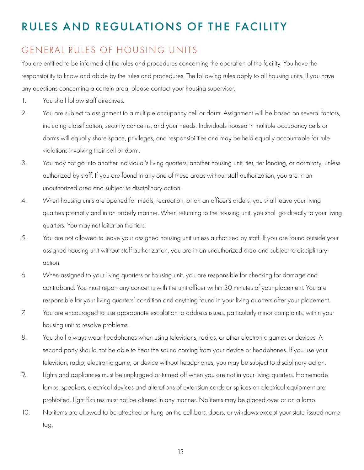# <span id="page-12-0"></span>RULES AND REGULATIONS OF THE FACILITY

### GENERAL RULES OF HOUSING UNITS

You are entitled to be informed of the rules and procedures concerning the operation of the facility. You have the responsibility to know and abide by the rules and procedures. The following rules apply to all housing units. If you have any questions concerning a certain area, please contact your housing supervisor.

- 1. You shall follow staff directives.
- 2. You are subject to assignment to a multiple occupancy cell or dorm. Assignment will be based on several factors, including classification, security concerns, and your needs. Individuals housed in multiple occupancy cells or dorms will equally share space, privileges, and responsibilities and may be held equally accountable for rule violations involving their cell or dorm.
- 3. You may not go into another individual's living quarters, another housing unit, tier, tier landing, or dormitory, unless authorized by staff. If you are found in any one of these areas without staff authorization, you are in an unauthorized area and subject to disciplinary action.
- 4. When housing units are opened for meals, recreation, or on an officer's orders, you shall leave your living quarters promptly and in an orderly manner. When returning to the housing unit, you shall go directly to your living quarters. You may not loiter on the tiers.
- 5. You are not allowed to leave your assigned housing unit unless authorized by staff. If you are found outside your assigned housing unit without staff authorization, you are in an unauthorized area and subject to disciplinary action.
- 6. When assigned to your living quarters or housing unit, you are responsible for checking for damage and contraband. You must report any concerns with the unit officer within 30 minutes of your placement. You are responsible for your living quarters' condition and anything found in your living quarters after your placement.
- 7. You are encouraged to use appropriate escalation to address issues, particularly minor complaints, within your housing unit to resolve problems.
- 8. You shall always wear headphones when using televisions, radios, or other electronic games or devices. A second party should not be able to hear the sound coming from your device or headphones. If you use your television, radio, electronic game, or device without headphones, you may be subject to disciplinary action.
- 9. Lights and appliances must be unplugged or turned off when you are not in your living quarters. Homemade lamps, speakers, electrical devices and alterations of extension cords or splices on electrical equipment are prohibited. Light fixtures must not be altered in any manner. No items may be placed over or on a lamp.
- 10. No items are allowed to be attached or hung on the cell bars, doors, or windows except your state-issued name tag.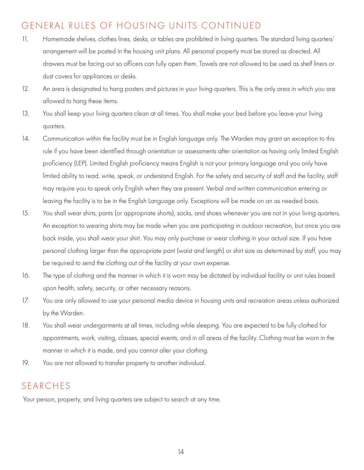## <span id="page-13-0"></span>GENERAL RULES OF HOUSING UNITS CONTINUED

- 11. Homemade shelves, clothes lines, desks, or tables are prohibited in living quarters. The standard living quarters' arrangement will be posted in the housing unit plans. All personal property must be stored as directed. All drawers must be facing out so officers can fully open them. Towels are not allowed to be used as shelf liners or dust covers for appliances or desks.
- 12. An area is designated to hang posters and pictures in your living quarters. This is the only area in which you are allowed to hang these items.
- 13. You shall keep your living quarters clean at all times. You shall make your bed before you leave your living quarters.
- 14. Communication within the facility must be in English language only. The Warden may grant an exception to this rule if you have been identified through orientation or assessments after orientation as having only limited English proficiency (LEP). Limited English proficiency means English is not your primary language and you only have limited ability to read, write, speak, or understand English. For the safety and security of staff and the facility, staff may require you to speak only English when they are present. Verbal and written communication entering or leaving the facility is to be in the English Language only. Exceptions will be made on an as needed basis.
- 15. You shall wear shirts, pants (or appropriate shorts), socks, and shoes whenever you are not in your living quarters. An exception to wearing shirts may be made when you are participating in outdoor recreation, but once you are back inside, you shall wear your shirt. You may only purchase or wear clothing in your actual size. If you have personal clothing larger than the appropriate pant (waist and length) or shirt size as determined by staff, you may be required to send the clothing out of the facility at your own expense.
- 16. The type of clothing and the manner in which it is worn may be dictated by individual facility or unit rules based upon health, safety, security, or other necessary reasons.
- 17. You are only allowed to use your personal media device in housing units and recreation areas unless authorized by the Warden.
- 18. You shall wear undergarments at all times, including while sleeping. You are expected to be fully clothed for appointments, work, visiting, classes, special events, and in all areas of the facility. Clothing must be worn in the manner in which it is made, and you cannot alter your clothing.
- 19. You are not allowed to transfer property to another individual.

### SEARCHES

Your person, property, and living quarters are subject to search at any time.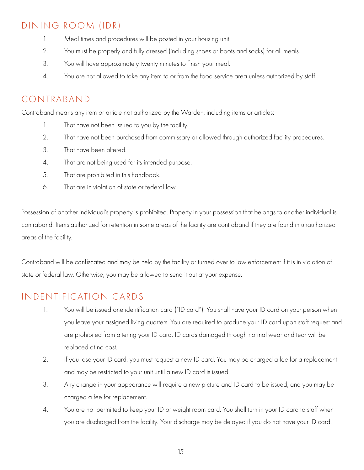# <span id="page-14-0"></span>DINING ROOM (IDR)

- 1. Meal times and procedures will be posted in your housing unit.
- 2. You must be properly and fully dressed (including shoes or boots and socks) for all meals.
- 3. You will have approximately twenty minutes to finish your meal.
- 4. You are not allowed to take any item to or from the food service area unless authorized by staff.

## CONTRABAND

Contraband means any item or article not authorized by the Warden, including items or articles:

- 1. That have not been issued to you by the facility.
- 2. That have not been purchased from commissary or allowed through authorized facility procedures.
- 3. That have been altered.
- 4. That are not being used for its intended purpose.
- 5. That are prohibited in this handbook.
- 6. That are in violation of state or federal law.

Possession of another individual's property is prohibited. Property in your possession that belongs to another individual is contraband. Items authorized for retention in some areas of the facility are contraband if they are found in unauthorized areas of the facility.

Contraband will be confiscated and may be held by the facility or turned over to law enforcement if it is in violation of state or federal law. Otherwise, you may be allowed to send it out at your expense.

### INDENTIFICATION CARDS

- 1. You will be issued one identification card ("ID card"). You shall have your ID card on your person when you leave your assigned living quarters. You are required to produce your ID card upon staff request and are prohibited from altering your ID card. ID cards damaged through normal wear and tear will be replaced at no cost.
- 2. If you lose your ID card, you must request a new ID card. You may be charged a fee for a replacement and may be restricted to your unit until a new ID card is issued.
- 3. Any change in your appearance will require a new picture and ID card to be issued, and you may be charged a fee for replacement.
- 4. You are not permitted to keep your ID or weight room card. You shall turn in your ID card to staff when you are discharged from the facility. Your discharge may be delayed if you do not have your ID card.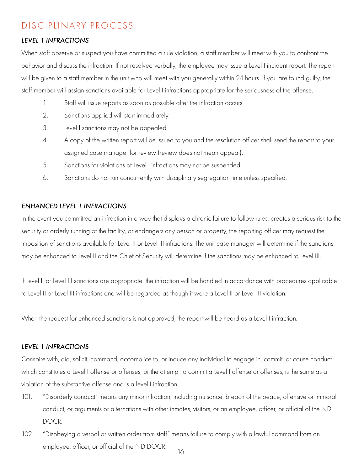### <span id="page-15-0"></span>DISCIPLINARY PROCESS

#### *LEVEL 1 INFRACTIONS*

When staff observe or suspect you have committed a rule violation, a staff member will meet with you to confront the behavior and discuss the infraction. If not resolved verbally, the employee may issue a Level I incident report. The report will be given to a staff member in the unit who will meet with you generally within 24 hours. If you are found guilty, the staff member will assign sanctions available for Level I infractions appropriate for the seriousness of the offense.

- 1. Staff will issue reports as soon as possible after the infraction occurs.
- 2. Sanctions applied will start immediately.
- 3. Level I sanctions may not be appealed.
- 4. A copy of the written report will be issued to you and the resolution officer shall send the report to your assigned case manager for review (review does not mean appeal).
- 5. Sanctions for violations of Level I infractions may not be suspended.
- 6. Sanctions do not run concurrently with disciplinary segregation time unless specified.

#### *ENHANCED LEVEL 1 INFRACTIONS*

In the event you committed an infraction in a way that displays a chronic failure to follow rules, creates a serious risk to the security or orderly running of the facility, or endangers any person or property, the reporting officer may request the imposition of sanctions available for Level II or Level III infractions. The unit case manager will determine if the sanctions may be enhanced to Level II and the Chief of Security will determine if the sanctions may be enhanced to Level III.

If Level II or Level III sanctions are appropriate, the infraction will be handled in accordance with procedures applicable to Level II or Level III infractions and will be regarded as though it were a Level II or Level III violation.

When the request for enhanced sanctions is not approved, the report will be heard as a Level I infraction.

#### *LEVEL 1 INFRACTIONS*

Conspire with, aid, solicit, command, accomplice to, or induce any individual to engage in, commit, or cause conduct which constitutes a Level I offense or offenses, or the attempt to commit a Level I offense or offenses, is the same as a violation of the substantive offense and is a level I infraction.

- 101. "Disorderly conduct" means any minor infraction, including nuisance, breach of the peace, offensive or immoral conduct, or arguments or altercations with other inmates, visitors, or an employee, officer, or official of the ND DOCR.
- 102. "Disobeying a verbal or written order from staff" means failure to comply with a lawful command from an employee, officer, or official of the ND DOCR.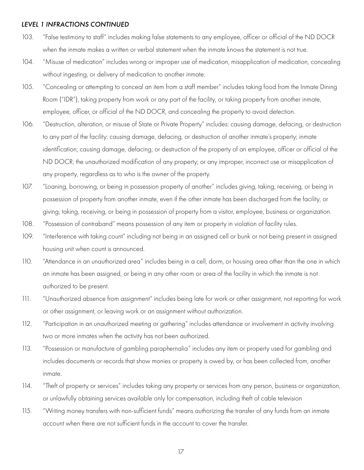- 103. "False testimony to staff" includes making false statements to any employee, officer or official of the ND DOCR when the inmate makes a written or verbal statement when the inmate knows the statement is not true.
- 104. "Misuse of medication" includes wrong or improper use of medication, misapplication of medication, concealing without ingesting, or delivery of medication to another inmate.
- 105. "Concealing or attempting to conceal an item from a staff member" includes taking food from the Inmate Dining Room ("IDR"), taking property from work or any part of the facility, or taking property from another inmate, employee, officer, or official of the ND DOCR, and concealing the property to avoid detection.
- 106. "Destruction, alteration, or misuse of State or Private Property" includes: causing damage, defacing, or destruction to any part of the facility: causing damage, defacing, or destruction of another inmate's property; inmate identification; causing damage, defacing, or destruction of the property of an employee, officer or official of the ND DOCR; the unauthorized modification of any property; or any improper, incorrect use or misapplication of any property, regardless as to who is the owner of the property.
- 107. "Loaning, borrowing, or being in possession property of another" includes giving, taking, receiving, or being in possession of property from another inmate, even if the other inmate has been discharged from the facility, or giving, taking, receiving, or being in possession of property from a visitor, employee, business or organization.
- 108. "Possession of contraband" means possession of any item or property in violation of facility rules.
- 109. "Interference with taking count" including not being in an assigned cell or bunk or not being present in assigned housing unit when count is announced.
- 110. "Attendance in an unauthorized area" includes being in a cell, dorm, or housing area other than the one in which an inmate has been assigned, or being in any other room or area of the facility in which the inmate is not authorized to be present.
- 111. "Unauthorized absence from assignment" includes being late for work or other assignment, not reporting for work or other assignment, or leaving work or an assignment without authorization.
- 112. "Participation in an unauthorized meeting or gathering" includes attendance or involvement in activity involving two or more inmates when the activity has not been authorized.
- 113. "Possession or manufacture of gambling paraphernalia" includes any item or property used for gambling and includes documents or records that show monies or property is owed by, or has been collected from, another inmate.
- 114. "Theft of property or services" includes taking any property or services from any person, business or organization, or unlawfully obtaining services available only for compensation, including theft of cable television
- 115. "Writing money transfers with non-sufficient funds" means authorizing the transfer of any funds from an inmate account when there are not sufficient funds in the account to cover the transfer.

17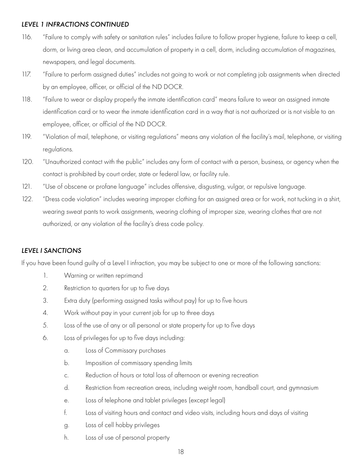- <span id="page-17-0"></span>116. "Failure to comply with safety or sanitation rules" includes failure to follow proper hygiene, failure to keep a cell, dorm, or living area clean, and accumulation of property in a cell, dorm, including accumulation of magazines, newspapers, and legal documents.
- 117. "Failure to perform assigned duties" includes not going to work or not completing job assignments when directed by an employee, officer, or official of the ND DOCR.
- 118. "Failure to wear or display properly the inmate identification card" means failure to wear an assigned inmate identification card or to wear the inmate identification card in a way that is not authorized or is not visible to an employee, officer, or official of the ND DOCR.
- 119. "Violation of mail, telephone, or visiting regulations" means any violation of the facility's mail, telephone, or visiting regulations.
- 120. "Unauthorized contact with the public" includes any form of contact with a person, business, or agency when the contact is prohibited by court order, state or federal law, or facility rule.
- 121. "Use of obscene or profane language" includes offensive, disgusting, vulgar, or repulsive language.
- 122. "Dress code violation" includes wearing improper clothing for an assigned area or for work, not tucking in a shirt, wearing sweat pants to work assignments, wearing clothing of improper size, wearing clothes that are not authorized, or any violation of the facility's dress code policy.

#### *LEVEL I SANCTIONS*

If you have been found guilty of a Level I infraction, you may be subject to one or more of the following sanctions:

- 1. Warning or written reprimand
- 2. Restriction to quarters for up to five days
- 3. Extra duty (performing assigned tasks without pay) for up to five hours
- 4. Work without pay in your current job for up to three days
- 5. Loss of the use of any or all personal or state property for up to five days
- 6. Loss of privileges for up to five days including:
	- a. Loss of Commissary purchases
	- b. Imposition of commissary spending limits
	- c. Reduction of hours or total loss of afternoon or evening recreation
	- d. Restriction from recreation areas, including weight room, handball court, and gymnasium
	- e. Loss of telephone and tablet privileges (except legal)
	- f. Loss of visiting hours and contact and video visits, including hours and days of visiting
	- g. Loss of cell hobby privileges
	- h. Loss of use of personal property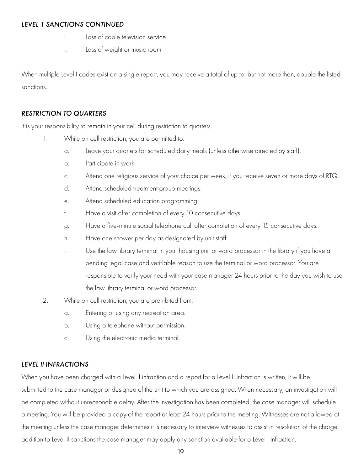#### <span id="page-18-0"></span>*LEVEL 1 SANCTIONS CONTINUED*

- i. Loss of cable television service
- j. Loss of weight or music room

When multiple Level I codes exist on a single report, you may receive a total of up to, but not more than, double the listed sanctions.

#### *RESTRICTION TO QUARTERS*

It is your responsibility to remain in your cell during restriction to quarters.

- 1. While on cell restriction, you are permitted to:
	- a. Leave your quarters for scheduled daily meals (unless otherwise directed by staff).
	- b. Participate in work.
	- c. Attend one religious service of your choice per week, if you receive seven or more days of RTQ.
	- d. Attend scheduled treatment group meetings.
	- e. Attend scheduled education programming.
	- f. Have a visit after completion of every 10 consecutive days.
	- g. Have a five-minute social telephone call after completion of every 15 consecutive days.
	- h. Have one shower per day as designated by unit staff.
	- i. Use the law library terminal in your housing unit or word processor in the library if you have a pending legal case and verifiable reason to use the terminal or word processor. You are responsible to verify your need with your case manager 24 hours prior to the day you wish to use the law library terminal or word processor.
- 2. While on cell restriction, you are prohibited from:
	- a. Entering or using any recreation area.
	- b. Using a telephone without permission.
	- c. Using the electronic media terminal.

#### *LEVEL II INFRACTIONS*

When you have been charged with a Level II infraction and a report for a Level II infraction is written, it will be submitted to the case manager or designee of the unit to which you are assigned. When necessary, an investigation will be completed without unreasonable delay. After the investigation has been completed, the case manager will schedule a meeting. You will be provided a copy of the report at least 24 hours prior to the meeting. Witnesses are not allowed at the meeting unless the case manager determines it is necessary to interview witnesses to assist in resolution of the charge. addition to Level II sanctions the case manager may apply any sanction available for a Level I infraction.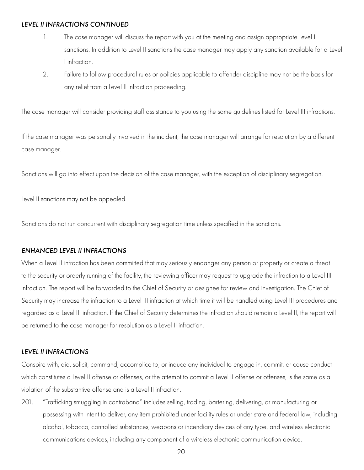- <span id="page-19-0"></span>1. The case manager will discuss the report with you at the meeting and assign appropriate Level II sanctions. In addition to Level II sanctions the case manager may apply any sanction available for a Level I infraction.
- 2. Failure to follow procedural rules or policies applicable to offender discipline may not be the basis for any relief from a Level II infraction proceeding.

The case manager will consider providing staff assistance to you using the same guidelines listed for Level III infractions.

If the case manager was personally involved in the incident, the case manager will arrange for resolution by a different case manager.

Sanctions will go into effect upon the decision of the case manager, with the exception of disciplinary segregation.

Level II sanctions may not be appealed.

Sanctions do not run concurrent with disciplinary segregation time unless specified in the sanctions.

#### *ENHANCED LEVEL II INFRACTIONS*

When a Level II infraction has been committed that may seriously endanger any person or property or create a threat to the security or orderly running of the facility, the reviewing officer may request to upgrade the infraction to a Level III infraction. The report will be forwarded to the Chief of Security or designee for review and investigation. The Chief of Security may increase the infraction to a Level III infraction at which time it will be handled using Level III procedures and regarded as a Level III infraction. If the Chief of Security determines the infraction should remain a Level II, the report will be returned to the case manager for resolution as a Level II infraction.

#### *LEVEL II INFRACTIONS*

Conspire with, aid, solicit, command, accomplice to, or induce any individual to engage in, commit, or cause conduct which constitutes a Level II offense or offenses, or the attempt to commit a Level II offense or offenses, is the same as a violation of the substantive offense and is a Level II infraction.

201. "Trafficking smuggling in contraband" includes selling, trading, bartering, delivering, or manufacturing or possessing with intent to deliver, any item prohibited under facility rules or under state and federal law, including alcohol, tobacco, controlled substances, weapons or incendiary devices of any type, and wireless electronic communications devices, including any component of a wireless electronic communication device.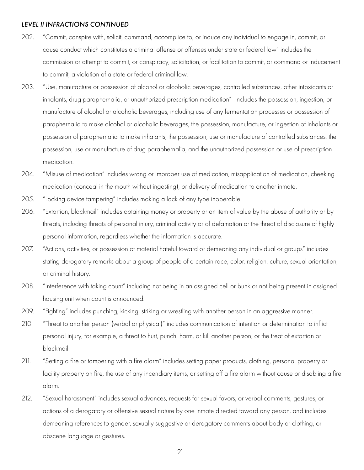- 202. "Commit, conspire with, solicit, command, accomplice to, or induce any individual to engage in, commit, or cause conduct which constitutes a criminal offense or offenses under state or federal law" includes the commission or attempt to commit, or conspiracy, solicitation, or facilitation to commit, or command or inducement to commit, a violation of a state or federal criminal law.
- 203. "Use, manufacture or possession of alcohol or alcoholic beverages, controlled substances, other intoxicants or inhalants, drug paraphernalia, or unauthorized prescription medication" includes the possession, ingestion, or manufacture of alcohol or alcoholic beverages, including use of any fermentation processes or possession of paraphernalia to make alcohol or alcoholic beverages, the possession, manufacture, or ingestion of inhalants or possession of paraphernalia to make inhalants, the possession, use or manufacture of controlled substances, the possession, use or manufacture of drug paraphernalia, and the unauthorized possession or use of prescription medication.
- 204. "Misuse of medication" includes wrong or improper use of medication, misapplication of medication, cheeking medication (conceal in the mouth without ingesting), or delivery of medication to another inmate.
- 205. "Locking device tampering" includes making a lock of any type inoperable.
- 206. "Extortion, blackmail" includes obtaining money or property or an item of value by the abuse of authority or by threats, including threats of personal injury, criminal activity or of defamation or the threat of disclosure of highly personal information, regardless whether the information is accurate.
- 207. "Actions, activities, or possession of material hateful toward or demeaning any individual or groups" includes stating derogatory remarks about a group of people of a certain race, color, religion, culture, sexual orientation, or criminal history.
- 208. "Interference with taking count" including not being in an assigned cell or bunk or not being present in assigned housing unit when count is announced.
- 209. "Fighting" includes punching, kicking, striking or wrestling with another person in an aggressive manner.
- 210. "Threat to another person (verbal or physical)" includes communication of intention or determination to inflict personal injury, for example, a threat to hurt, punch, harm, or kill another person, or the treat of extortion or blackmail.
- 211. "Setting a fire or tampering with a fire alarm" includes setting paper products, clothing, personal property or facility property on fire, the use of any incendiary items, or setting off a fire alarm without cause or disabling a fire alarm.
- 212. "Sexual harassment" includes sexual advances, requests for sexual favors, or verbal comments, gestures, or actions of a derogatory or offensive sexual nature by one inmate directed toward any person, and includes demeaning references to gender, sexually suggestive or derogatory comments about body or clothing, or obscene language or gestures.

21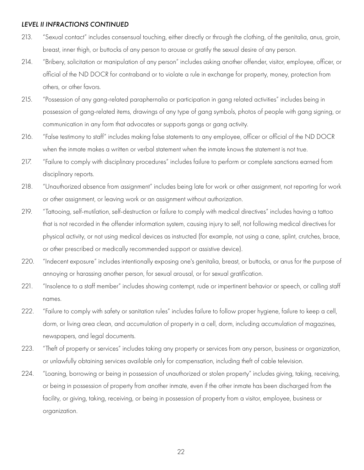- 213. "Sexual contact" includes consensual touching, either directly or through the clothing, of the genitalia, anus, groin, breast, inner thigh, or buttocks of any person to arouse or gratify the sexual desire of any person.
- 214. "Bribery, solicitation or manipulation of any person" includes asking another offender, visitor, employee, officer, or official of the ND DOCR for contraband or to violate a rule in exchange for property, money, protection from others, or other favors.
- 215. "Possession of any gang-related paraphernalia or participation in gang related activities" includes being in possession of gang-related items, drawings of any type of gang symbols, photos of people with gang signing, or communication in any form that advocates or supports gangs or gang activity.
- 216. "False testimony to staff" includes making false statements to any employee, officer or official of the ND DOCR when the inmate makes a written or verbal statement when the inmate knows the statement is not true.
- 217. "Failure to comply with disciplinary procedures" includes failure to perform or complete sanctions earned from disciplinary reports.
- 218. "Unauthorized absence from assignment" includes being late for work or other assignment, not reporting for work or other assignment, or leaving work or an assignment without authorization.
- 219. "Tattooing, self-mutilation, self-destruction or failure to comply with medical directives" includes having a tattoo that is not recorded in the offender information system, causing injury to self, not following medical directives for physical activity, or not using medical devices as instructed (for example, not using a cane, splint, crutches, brace, or other prescribed or medically recommended support or assistive device).
- 220. "Indecent exposure" includes intentionally exposing one's genitalia, breast, or buttocks, or anus for the purpose of annoying or harassing another person, for sexual arousal, or for sexual gratification.
- 221. "Insolence to a staff member" includes showing contempt, rude or impertinent behavior or speech, or calling staff names.
- 222. "Failure to comply with safety or sanitation rules" includes failure to follow proper hygiene, failure to keep a cell, dorm, or living area clean, and accumulation of property in a cell, dorm, including accumulation of magazines, newspapers, and legal documents.
- 223. "Theft of property or services" includes taking any property or services from any person, business or organization, or unlawfully obtaining services available only for compensation, including theft of cable television.
- 224. "Loaning, borrowing or being in possession of unauthorized or stolen property" includes giving, taking, receiving, or being in possession of property from another inmate, even if the other inmate has been discharged from the facility, or giving, taking, receiving, or being in possession of property from a visitor, employee, business or organization.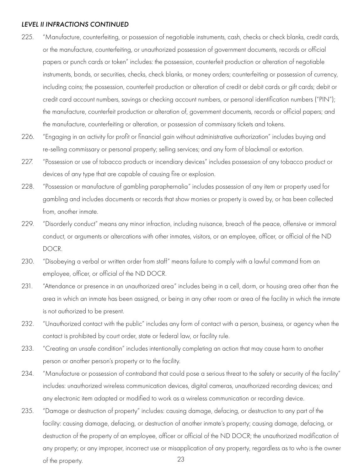- 225. "Manufacture, counterfeiting, or possession of negotiable instruments, cash, checks or check blanks, credit cards, or the manufacture, counterfeiting, or unauthorized possession of government documents, records or official papers or punch cards or token" includes: the possession, counterfeit production or alteration of negotiable instruments, bonds, or securities, checks, check blanks, or money orders; counterfeiting or possession of currency, including coins; the possession, counterfeit production or alteration of credit or debit cards or gift cards; debit or credit card account numbers, savings or checking account numbers, or personal identification numbers ("PIN"); the manufacture, counterfeit production or alteration of, government documents, records or official papers; and the manufacture, counterfeiting or alteration, or possession of commissary tickets and tokens.
- 226. "Engaging in an activity for profit or financial gain without administrative authorization" includes buying and re-selling commissary or personal property; selling services; and any form of blackmail or extortion.
- 227. "Possession or use of tobacco products or incendiary devices" includes possession of any tobacco product or devices of any type that are capable of causing fire or explosion.
- 228. "Possession or manufacture of gambling paraphernalia" includes possession of any item or property used for gambling and includes documents or records that show monies or property is owed by, or has been collected from, another inmate.
- 229. "Disorderly conduct" means any minor infraction, including nuisance, breach of the peace, offensive or immoral conduct, or arguments or altercations with other inmates, visitors, or an employee, officer, or official of the ND DOCR.
- 230. "Disobeying a verbal or written order from staff" means failure to comply with a lawful command from an employee, officer, or official of the ND DOCR.
- 231. "Attendance or presence in an unauthorized area" includes being in a cell, dorm, or housing area other than the area in which an inmate has been assigned, or being in any other room or area of the facility in which the inmate is not authorized to be present.
- 232. "Unauthorized contact with the public" includes any form of contact with a person, business, or agency when the contact is prohibited by court order, state or federal law, or facility rule.
- 233. "Creating an unsafe condition" includes intentionally completing an action that may cause harm to another person or another person's property or to the facility.
- 234. "Manufacture or possession of contraband that could pose a serious threat to the safety or security of the facility" includes: unauthorized wireless communication devices, digital cameras, unauthorized recording devices; and any electronic item adapted or modified to work as a wireless communication or recording device.
- 23 235. "Damage or destruction of property" includes: causing damage, defacing, or destruction to any part of the facility: causing damage, defacing, or destruction of another inmate's property; causing damage, defacing, or destruction of the property of an employee, officer or official of the ND DOCR; the unauthorized modification of any property; or any improper, incorrect use or misapplication of any property, regardless as to who is the owner of the property.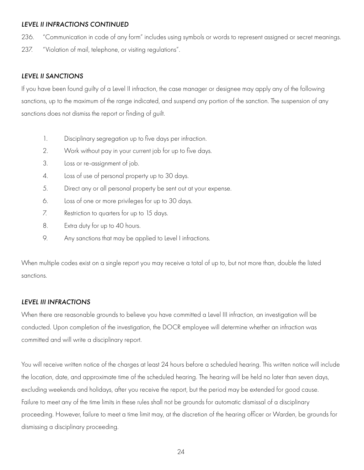- <span id="page-23-0"></span>236. "Communication in code of any form" includes using symbols or words to represent assigned or secret meanings.
- 237. "Violation of mail, telephone, or visiting regulations".

#### *LEVEL II SANCTIONS*

If you have been found guilty of a Level II infraction, the case manager or designee may apply any of the following sanctions, up to the maximum of the range indicated, and suspend any portion of the sanction. The suspension of any sanctions does not dismiss the report or finding of guilt.

- 1. Disciplinary segregation up to five days per infraction.
- 2. Work without pay in your current job for up to five days.
- 3. Loss or re-assignment of job.
- 4. Loss of use of personal property up to 30 days.
- 5. Direct any or all personal property be sent out at your expense.
- 6. Loss of one or more privileges for up to 30 days.
- 7. Restriction to quarters for up to 15 days.
- 8. Extra duty for up to 40 hours.
- 9. Any sanctions that may be applied to Level I infractions.

When multiple codes exist on a single report you may receive a total of up to, but not more than, double the listed sanctions.

#### *LEVEL III INFRACTIONS*

When there are reasonable grounds to believe you have committed a Level III infraction, an investigation will be conducted. Upon completion of the investigation, the DOCR employee will determine whether an infraction was committed and will write a disciplinary report.

You will receive written notice of the charges at least 24 hours before a scheduled hearing. This written notice will include the location, date, and approximate time of the scheduled hearing. The hearing will be held no later than seven days, excluding weekends and holidays, after you receive the report, but the period may be extended for good cause. Failure to meet any of the time limits in these rules shall not be grounds for automatic dismissal of a disciplinary proceeding. However, failure to meet a time limit may, at the discretion of the hearing officer or Warden, be grounds for dismissing a disciplinary proceeding.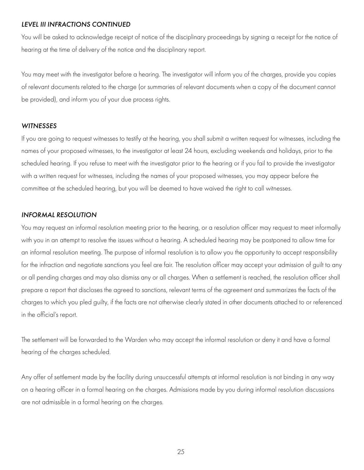<span id="page-24-0"></span>You will be asked to acknowledge receipt of notice of the disciplinary proceedings by signing a receipt for the notice of hearing at the time of delivery of the notice and the disciplinary report.

You may meet with the investigator before a hearing. The investigator will inform you of the charges, provide you copies of relevant documents related to the charge (or summaries of relevant documents when a copy of the document cannot be provided), and inform you of your due process rights.

#### *WITNESSES*

If you are going to request witnesses to testify at the hearing, you shall submit a written request for witnesses, including the names of your proposed witnesses, to the investigator at least 24 hours, excluding weekends and holidays, prior to the scheduled hearing. If you refuse to meet with the investigator prior to the hearing or if you fail to provide the investigator with a written request for witnesses, including the names of your proposed witnesses, you may appear before the committee at the scheduled hearing, but you will be deemed to have waived the right to call witnesses.

#### *INFORMAL RESOLUTION*

You may request an informal resolution meeting prior to the hearing, or a resolution officer may request to meet informally with you in an attempt to resolve the issues without a hearing. A scheduled hearing may be postponed to allow time for an informal resolution meeting. The purpose of informal resolution is to allow you the opportunity to accept responsibility for the infraction and negotiate sanctions you feel are fair. The resolution officer may accept your admission of guilt to any or all pending charges and may also dismiss any or all charges. When a settlement is reached, the resolution officer shall prepare a report that discloses the agreed to sanctions, relevant terms of the agreement and summarizes the facts of the charges to which you pled guilty, if the facts are not otherwise clearly stated in other documents attached to or referenced in the official's report.

The settlement will be forwarded to the Warden who may accept the informal resolution or deny it and have a formal hearing of the charges scheduled.

Any offer of settlement made by the facility during unsuccessful attempts at informal resolution is not binding in any way on a hearing officer in a formal hearing on the charges. Admissions made by you during informal resolution discussions are not admissible in a formal hearing on the charges.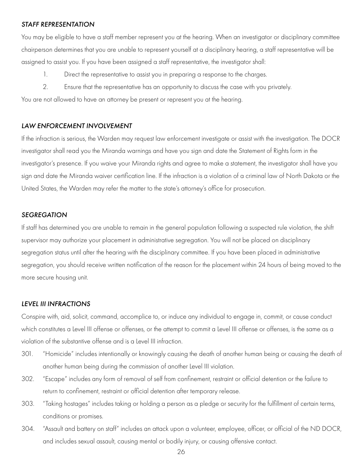#### <span id="page-25-0"></span>*STAFF REPRESENTATION*

You may be eligible to have a staff member represent you at the hearing. When an investigator or disciplinary committee chairperson determines that you are unable to represent yourself at a disciplinary hearing, a staff representative will be assigned to assist you. If you have been assigned a staff representative, the investigator shall:

- 1. Direct the representative to assist you in preparing a response to the charges.
- 2. Ensure that the representative has an opportunity to discuss the case with you privately.

You are not allowed to have an attorney be present or represent you at the hearing.

#### *LAW ENFORCEMENT INVOLVEMENT*

If the infraction is serious, the Warden may request law enforcement investigate or assist with the investigation. The DOCR investigator shall read you the Miranda warnings and have you sign and date the Statement of Rights form in the investigator's presence. If you waive your Miranda rights and agree to make a statement, the investigator shall have you sign and date the Miranda waiver certification line. If the infraction is a violation of a criminal law of North Dakota or the United States, the Warden may refer the matter to the state's attorney's office for prosecution.

#### *SEGREGATION*

If staff has determined you are unable to remain in the general population following a suspected rule violation, the shift supervisor may authorize your placement in administrative segregation. You will not be placed on disciplinary segregation status until after the hearing with the disciplinary committee. If you have been placed in administrative segregation, you should receive written notification of the reason for the placement within 24 hours of being moved to the more secure housing unit.

#### *LEVEL III INFRACTIONS*

Conspire with, aid, solicit, command, accomplice to, or induce any individual to engage in, commit, or cause conduct which constitutes a Level III offense or offenses, or the attempt to commit a Level III offense or offenses, is the same as a violation of the substantive offense and is a Level III infraction.

- 301. "Homicide" includes intentionally or knowingly causing the death of another human being or causing the death of another human being during the commission of another Level III violation.
- 302. "Escape" includes any form of removal of self from confinement, restraint or official detention or the failure to return to confinement, restraint or official detention after temporary release.
- 303. "Taking hostages" includes taking or holding a person as a pledge or security for the fulfillment of certain terms, conditions or promises.
- 304. "Assault and battery on staff" includes an attack upon a volunteer, employee, officer, or official of the ND DOCR, and includes sexual assault, causing mental or bodily injury, or causing offensive contact.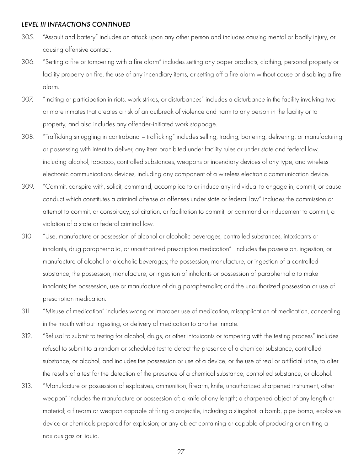- 305. "Assault and battery" includes an attack upon any other person and includes causing mental or bodily injury, or causing offensive contact.
- 306. "Setting a fire or tampering with a fire alarm" includes setting any paper products, clothing, personal property or facility property on fire, the use of any incendiary items, or setting off a fire alarm without cause or disabling a fire alarm.
- 307. "Inciting or participation in riots, work strikes, or disturbances" includes a disturbance in the facility involving two or more inmates that creates a risk of an outbreak of violence and harm to any person in the facility or to property, and also includes any offender-initiated work stoppage.
- 308. "Trafficking smuggling in contraband trafficking" includes selling, trading, bartering, delivering, or manufacturing or possessing with intent to deliver, any item prohibited under facility rules or under state and federal law, including alcohol, tobacco, controlled substances, weapons or incendiary devices of any type, and wireless electronic communications devices, including any component of a wireless electronic communication device.
- 309. "Commit, conspire with, solicit, command, accomplice to or induce any individual to engage in, commit, or cause conduct which constitutes a criminal offense or offenses under state or federal law" includes the commission or attempt to commit, or conspiracy, solicitation, or facilitation to commit, or command or inducement to commit, a violation of a state or federal criminal law.
- 310. "Use, manufacture or possession of alcohol or alcoholic beverages, controlled substances, intoxicants or inhalants, drug paraphernalia, or unauthorized prescription medication" includes the possession, ingestion, or manufacture of alcohol or alcoholic beverages; the possession, manufacture, or ingestion of a controlled substance; the possession, manufacture, or ingestion of inhalants or possession of paraphernalia to make inhalants; the possession, use or manufacture of drug paraphernalia; and the unauthorized possession or use of prescription medication.
- 311. "Misuse of medication" includes wrong or improper use of medication, misapplication of medication, concealing in the mouth without ingesting, or delivery of medication to another inmate.
- 312. "Refusal to submit to testing for alcohol, drugs, or other intoxicants or tampering with the testing process" includes refusal to submit to a random or scheduled test to detect the presence of a chemical substance, controlled substance, or alcohol, and includes the possession or use of a device, or the use of real or artificial urine, to alter the results of a test for the detection of the presence of a chemical substance, controlled substance, or alcohol.
- 313. "Manufacture or possession of explosives, ammunition, firearm, knife, unauthorized sharpened instrument, other weapon" includes the manufacture or possession of: a knife of any length; a sharpened object of any length or material; a firearm or weapon capable of firing a projectile, including a slingshot; a bomb, pipe bomb, explosive device or chemicals prepared for explosion; or any object containing or capable of producing or emitting a noxious gas or liquid.

27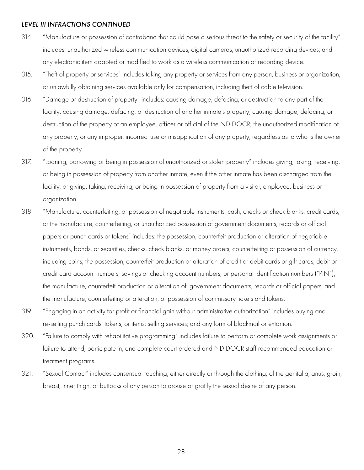- 314. "Manufacture or possession of contraband that could pose a serious threat to the safety or security of the facility" includes: unauthorized wireless communication devices, digital cameras, unauthorized recording devices; and any electronic item adapted or modified to work as a wireless communication or recording device.
- 315. "Theft of property or services" includes taking any property or services from any person, business or organization, or unlawfully obtaining services available only for compensation, including theft of cable television.
- 316. "Damage or destruction of property" includes: causing damage, defacing, or destruction to any part of the facility: causing damage, defacing, or destruction of another inmate's property; causing damage, defacing, or destruction of the property of an employee, officer or official of the ND DOCR; the unauthorized modification of any property; or any improper, incorrect use or misapplication of any property, regardless as to who is the owner of the property.
- 317. "Loaning, borrowing or being in possession of unauthorized or stolen property" includes giving, taking, receiving, or being in possession of property from another inmate, even if the other inmate has been discharged from the facility, or giving, taking, receiving, or being in possession of property from a visitor, employee, business or organization.
- 318. "Manufacture, counterfeiting, or possession of negotiable instruments, cash, checks or check blanks, credit cards, or the manufacture, counterfeiting, or unauthorized possession of government documents, records or official papers or punch cards or tokens" includes: the possession, counterfeit production or alteration of negotiable instruments, bonds, or securities, checks, check blanks, or money orders; counterfeiting or possession of currency, including coins; the possession, counterfeit production or alteration of credit or debit cards or gift cards; debit or credit card account numbers, savings or checking account numbers, or personal identification numbers ("PIN"); the manufacture, counterfeit production or alteration of, government documents, records or official papers; and the manufacture, counterfeiting or alteration, or possession of commissary tickets and tokens.
- 319. "Engaging in an activity for profit or financial gain without administrative authorization" includes buying and re-selling punch cards, tokens, or items; selling services; and any form of blackmail or extortion.
- 320. "Failure to comply with rehabilitative programming" includes failure to perform or complete work assignments or failure to attend, participate in, and complete court ordered and ND DOCR staff recommended education or treatment programs.
- 321. "Sexual Contact" includes consensual touching, either directly or through the clothing, of the genitalia, anus, groin, breast, inner thigh, or buttocks of any person to arouse or gratify the sexual desire of any person.

28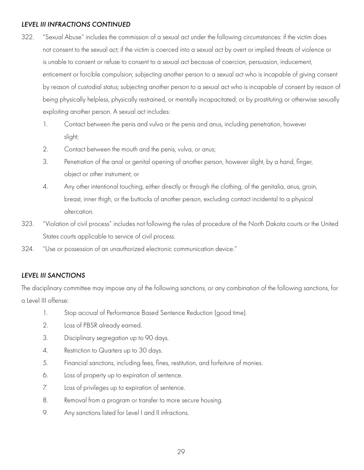- <span id="page-28-0"></span>322. "Sexual Abuse" includes the commission of a sexual act under the following circumstances: if the victim does not consent to the sexual act; if the victim is coerced into a sexual act by overt or implied threats of violence or is unable to consent or refuse to consent to a sexual act because of coercion, persuasion, inducement, enticement or forcible compulsion; subjecting another person to a sexual act who is incapable of giving consent by reason of custodial status; subjecting another person to a sexual act who is incapable of consent by reason of being physically helpless, physically restrained, or mentally incapacitated; or by prostituting or otherwise sexually exploiting another person. A sexual act includes:
	- 1. Contact between the penis and vulva or the penis and anus, including penetration, however slight;
	- 2. Contact between the mouth and the penis, vulva, or anus;
	- 3. Penetration of the anal or genital opening of another person, however slight, by a hand, finger, object or other instrument; or
	- 4. Any other intentional touching, either directly or through the clothing, of the genitalia, anus, groin, breast, inner thigh, or the buttocks of another person, excluding contact incidental to a physical altercation.
- 323. "Violation of civil process" includes not following the rules of procedure of the North Dakota courts or the United States courts applicable to service of civil process.
- 324. "Use or possession of an unauthorized electronic communication device."

#### *LEVEL III SANCTIONS*

The disciplinary committee may impose any of the following sanctions, or any combination of the following sanctions, for a Level III offense:

- 1. Stop accrual of Performance Based Sentence Reduction (good time).
- 2. Loss of PBSR already earned.
- 3. Disciplinary segregation up to 90 days.
- 4. Restriction to Quarters up to 30 days.
- 5. Financial sanctions, including fees, fines, restitution, and forfeiture of monies.
- 6. Loss of property up to expiration of sentence.
- 7. Loss of privileges up to expiration of sentence.
- 8. Removal from a program or transfer to more secure housing.
- 9. Any sanctions listed for Level I and II infractions.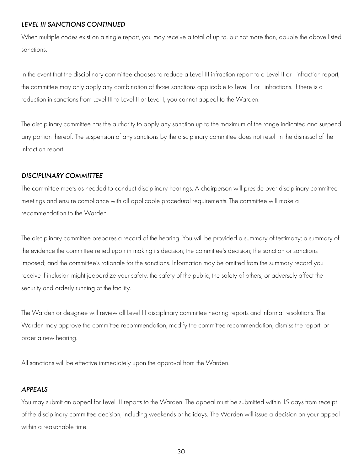#### <span id="page-29-0"></span>*LEVEL III SANCTIONS CONTINUED*

When multiple codes exist on a single report, you may receive a total of up to, but not more than, double the above listed sanctions.

In the event that the disciplinary committee chooses to reduce a Level III infraction report to a Level II or I infraction report, the committee may only apply any combination of those sanctions applicable to Level II or I infractions. If there is a reduction in sanctions from Level III to Level II or Level I, you cannot appeal to the Warden.

The disciplinary committee has the authority to apply any sanction up to the maximum of the range indicated and suspend any portion thereof. The suspension of any sanctions by the disciplinary committee does not result in the dismissal of the infraction report.

#### *DISCIPLINARY COMMITTEE*

The committee meets as needed to conduct disciplinary hearings. A chairperson will preside over disciplinary committee meetings and ensure compliance with all applicable procedural requirements. The committee will make a recommendation to the Warden.

The disciplinary committee prepares a record of the hearing. You will be provided a summary of testimony; a summary of the evidence the committee relied upon in making its decision; the committee's decision; the sanction or sanctions imposed; and the committee's rationale for the sanctions. Information may be omitted from the summary record you receive if inclusion might jeopardize your safety, the safety of the public, the safety of others, or adversely affect the security and orderly running of the facility.

The Warden or designee will review all Level III disciplinary committee hearing reports and informal resolutions. The Warden may approve the committee recommendation, modify the committee recommendation, dismiss the report, or order a new hearing.

All sanctions will be effective immediately upon the approval from the Warden.

#### *APPEALS*

You may submit an appeal for Level III reports to the Warden. The appeal must be submitted within 15 days from receipt of the disciplinary committee decision, including weekends or holidays. The Warden will issue a decision on your appeal within a reasonable time.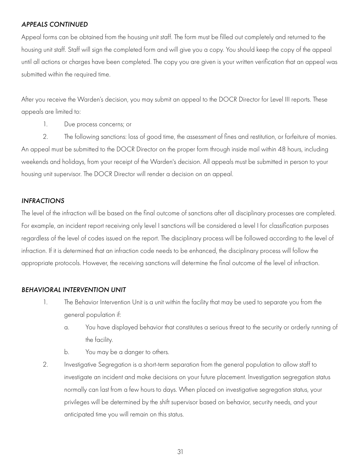#### <span id="page-30-0"></span>*APPEALS CONTINUED*

Appeal forms can be obtained from the housing unit staff. The form must be filled out completely and returned to the housing unit staff. Staff will sign the completed form and will give you a copy. You should keep the copy of the appeal until all actions or charges have been completed. The copy you are given is your written verification that an appeal was submitted within the required time.

After you receive the Warden's decision, you may submit an appeal to the DOCR Director for Level III reports. These appeals are limited to:

1. Due process concerns; or

2. The following sanctions: loss of good time, the assessment of fines and restitution, or forfeiture of monies. An appeal must be submitted to the DOCR Director on the proper form through inside mail within 48 hours, including weekends and holidays, from your receipt of the Warden's decision. All appeals must be submitted in person to your housing unit supervisor. The DOCR Director will render a decision on an appeal.

#### *INFRACTIONS*

The level of the infraction will be based on the final outcome of sanctions after all disciplinary processes are completed. For example, an incident report receiving only level I sanctions will be considered a level I for classification purposes regardless of the level of codes issued on the report. The disciplinary process will be followed according to the level of infraction. If it is determined that an infraction code needs to be enhanced, the disciplinary process will follow the appropriate protocols. However, the receiving sanctions will determine the final outcome of the level of infraction.

#### *BEHAVIORAL INTERVENTION UNIT*

- 1. The Behavior Intervention Unit is a unit within the facility that may be used to separate you from the general population if:
	- a. You have displayed behavior that constitutes a serious threat to the security or orderly running of the facility.
	- b. You may be a danger to others.
- 2. Investigative Segregation is a short-term separation from the general population to allow staff to investigate an incident and make decisions on your future placement. Investigation segregation status normally can last from a few hours to days. When placed on investigative segregation status, your privileges will be determined by the shift supervisor based on behavior, security needs, and your anticipated time you will remain on this status.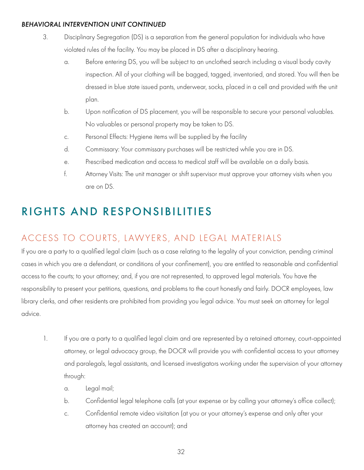#### <span id="page-31-0"></span>*BEHAVIORAL INTERVENTION UNIT CONTINUED*

- 3. Disciplinary Segregation (DS) is a separation from the general population for individuals who have violated rules of the facility. You may be placed in DS after a disciplinary hearing.
	- a. Before entering DS, you will be subject to an unclothed search including a visual body cavity inspection. All of your clothing will be bagged, tagged, inventoried, and stored. You will then be dressed in blue state issued pants, underwear, socks, placed in a cell and provided with the unit plan.
	- b. Upon notification of DS placement, you will be responsible to secure your personal valuables. No valuables or personal property may be taken to DS.
	- c. Personal Effects: Hygiene items will be supplied by the facility
	- d. Commissary: Your commissary purchases will be restricted while you are in DS.
	- e. Prescribed medication and access to medical staff will be available on a daily basis.
	- f. Attorney Visits: The unit manager or shift supervisor must approve your attorney visits when you are on DS.

# RIGHTS AND RESPONSIBILITIES

# ACCESS TO COURTS, LAWYERS, AND LEGAL MATERIALS

If you are a party to a qualified legal claim (such as a case relating to the legality of your conviction, pending criminal cases in which you are a defendant, or conditions of your confinement), you are entitled to reasonable and confidential access to the courts; to your attorney; and, if you are not represented, to approved legal materials. You have the responsibility to present your petitions, questions, and problems to the court honestly and fairly. DOCR employees, law library clerks, and other residents are prohibited from providing you legal advice. You must seek an attorney for legal advice.

- 1. If you are a party to a qualified legal claim and are represented by a retained attorney, court-appointed attorney, or legal advocacy group, the DOCR will provide you with confidential access to your attorney and paralegals, legal assistants, and licensed investigators working under the supervision of your attorney through:
	- a. Legal mail;
	- b. Confidential legal telephone calls (at your expense or by calling your attorney's office collect);
	- c. Confidential remote video visitation (at you or your attorney's expense and only after your attorney has created an account); and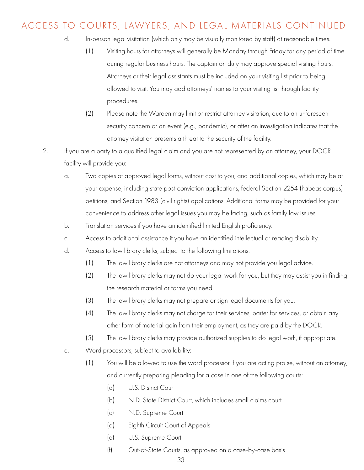### ACCESS TO COURTS, LAWYERS, AND LEGAL MATERIALS CONTINUED

- d. In-person legal visitation (which only may be visually monitored by staff) at reasonable times.
	- (1) Visiting hours for attorneys will generally be Monday through Friday for any period of time during regular business hours. The captain on duty may approve special visiting hours. Attorneys or their legal assistants must be included on your visiting list prior to being allowed to visit. You may add attorneys' names to your visiting list through facility procedures.
	- (2) Please note the Warden may limit or restrict attorney visitation, due to an unforeseen security concern or an event (e.g., pandemic), or after an investigation indicates that the attorney visitation presents a threat to the security of the facility.
- 2. If you are a party to a qualified legal claim and you are not represented by an attorney, your DOCR facility will provide you:
	- a. Two copies of approved legal forms, without cost to you, and additional copies, which may be at your expense, including state post-conviction applications, federal Section 2254 (habeas corpus) petitions, and Section 1983 (civil rights) applications. Additional forms may be provided for your convenience to address other legal issues you may be facing, such as family law issues.
	- b. Translation services if you have an identified limited English proficiency.
	- c. Access to additional assistance if you have an identified intellectual or reading disability.
	- d. Access to law library clerks, subject to the following limitations:
		- (1) The law library clerks are not attorneys and may not provide you legal advice.
		- (2) The law library clerks may not do your legal work for you, but they may assist you in finding the research material or forms you need.
		- (3) The law library clerks may not prepare or sign legal documents for you.
		- (4) The law library clerks may not charge for their services, barter for services, or obtain any other form of material gain from their employment, as they are paid by the DOCR.
		- (5) The law library clerks may provide authorized supplies to do legal work, if appropriate.
	- e. Word processors, subject to availability:
		- (1) You will be allowed to use the word processor if you are acting pro se, without an attorney, and currently preparing pleading for a case in one of the following courts:
			- (a) U.S. District Court
			- (b) N.D. State District Court, which includes small claims court
			- (c) N.D. Supreme Court
			- (d) Eighth Circuit Court of Appeals
			- (e) U.S. Supreme Court
			- (f) Out-of-State Courts, as approved on a case-by-case basis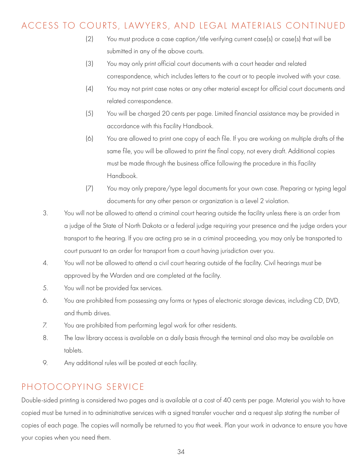### <span id="page-33-0"></span>ACCESS TO COURTS, LAWYERS, AND LEGAL MATERIALS CONTINUED

- (2) You must produce a case caption/title verifying current case(s) or case(s) that will be submitted in any of the above courts.
- (3) You may only print official court documents with a court header and related correspondence, which includes letters to the court or to people involved with your case.
- (4) You may not print case notes or any other material except for official court documents and related correspondence.
- (5) You will be charged 20 cents per page. Limited financial assistance may be provided in accordance with this Facility Handbook.
- (6) You are allowed to print one copy of each file. If you are working on multiple drafts of the same file, you will be allowed to print the final copy, not every draft. Additional copies must be made through the business office following the procedure in this Facility Handbook.
- (7) You may only prepare/type legal documents for your own case. Preparing or typing legal documents for any other person or organization is a Level 2 violation.
- 3. You will not be allowed to attend a criminal court hearing outside the facility unless there is an order from a judge of the State of North Dakota or a federal judge requiring your presence and the judge orders your transport to the hearing. If you are acting pro se in a criminal proceeding, you may only be transported to court pursuant to an order for transport from a court having jurisdiction over you.
- 4. You will not be allowed to attend a civil court hearing outside of the facility. Civil hearings must be approved by the Warden and are completed at the facility.
- 5. You will not be provided fax services.
- 6. You are prohibited from possessing any forms or types of electronic storage devices, including CD, DVD, and thumb drives.
- 7. You are prohibited from performing legal work for other residents.
- 8. The law library access is available on a daily basis through the terminal and also may be available on tablets.
- 9. Any additional rules will be posted at each facility.

### PHOTOCOPYING SERVICE

Double-sided printing is considered two pages and is available at a cost of 40 cents per page. Material you wish to have copied must be turned in to administrative services with a signed transfer voucher and a request slip stating the number of copies of each page. The copies will normally be returned to you that week. Plan your work in advance to ensure you have your copies when you need them.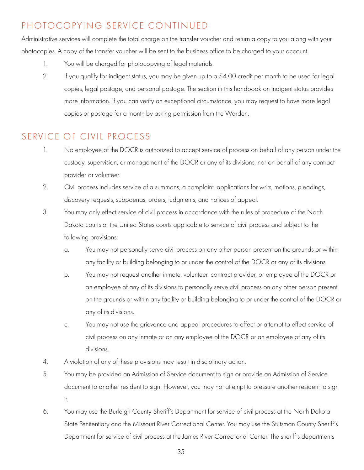# <span id="page-34-0"></span>PHOTOCOPYING SERVICE CONTINUED

Administrative services will complete the total charge on the transfer voucher and return a copy to you along with your photocopies. A copy of the transfer voucher will be sent to the business office to be charged to your account.

- 1. You will be charged for photocopying of legal materials.
- 2. If you qualify for indigent status, you may be given up to a \$4.00 credit per month to be used for legal copies, legal postage, and personal postage. The section in this handbook on indigent status provides more information. If you can verify an exceptional circumstance, you may request to have more legal copies or postage for a month by asking permission from the Warden.

# SERVICE OF CIVIL PROCESS

- 1. No employee of the DOCR is authorized to accept service of process on behalf of any person under the custody, supervision, or management of the DOCR or any of its divisions, nor on behalf of any contract provider or volunteer.
- 2. Civil process includes service of a summons, a complaint, applications for writs, motions, pleadings, discovery requests, subpoenas, orders, judgments, and notices of appeal.
- 3. You may only effect service of civil process in accordance with the rules of procedure of the North Dakota courts or the United States courts applicable to service of civil process and subject to the following provisions:
	- a. You may not personally serve civil process on any other person present on the grounds or within any facility or building belonging to or under the control of the DOCR or any of its divisions.
	- b. You may not request another inmate, volunteer, contract provider, or employee of the DOCR or an employee of any of its divisions to personally serve civil process on any other person present on the grounds or within any facility or building belonging to or under the control of the DOCR or any of its divisions.
	- c. You may not use the grievance and appeal procedures to effect or attempt to effect service of civil process on any inmate or on any employee of the DOCR or an employee of any of its divisions.
- 4. A violation of any of these provisions may result in disciplinary action.
- 5. You may be provided an Admission of Service document to sign or provide an Admission of Service document to another resident to sign. However, you may not attempt to pressure another resident to sign it.
- 6. You may use the Burleigh County Sheriff's Department for service of civil process at the North Dakota State Penitentiary and the Missouri River Correctional Center. You may use the Stutsman County Sheriff's Department for service of civil process at the James River Correctional Center. The sheriff's departments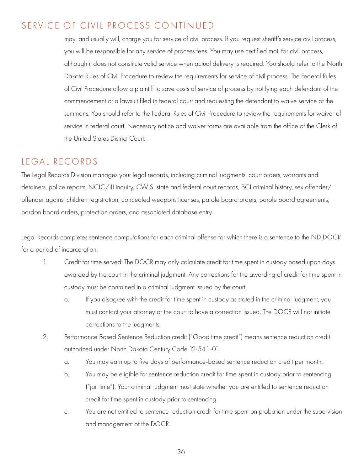### <span id="page-35-0"></span>SERVICE OF CIVIL PROCESS CONTINUED

 may, and usually will, charge you for service of civil process. If you request sheriff's service civil process, you will be responsible for any service of process fees. You may use certified mail for civil process, although it does not constitute valid service when actual delivery is required. You should refer to the North Dakota Rules of Civil Procedure to review the requirements for service of civil process. The Federal Rules of Civil Procedure allow a plaintiff to save costs of service of process by notifying each defendant of the commencement of a lawsuit filed in federal court and requesting the defendant to waive service of the summons. You should refer to the Federal Rules of Civil Procedure to review the requirements for waiver of service in federal court. Necessary notice and waiver forms are available from the office of the Clerk of the United States District Court.

### LEGAL RECORDS

The Legal Records Division manages your legal records, including criminal judgments, court orders, warrants and detainers, police reports, NCIC/III inquiry, CWIS, state and federal court records, BCI criminal history, sex offender/ offender against children registration, concealed weapons licenses, parole board orders, parole board agreements, pardon board orders, protection orders, and associated database entry.

Legal Records completes sentence computations for each criminal offense for which there is a sentence to the ND DOCR for a period of incarceration.

- 1. Credit for time served: The DOCR may only calculate credit for time spent in custody based upon days awarded by the court in the criminal judgment. Any corrections for the awarding of credit for time spent in custody must be contained in a criminal judgment issued by the court.
	- a. If you disagree with the credit for time spent in custody as stated in the criminal judgment, you must contact your attorney or the court to have a correction issued. The DOCR will not initiate corrections to the judgments.
- 2. Performance Based Sentence Reduction credit ("Good time credit") means sentence reduction credit authorized under North Dakota Century Code 12-54.1-01.
	- a. You may earn up to five days of performance-based sentence reduction credit per month.
	- b. You may be eligible for sentence reduction credit for time spent in custody prior to sentencing ("jail time"). Your criminal judgment must state whether you are entitled to sentence reduction credit for time spent in custody prior to sentencing.
	- c. You are not entitled to sentence reduction credit for time spent on probation under the supervision and management of the DOCR.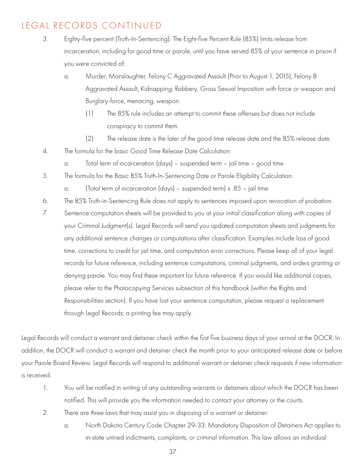# LEGAL RECORDS CONTINUED

- 3. Eighty-five percent (Truth-In-Sentencing): The Eight-five Percent Rule (85%) limits release from incarceration, including for good time or parole, until you have served 85% of your sentence in prison if you were convicted of:
	- a. Murder, Manslaughter, Felony C Aggravated Assault (Prior to August 1, 2015), Felony B Aggravated Assault, Kidnapping, Robbery, Gross Sexual Imposition with force or weapon and Burglary-force, menacing, weapon.
		- (1) The 85% rule includes an attempt to commit these offenses but does not include conspiracy to commit them.
		- (2) The release date is the later of the good time release date and the 85% release date.
- 4. The formula for the basic Good Time Release Date Calculation:
	- a. Total term of incarceration (days) suspended term jail time good time
- 5. The formula for the Basic 85% Truth-In-Sentencing Date or Parole Eligibility Calculation:
	- a. (Total term of incarceration (days) suspended term) x .85 jail time
- 6. The 85% Truth-in-Sentencing Rule does not apply to sentences imposed upon revocation of probation.
- 7. Sentence computation sheets will be provided to you at your initial classification along with copies of your Criminal Judgment(s). Legal Records will send you updated computation sheets and judgments for any additional sentence changes or computations after classification. Examples include loss of good time, corrections to credit for jail time, and computation error corrections. Please keep all of your legal records for future reference, including sentence computations, criminal judgments, and orders granting or denying parole. You may find these important for future reference. If you would like additional copies, please refer to the Photocopying Services subsection of this handbook (within the Rights and Responsibilities section). If you have lost your sentence computation, please request a replacement through Legal Records; a printing fee may apply.

Legal Records will conduct a warrant and detainer check within the first five business days of your arrival at the DOCR. In addition, the DOCR will conduct a warrant and detainer check the month prior to your anticipated release date or before your Parole Board Review. Legal Records will respond to additional warrant or detainer check requests if new information is received.

- 1. You will be notified in writing of any outstanding warrants or detainers about which the DOCR has been notified. This will provide you the information needed to contact your attorney or the courts.
- 2. There are three laws that may assist you in disposing of a warrant or detainer:
	- a. North Dakota Century Code Chapter 29-33: Mandatory Disposition of Detainers Act applies to in-state untried indictments, complaints, or criminal information. This law allows an individual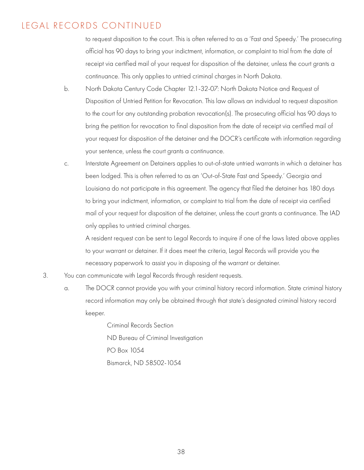#### LEGAL RECORDS CONTINUED

 to request disposition to the court. This is often referred to as a 'Fast and Speedy.' The prosecuting official has 90 days to bring your indictment, information, or complaint to trial from the date of receipt via certified mail of your request for disposition of the detainer, unless the court grants a continuance. This only applies to untried criminal charges in North Dakota.

- b. North Dakota Century Code Chapter 12.1-32-07: North Dakota Notice and Request of Disposition of Untried Petition for Revocation. This law allows an individual to request disposition to the court for any outstanding probation revocation(s). The prosecuting official has 90 days to bring the petition for revocation to final disposition from the date of receipt via certified mail of your request for disposition of the detainer and the DOCR's certificate with information regarding your sentence, unless the court grants a continuance.
- c. Interstate Agreement on Detainers applies to out-of-state untried warrants in which a detainer has been lodged. This is often referred to as an 'Out-of-State Fast and Speedy.' Georgia and Louisiana do not participate in this agreement. The agency that filed the detainer has 180 days to bring your indictment, information, or complaint to trial from the date of receipt via certified mail of your request for disposition of the detainer, unless the court grants a continuance. The IAD only applies to untried criminal charges.

 A resident request can be sent to Legal Records to inquire if one of the laws listed above applies to your warrant or detainer. If it does meet the criteria, Legal Records will provide you the necessary paperwork to assist you in disposing of the warrant or detainer.

- 3. You can communicate with Legal Records through resident requests.
	- a. The DOCR cannot provide you with your criminal history record information. State criminal history record information may only be obtained through that state's designated criminal history record keeper.

 Criminal Records Section ND Bureau of Criminal Investigation PO Box 1054 Bismarck, ND 58502-1054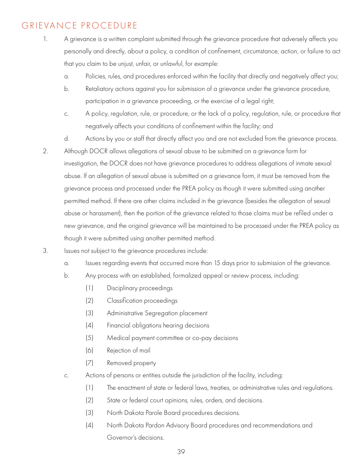# GRIEVANCE PROCEDURE

- 1. A grievance is a written complaint submitted through the grievance procedure that adversely affects you personally and directly, about a policy, a condition of confinement, circumstance, action, or failure to act that you claim to be unjust, unfair, or unlawful, for example:
	- a. Policies, rules, and procedures enforced within the facility that directly and negatively affect you;
	- b. Retaliatory actions against you for submission of a grievance under the grievance procedure, participation in a grievance proceeding, or the exercise of a legal right;
	- c. A policy, regulation, rule, or procedure, or the lack of a policy, regulation, rule, or procedure that negatively affects your conditions of confinement within the facility; and
	- d. Actions by you or staff that directly affect you and are not excluded from the grievance process.
- 2. Although DOCR allows allegations of sexual abuse to be submitted on a grievance form for investigation, the DOCR does not have grievance procedures to address allegations of inmate sexual abuse. If an allegation of sexual abuse is submitted on a grievance form, it must be removed from the grievance process and processed under the PREA policy as though it were submitted using another permitted method. If there are other claims included in the grievance (besides the allegation of sexual abuse or harassment), then the portion of the grievance related to those claims must be refiled under a new grievance, and the original grievance will be maintained to be processed under the PREA policy as though it were submitted using another permitted method.
- 3. Issues not subject to the grievance procedures include:
	- a. Issues regarding events that occurred more than 15 days prior to submission of the grievance.
	- b. Any process with an established, formalized appeal or review process, including:
		- (1) Disciplinary proceedings
		- (2) Classification proceedings
		- (3) Administrative Segregation placement
		- (4) Financial obligations hearing decisions
		- (5) Medical payment committee or co-pay decisions
		- (6) Rejection of mail
		- (7) Removed property
	- c. Actions of persons or entities outside the jurisdiction of the facility, including:
		- (1) The enactment of state or federal laws, treaties, or administrative rules and regulations.
		- (2) State or federal court opinions, rules, orders, and decisions.
		- (3) North Dakota Parole Board procedures decisions.
		- (4) North Dakota Pardon Advisory Board procedures and recommendations and Governor's decisions.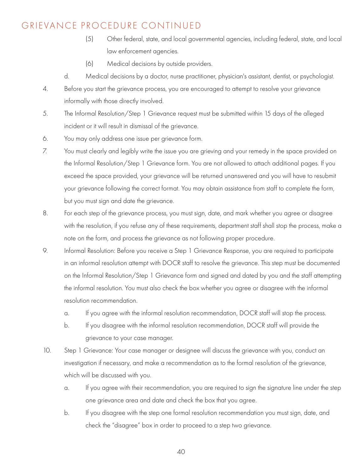#### GRIEVANCE PROCEDURE CONTINUED

- (5) Other federal, state, and local governmental agencies, including federal, state, and local law enforcement agencies.
- (6) Medical decisions by outside providers.
- d. Medical decisions by a doctor, nurse practitioner, physician's assistant, dentist, or psychologist.
- 4. Before you start the grievance process, you are encouraged to attempt to resolve your grievance informally with those directly involved.
- 5. The Informal Resolution/Step 1 Grievance request must be submitted within 15 days of the alleged incident or it will result in dismissal of the grievance.
- 6. You may only address one issue per grievance form.
- 7. You must clearly and legibly write the issue you are grieving and your remedy in the space provided on the Informal Resolution/Step 1 Grievance form. You are not allowed to attach additional pages. If you exceed the space provided, your grievance will be returned unanswered and you will have to resubmit your grievance following the correct format. You may obtain assistance from staff to complete the form, but you must sign and date the grievance.
- 8. For each step of the grievance process, you must sign, date, and mark whether you agree or disagree with the resolution, if you refuse any of these requirements, department staff shall stop the process, make a note on the form, and process the grievance as not following proper procedure.
- 9. Informal Resolution: Before you receive a Step 1 Grievance Response, you are required to participate in an informal resolution attempt with DOCR staff to resolve the grievance. This step must be documented on the Informal Resolution/Step 1 Grievance form and signed and dated by you and the staff attempting the informal resolution. You must also check the box whether you agree or disagree with the informal resolution recommendation.
	- a. If you agree with the informal resolution recommendation, DOCR staff will stop the process.
	- b. If you disagree with the informal resolution recommendation, DOCR staff will provide the grievance to your case manager.
- 10. Step 1 Grievance: Your case manager or designee will discuss the grievance with you, conduct an investigation if necessary, and make a recommendation as to the formal resolution of the grievance, which will be discussed with you.
	- a. If you agree with their recommendation, you are required to sign the signature line under the step one grievance area and date and check the box that you agree.
	- b. If you disagree with the step one formal resolution recommendation you must sign, date, and check the "disagree" box in order to proceed to a step two grievance.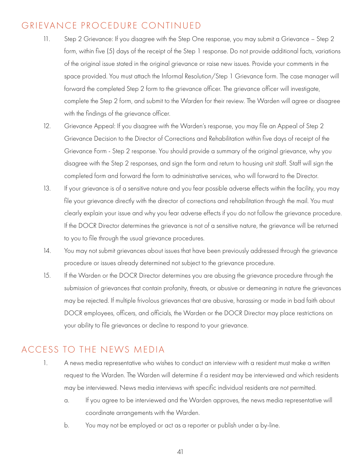#### GRIEVANCE PROCEDURE CONTINUED

- 11. Step 2 Grievance: If you disagree with the Step One response, you may submit a Grievance Step 2 form, within five (5) days of the receipt of the Step 1 response. Do not provide additional facts, variations of the original issue stated in the original grievance or raise new issues. Provide your comments in the space provided. You must attach the Informal Resolution/Step 1 Grievance form. The case manager will forward the completed Step 2 form to the grievance officer. The grievance officer will investigate, complete the Step 2 form, and submit to the Warden for their review. The Warden will agree or disagree with the findings of the grievance officer.
- 12. Grievance Appeal: If you disagree with the Warden's response, you may file an Appeal of Step 2 Grievance Decision to the Director of Corrections and Rehabilitation within five days of receipt of the Grievance Form - Step 2 response. You should provide a summary of the original grievance, why you disagree with the Step 2 responses, and sign the form and return to housing unit staff. Staff will sign the completed form and forward the form to administrative services, who will forward to the Director.
- 13. If your grievance is of a sensitive nature and you fear possible adverse effects within the facility, you may file your grievance directly with the director of corrections and rehabilitation through the mail. You must clearly explain your issue and why you fear adverse effects if you do not follow the grievance procedure. If the DOCR Director determines the grievance is not of a sensitive nature, the grievance will be returned to you to file through the usual grievance procedures.
- 14. You may not submit grievances about issues that have been previously addressed through the grievance procedure or issues already determined not subject to the grievance procedure.
- 15. If the Warden or the DOCR Director determines you are abusing the grievance procedure through the submission of grievances that contain profanity, threats, or abusive or demeaning in nature the grievances may be rejected. If multiple frivolous grievances that are abusive, harassing or made in bad faith about DOCR employees, officers, and officials, the Warden or the DOCR Director may place restrictions on your ability to file grievances or decline to respond to your grievance.

#### ACCESS TO THE NEWS MEDIA

- 1. A news media representative who wishes to conduct an interview with a resident must make a written request to the Warden. The Warden will determine if a resident may be interviewed and which residents may be interviewed. News media interviews with specific individual residents are not permitted.
	- a. If you agree to be interviewed and the Warden approves, the news media representative will coordinate arrangements with the Warden.
	- b. You may not be employed or act as a reporter or publish under a by-line.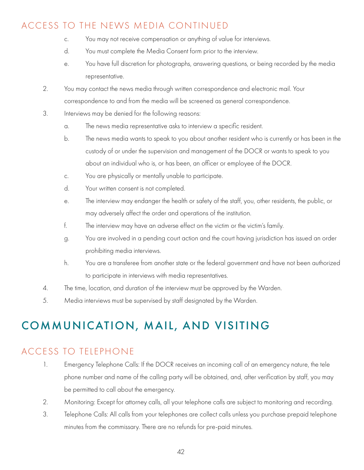## ACCESS TO THE NEWS MEDIA CONTINUED

- c. You may not receive compensation or anything of value for interviews.
- d. You must complete the Media Consent form prior to the interview.
- e. You have full discretion for photographs, answering questions, or being recorded by the media representative.
- 2. You may contact the news media through written correspondence and electronic mail. Your correspondence to and from the media will be screened as general correspondence.
- 3. Interviews may be denied for the following reasons:
	- a. The news media representative asks to interview a specific resident.
	- b. The news media wants to speak to you about another resident who is currently or has been in the custody of or under the supervision and management of the DOCR or wants to speak to you about an individual who is, or has been, an officer or employee of the DOCR.
	- c. You are physically or mentally unable to participate.
	- d. Your written consent is not completed.
	- e. The interview may endanger the health or safety of the staff, you, other residents, the public, or may adversely affect the order and operations of the institution.
	- f. The interview may have an adverse effect on the victim or the victim's family.
	- g. You are involved in a pending court action and the court having jurisdiction has issued an order prohibiting media interviews.
	- h. You are a transferee from another state or the federal government and have not been authorized to participate in interviews with media representatives.
- 4. The time, location, and duration of the interview must be approved by the Warden.
- 5. Media interviews must be supervised by staff designated by the Warden.

# COMMUNICATION, MAIL, AND VISITING

## ACCESS TO TELEPHONE

- 1. Emergency Telephone Calls: If the DOCR receives an incoming call of an emergency nature, the tele phone number and name of the calling party will be obtained, and, after verification by staff, you may be permitted to call about the emergency.
- 2. Monitoring: Except for attorney calls, all your telephone calls are subject to monitoring and recording.
- 3. Telephone Calls: All calls from your telephones are collect calls unless you purchase prepaid telephone minutes from the commissary. There are no refunds for pre-paid minutes.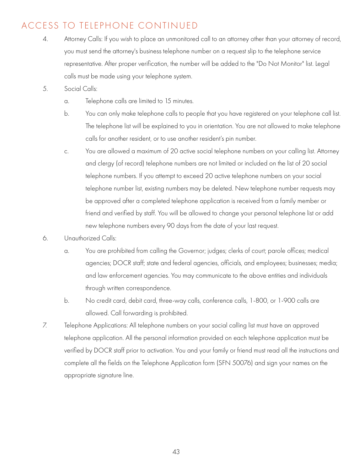# ACCESS TO TELEPHONE CONTINUED

- 4. Attorney Calls: If you wish to place an unmonitored call to an attorney other than your attorney of record, you must send the attorney's business telephone number on a request slip to the telephone service representative. After proper verification, the number will be added to the "Do Not Monitor" list. Legal calls must be made using your telephone system.
- 5. Social Calls:
	- a. Telephone calls are limited to 15 minutes.
	- b. You can only make telephone calls to people that you have registered on your telephone call list. The telephone list will be explained to you in orientation. You are not allowed to make telephone calls for another resident, or to use another resident's pin number.
	- c. You are allowed a maximum of 20 active social telephone numbers on your calling list. Attorney and clergy (of record) telephone numbers are not limited or included on the list of 20 social telephone numbers. If you attempt to exceed 20 active telephone numbers on your social telephone number list, existing numbers may be deleted. New telephone number requests may be approved after a completed telephone application is received from a family member or friend and verified by staff. You will be allowed to change your personal telephone list or add new telephone numbers every 90 days from the date of your last request.
- 6. Unauthorized Calls:
	- a. You are prohibited from calling the Governor; judges; clerks of court; parole offices; medical agencies; DOCR staff; state and federal agencies, officials, and employees; businesses; media; and law enforcement agencies. You may communicate to the above entities and individuals through written correspondence.
	- b. No credit card, debit card, three-way calls, conference calls, 1-800, or 1-900 calls are allowed. Call forwarding is prohibited.
- 7. Telephone Applications: All telephone numbers on your social calling list must have an approved telephone application. All the personal information provided on each telephone application must be verified by DOCR staff prior to activation. You and your family or friend must read all the instructions and complete all the fields on the Telephone Application form (SFN 50076) and sign your names on the appropriate signature line.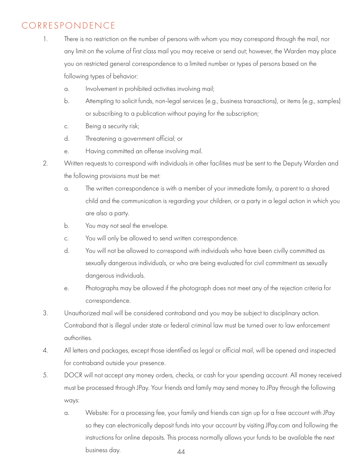# CORRESPONDENCE

- 1. There is no restriction on the number of persons with whom you may correspond through the mail, nor any limit on the volume of first class mail you may receive or send out; however, the Warden may place you on restricted general correspondence to a limited number or types of persons based on the following types of behavior:
	- a. Involvement in prohibited activities involving mail;
	- b. Attempting to solicit funds, non-legal services (e.g., business transactions), or items (e.g., samples) or subscribing to a publication without paying for the subscription;
	- c. Being a security risk;
	- d. Threatening a government official; or
	- e. Having committed an offense involving mail.
- 2. Written requests to correspond with individuals in other facilities must be sent to the Deputy Warden and the following provisions must be met:
	- a. The written correspondence is with a member of your immediate family, a parent to a shared child and the communication is regarding your children, or a party in a legal action in which you are also a party.
	- b. You may not seal the envelope.
	- c. You will only be allowed to send written correspondence.
	- d. You will not be allowed to correspond with individuals who have been civilly committed as sexually dangerous individuals, or who are being evaluated for civil commitment as sexually dangerous individuals.
	- e. Photographs may be allowed if the photograph does not meet any of the rejection criteria for correspondence.
- 3. Unauthorized mail will be considered contraband and you may be subject to disciplinary action. Contraband that is illegal under state or federal criminal law must be turned over to law enforcement authorities.
- 4. All letters and packages, except those identified as legal or official mail, will be opened and inspected for contraband outside your presence.
- 5. DOCR will not accept any money orders, checks, or cash for your spending account. All money received must be processed through JPay. Your friends and family may send money to JPay through the following ways:
	- 44 a. Website: For a processing fee, your family and friends can sign up for a free account with JPay so they can electronically deposit funds into your account by visiting JPay.com and following the instructions for online deposits. This process normally allows your funds to be available the next business day.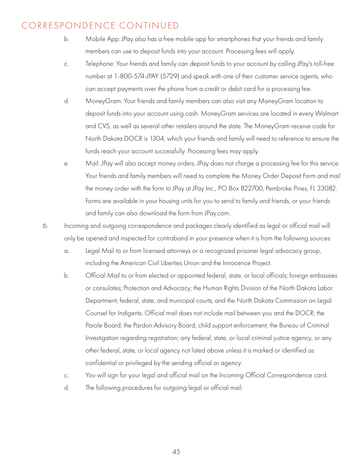- b. Mobile App: JPay also has a free mobile app for smartphones that your friends and family members can use to deposit funds into your account. Processing fees will apply.
- c. Telephone: Your friends and family can deposit funds to your account by calling JPay's toll-free number at 1-800-574-JPAY (5729) and speak with one of their customer service agents, who can accept payments over the phone from a credit or debit card for a processing fee.
- d. MoneyGram: Your friends and family members can also visit any MoneyGram location to deposit funds into your account using cash. MoneyGram services are located in every Walmart and CVS, as well as several other retailers around the state. The MoneyGram receive code for North Dakota DOCR is 1304, which your friends and family will need to reference to ensure the funds reach your account successfully. Processing fees may apply.
- e. Mail: JPay will also accept money orders. JPay does not charge a processing fee for this service. Your friends and family members will need to complete the Money Order Deposit Form and mail the money order with the form to JPay at JPay Inc., PO Box 822700, Pembroke Pines, FL 33082. Forms are available in your housing units for you to send to family and friends, or your friends and family can also download the form from JPay.com.
- 6. Incoming and outgoing correspondence and packages clearly identified as legal or official mail will only be opened and inspected for contraband in your presence when it is from the following sources:
	- a. Legal Mail to or from licensed attorneys or a recognized prisoner legal advocacy group, including the American Civil Liberties Union and the Innocence Project.
	- b. Official Mail to or from elected or appointed federal, state, or local officials; foreign embassies or consulates; Protection and Advocacy; the Human Rights Division of the North Dakota Labor Department; federal, state, and municipal courts; and the North Dakota Commission on Legal Counsel for Indigents. Official mail does not include mail between you and the DOCR; the Parole Board; the Pardon Advisory Board; child support enforcement; the Bureau of Criminal Investigation regarding registration; any federal, state, or local criminal justice agency, or any other federal, state, or local agency not listed above unless it is marked or identified as confidential or privileged by the sending official or agency.
	- c. You will sign for your legal and official mail on the Incoming Official Correspondence card.
	- d. The following procedures for outgoing legal or official mail: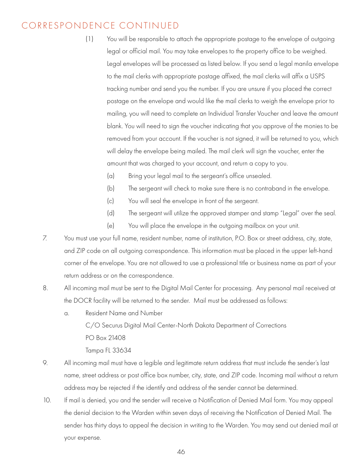- (1) You will be responsible to attach the appropriate postage to the envelope of outgoing legal or official mail. You may take envelopes to the property office to be weighed. Legal envelopes will be processed as listed below. If you send a legal manila envelope to the mail clerks with appropriate postage affixed, the mail clerks will affix a USPS tracking number and send you the number. If you are unsure if you placed the correct postage on the envelope and would like the mail clerks to weigh the envelope prior to mailing, you will need to complete an Individual Transfer Voucher and leave the amount blank. You will need to sign the voucher indicating that you approve of the monies to be removed from your account. If the voucher is not signed, it will be returned to you, which will delay the envelope being mailed. The mail clerk will sign the voucher, enter the amount that was charged to your account, and return a copy to you.
	- (a) Bring your legal mail to the sergeant's office unsealed.
	- (b) The sergeant will check to make sure there is no contraband in the envelope.
	- (c) You will seal the envelope in front of the sergeant.
	- (d) The sergeant will utilize the approved stamper and stamp "Legal" over the seal.
	- (e) You will place the envelope in the outgoing mailbox on your unit.
- 7. You must use your full name, resident number, name of institution, P.O. Box or street address, city, state, and ZIP code on all outgoing correspondence. This information must be placed in the upper left-hand corner of the envelope. You are not allowed to use a professional title or business name as part of your return address or on the correspondence.
- 8. All incoming mail must be sent to the Digital Mail Center for processing. Any personal mail received at the DOCR facility will be returned to the sender. Mail must be addressed as follows:
	- a. Resident Name and Number C/O Securus Digital Mail Center-North Dakota Department of Corrections PO Box 21408 Tampa FL 33634
- 9. All incoming mail must have a legible and legitimate return address that must include the sender's last name, street address or post office box number, city, state, and ZIP code. Incoming mail without a return address may be rejected if the identify and address of the sender cannot be determined.
- 10. If mail is denied, you and the sender will receive a Notification of Denied Mail form. You may appeal the denial decision to the Warden within seven days of receiving the Notification of Denied Mail. The sender has thirty days to appeal the decision in writing to the Warden. You may send out denied mail at your expense.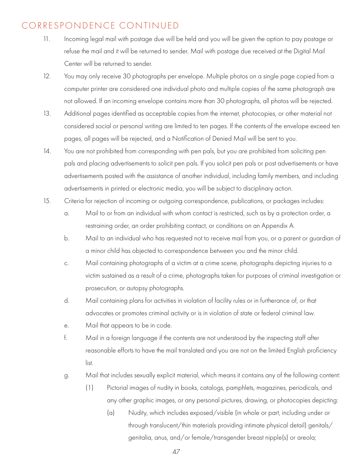- 11. Incoming legal mail with postage due will be held and you will be given the option to pay postage or refuse the mail and it will be returned to sender. Mail with postage due received at the Digital Mail Center will be returned to sender.
- 12. You may only receive 30 photographs per envelope. Multiple photos on a single page copied from a computer printer are considered one individual photo and multiple copies of the same photograph are not allowed. If an incoming envelope contains more than 30 photographs, all photos will be rejected.
- 13. Additional pages identified as acceptable copies from the internet, photocopies, or other material not considered social or personal writing are limited to ten pages. If the contents of the envelope exceed ten pages, all pages will be rejected, and a Notification of Denied Mail will be sent to you.
- 14. You are not prohibited from corresponding with pen pals, but you are prohibited from soliciting pen pals and placing advertisements to solicit pen pals. If you solicit pen pals or post advertisements or have advertisements posted with the assistance of another individual, including family members, and including advertisements in printed or electronic media, you will be subject to disciplinary action.
- 15. Criteria for rejection of incoming or outgoing correspondence, publications, or packages includes:
	- a. Mail to or from an individual with whom contact is restricted, such as by a protection order, a restraining order, an order prohibiting contact, or conditions on an Appendix A.
	- b. Mail to an individual who has requested not to receive mail from you, or a parent or guardian of a minor child has objected to correspondence between you and the minor child.
	- c. Mail containing photographs of a victim at a crime scene, photographs depicting injuries to a victim sustained as a result of a crime, photographs taken for purposes of criminal investigation or prosecution, or autopsy photographs.
	- d. Mail containing plans for activities in violation of facility rules or in furtherance of, or that advocates or promotes criminal activity or is in violation of state or federal criminal law.
	- e. Mail that appears to be in code.
	- f. Mail in a foreign language if the contents are not understood by the inspecting staff after reasonable efforts to have the mail translated and you are not on the limited English proficiency list.
	- g. Mail that includes sexually explicit material, which means it contains any of the following content:
		- (1) Pictorial images of nudity in books, catalogs, pamphlets, magazines, periodicals, and any other graphic images, or any personal pictures, drawing, or photocopies depicting:
			- (a) Nudity, which includes exposed/visible (in whole or part, including under or through translucent/thin materials providing intimate physical detail) genitals/ genitalia, anus, and/or female/transgender breast nipple(s) or areola;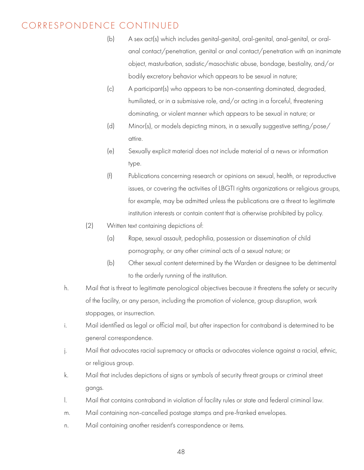- (b) A sex act(s) which includes genital-genital, oral-genital, anal-genital, or oral anal contact/penetration, genital or anal contact/penetration with an inanimate object, masturbation, sadistic/masochistic abuse, bondage, bestiality, and/or bodily excretory behavior which appears to be sexual in nature;
- (c) A participant(s) who appears to be non-consenting dominated, degraded, humiliated, or in a submissive role, and/or acting in a forceful, threatening dominating, or violent manner which appears to be sexual in nature; or
- (d) Minor(s), or models depicting minors, in a sexually suggestive setting/pose/ attire. The contract of the contract of the contract of the contract of the contract of the contract of the contract of the contract of the contract of the contract of the contract of the contract of the contract of the co
- (e) Sexually explicit material does not include material of a news or information type.
	- (f) Publications concerning research or opinions on sexual, health, or reproductive issues, or covering the activities of LBGTI rights organizations or religious groups, for example, may be admitted unless the publications are a threat to legitimate institution interests or contain content that is otherwise prohibited by policy.
	- (2) Written text containing depictions of:
		- (a) Rape, sexual assault, pedophilia, possession or dissemination of child pornography, or any other criminal acts of a sexual nature; or
		- (b) Other sexual content determined by the Warden or designee to be detrimental to the orderly running of the institution.
	- h. Mail that is threat to legitimate penological objectives because it threatens the safety or security of the facility, or any person, including the promotion of violence, group disruption, work stoppages, or insurrection.
	- i. Mail identified as legal or official mail, but after inspection for contraband is determined to be general correspondence.
	- j. Mail that advocates racial supremacy or attacks or advocates violence against a racial, ethnic, or religious group.
	- k. Mail that includes depictions of signs or symbols of security threat groups or criminal street gangs.
	- l. Mail that contains contraband in violation of facility rules or state and federal criminal law.
	- m. Mail containing non-cancelled postage stamps and pre-franked envelopes.
	- n. Mail containing another resident's correspondence or items.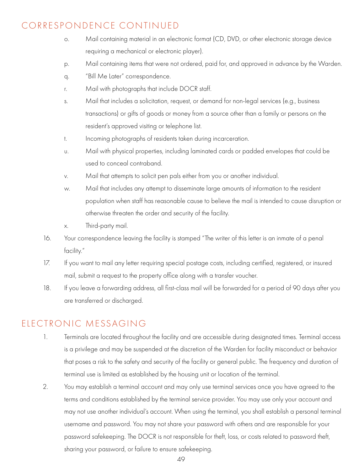- o. Mail containing material in an electronic format (CD, DVD, or other electronic storage device requiring a mechanical or electronic player).
- p. Mail containing items that were not ordered, paid for, and approved in advance by the Warden.
- q. "Bill Me Later" correspondence.
- r. Mail with photographs that include DOCR staff.
- s. Mail that includes a solicitation, request, or demand for non-legal services (e.g., business transactions) or gifts of goods or money from a source other than a family or persons on the resident's approved visiting or telephone list.
- t. Incoming photographs of residents taken during incarceration.
- u. Mail with physical properties, including laminated cards or padded envelopes that could be used to conceal contraband.
- v. Mail that attempts to solicit pen pals either from you or another individual.
- w. Mail that includes any attempt to disseminate large amounts of information to the resident population when staff has reasonable cause to believe the mail is intended to cause disruption or otherwise threaten the order and security of the facility.
- x. Third-party mail.
- 16. Your correspondence leaving the facility is stamped "The writer of this letter is an inmate of a penal facility."
- 17. If you want to mail any letter requiring special postage costs, including certified, registered, or insured mail, submit a request to the property office along with a transfer voucher.
- 18. If you leave a forwarding address, all first-class mail will be forwarded for a period of 90 days after you are transferred or discharged.

#### ELECTRONIC MESSAGING

- 1. Terminals are located throughout the facility and are accessible during designated times. Terminal access is a privilege and may be suspended at the discretion of the Warden for facility misconduct or behavior that poses a risk to the safety and security of the facility or general public. The frequency and duration of terminal use is limited as established by the housing unit or location of the terminal.
- 2. You may establish a terminal account and may only use terminal services once you have agreed to the terms and conditions established by the terminal service provider. You may use only your account and may not use another individual's account. When using the terminal, you shall establish a personal terminal username and password. You may not share your password with others and are responsible for your password safekeeping. The DOCR is not responsible for theft, loss, or costs related to password theft, sharing your password, or failure to ensure safekeeping.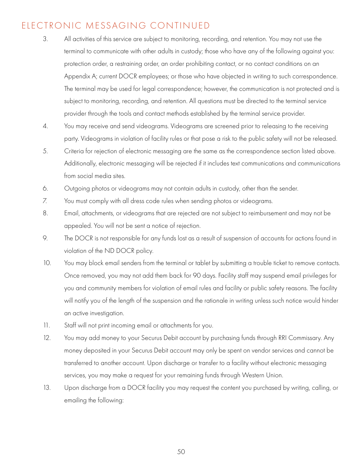## ELECTRONIC MESSAGING CONTINUED

- 3. All activities of this service are subject to monitoring, recording, and retention. You may not use the terminal to communicate with other adults in custody; those who have any of the following against you: protection order, a restraining order, an order prohibiting contact, or no contact conditions on an Appendix A; current DOCR employees; or those who have objected in writing to such correspondence. The terminal may be used for legal correspondence; however, the communication is not protected and is subject to monitoring, recording, and retention. All questions must be directed to the terminal service provider through the tools and contact methods established by the terminal service provider.
- 4. You may receive and send videograms. Videograms are screened prior to releasing to the receiving party. Videograms in violation of facility rules or that pose a risk to the public safety will not be released.
- 5. Criteria for rejection of electronic messaging are the same as the correspondence section listed above. Additionally, electronic messaging will be rejected if it includes text communications and communications from social media sites.
- 6. Outgoing photos or videograms may not contain adults in custody, other than the sender.
- 7. You must comply with all dress code rules when sending photos or videograms.
- 8. Email, attachments, or videograms that are rejected are not subject to reimbursement and may not be appealed. You will not be sent a notice of rejection.
- 9. The DOCR is not responsible for any funds lost as a result of suspension of accounts for actions found in violation of the ND DOCR policy.
- 10. You may block email senders from the terminal or tablet by submitting a trouble ticket to remove contacts. Once removed, you may not add them back for 90 days. Facility staff may suspend email privileges for you and community members for violation of email rules and facility or public safety reasons. The facility will notify you of the length of the suspension and the rationale in writing unless such notice would hinder an active investigation.
- 11. Staff will not print incoming email or attachments for you.
- 12. You may add money to your Securus Debit account by purchasing funds through RRI Commissary. Any money deposited in your Securus Debit account may only be spent on vendor services and cannot be transferred to another account. Upon discharge or transfer to a facility without electronic messaging services, you may make a request for your remaining funds through Western Union.
- 13. Upon discharge from a DOCR facility you may request the content you purchased by writing, calling, or emailing the following: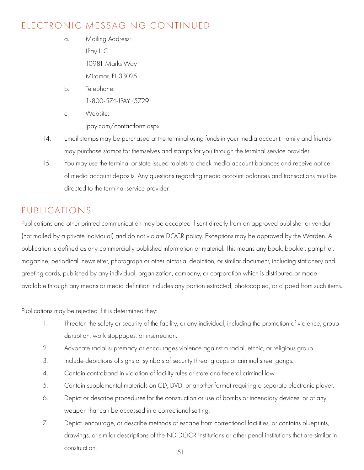# ELECTRONIC MESSAGING CONTINUED

- a. Mailing Address: JPay LLC 10981 Marks Way Miramar, FL 33025
- b. Telephone: 1-800-574-JPAY (5729)
- c. Website: jpay.com/contactform.aspx
- 14. Email stamps may be purchased at the terminal using funds in your media account. Family and friends may purchase stamps for themselves and stamps for you through the terminal service provider.
- 15. You may use the terminal or state issued tablets to check media account balances and receive notice of media account deposits. Any questions regarding media account balances and transactions must be directed to the terminal service provider.

# PUBLICATIONS

Publications and other printed communication may be accepted if sent directly from an approved publisher or vendor (not mailed by a private individual) and do not violate DOCR policy. Exceptions may be approved by the Warden. A publication is defined as any commercially published information or material. This means any book, booklet, pamphlet, magazine, periodical, newsletter, photograph or other pictorial depiction, or similar document, including stationery and greeting cards, published by any individual, organization, company, or corporation which is distributed or made available through any means or media definition includes any portion extracted, photocopied, or clipped from such items.

Publications may be rejected if it is determined they:

- 1. Threaten the safety or security of the facility, or any individual, including the promotion of violence, group disruption, work stoppages, or insurrection.
- 2. Advocate racial supremacy or encourages violence against a racial, ethnic, or religious group.
- 3. Include depictions of signs or symbols of security threat groups or criminal street gangs.
- 4. Contain contraband in violation of facility rules or state and federal criminal law.
- 5. Contain supplemental materials on CD, DVD, or another format requiring a separate electronic player.
- 6. Depict or describe procedures for the construction or use of bombs or incendiary devices, or of any weapon that can be accessed in a correctional setting.
- 7. Depict, encourage, or describe methods of escape from correctional facilities, or contains blueprints, drawings, or similar descriptions of the ND DOCR institutions or other penal institutions that are similar in construction. 51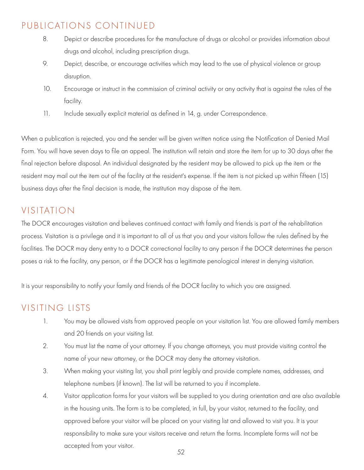#### PUBLICATIONS CONTINUED

- 8. Depict or describe procedures for the manufacture of drugs or alcohol or provides information about drugs and alcohol, including prescription drugs.
- 9. Depict, describe, or encourage activities which may lead to the use of physical violence or group disruption.
- 10. Encourage or instruct in the commission of criminal activity or any activity that is against the rules of the facility.
- 11. Include sexually explicit material as defined in 14, g. under Correspondence.

When a publication is rejected, you and the sender will be given written notice using the Notification of Denied Mail Form. You will have seven days to file an appeal. The institution will retain and store the item for up to 30 days after the final rejection before disposal. An individual designated by the resident may be allowed to pick up the item or the resident may mail out the item out of the facility at the resident's expense. If the item is not picked up within fifteen (15) business days after the final decision is made, the institution may dispose of the item.

# VISITATION

The DOCR encourages visitation and believes continued contact with family and friends is part of the rehabilitation process. Visitation is a privilege and it is important to all of us that you and your visitors follow the rules defined by the facilities. The DOCR may deny entry to a DOCR correctional facility to any person if the DOCR determines the person poses a risk to the facility, any person, or if the DOCR has a legitimate penological interest in denying visitation.

It is your responsibility to notify your family and friends of the DOCR facility to which you are assigned.

# VISITING LISTS

- 1. You may be allowed visits from approved people on your visitation list. You are allowed family members and 20 friends on your visiting list.
- 2. You must list the name of your attorney. If you change attorneys, you must provide visiting control the name of your new attorney, or the DOCR may deny the attorney visitation.
- 3. When making your visiting list, you shall print legibly and provide complete names, addresses, and telephone numbers (if known). The list will be returned to you if incomplete.
- 4. Visitor application forms for your visitors will be supplied to you during orientation and are also available in the housing units. The form is to be completed, in full, by your visitor, returned to the facility, and approved before your visitor will be placed on your visiting list and allowed to visit you. It is your responsibility to make sure your visitors receive and return the forms. Incomplete forms will not be accepted from your visitor.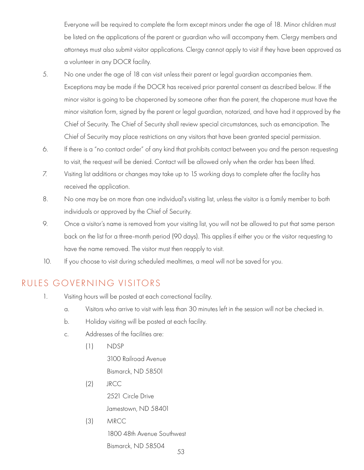Everyone will be required to complete the form except minors under the age of 18. Minor children must be listed on the applications of the parent or guardian who will accompany them. Clergy members and attorneys must also submit visitor applications. Clergy cannot apply to visit if they have been approved as a volunteer in any DOCR facility.

- 5. No one under the age of 18 can visit unless their parent or legal guardian accompanies them. Exceptions may be made if the DOCR has received prior parental consent as described below. If the minor visitor is going to be chaperoned by someone other than the parent, the chaperone must have the minor visitation form, signed by the parent or legal guardian, notarized, and have had it approved by the Chief of Security. The Chief of Security shall review special circumstances, such as emancipation. The Chief of Security may place restrictions on any visitors that have been granted special permission.
- 6. If there is a "no contact order" of any kind that prohibits contact between you and the person requesting to visit, the request will be denied. Contact will be allowed only when the order has been lifted.
- 7. Visiting list additions or changes may take up to 15 working days to complete after the facility has received the application.
- 8. No one may be on more than one individual's visiting list, unless the visitor is a family member to both individuals or approved by the Chief of Security.
- 9. Once a visitor's name is removed from your visiting list, you will not be allowed to put that same person back on the list for a three-month period (90 days). This applies if either you or the visitor requesting to have the name removed. The visitor must then reapply to visit.
- 10. If you choose to visit during scheduled mealtimes, a meal will not be saved for you.

#### RULES GOVERNING VISITORS

- 1. Visiting hours will be posted at each correctional facility.
	- a. Visitors who arrive to visit with less than 30 minutes left in the session will not be checked in.
	- b. Holiday visiting will be posted at each facility.
	- c. Addresses of the facilities are:
		- (1) NDSP

 3100 Railroad Avenue Bismarck, ND 58501

- (2) JRCC 2521 Circle Drive Jamestown, ND 58401
- (3) MRCC

1800 48th Avenue Southwest

Bismarck, ND 58504 53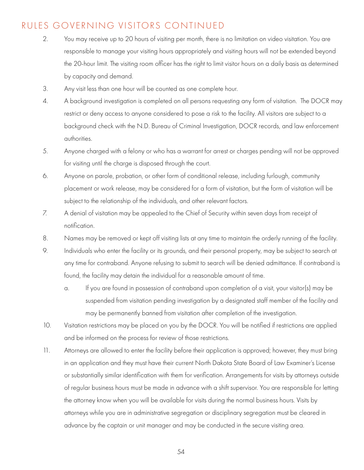#### RULES GOVERNING VISITORS CONTINUED

- 2. You may receive up to 20 hours of visiting per month, there is no limitation on video visitation. You are responsible to manage your visiting hours appropriately and visiting hours will not be extended beyond the 20-hour limit. The visiting room officer has the right to limit visitor hours on a daily basis as determined by capacity and demand.
- 3. Any visit less than one hour will be counted as one complete hour.
- 4. A background investigation is completed on all persons requesting any form of visitation. The DOCR may restrict or deny access to anyone considered to pose a risk to the facility. All visitors are subject to a background check with the N.D. Bureau of Criminal Investigation, DOCR records, and law enforcement authorities.
- 5. Anyone charged with a felony or who has a warrant for arrest or charges pending will not be approved for visiting until the charge is disposed through the court.
- 6. Anyone on parole, probation, or other form of conditional release, including furlough, community placement or work release, may be considered for a form of visitation, but the form of visitation will be subject to the relationship of the individuals, and other relevant factors.
- 7. A denial of visitation may be appealed to the Chief of Security within seven days from receipt of notification.
- 8. Names may be removed or kept off visiting lists at any time to maintain the orderly running of the facility.
- 9. Individuals who enter the facility or its grounds, and their personal property, may be subject to search at any time for contraband. Anyone refusing to submit to search will be denied admittance. If contraband is found, the facility may detain the individual for a reasonable amount of time.
	- a. If you are found in possession of contraband upon completion of a visit, your visitor(s) may be suspended from visitation pending investigation by a designated staff member of the facility and may be permanently banned from visitation after completion of the investigation.
- 10. Visitation restrictions may be placed on you by the DOCR. You will be notified if restrictions are applied and be informed on the process for review of those restrictions.
- 11. Attorneys are allowed to enter the facility before their application is approved; however, they must bring in an application and they must have their current North Dakota State Board of Law Examiner's License or substantially similar identification with them for verification. Arrangements for visits by attorneys outside of regular business hours must be made in advance with a shift supervisor. You are responsible for letting the attorney know when you will be available for visits during the normal business hours. Visits by attorneys while you are in administrative segregation or disciplinary segregation must be cleared in advance by the captain or unit manager and may be conducted in the secure visiting area.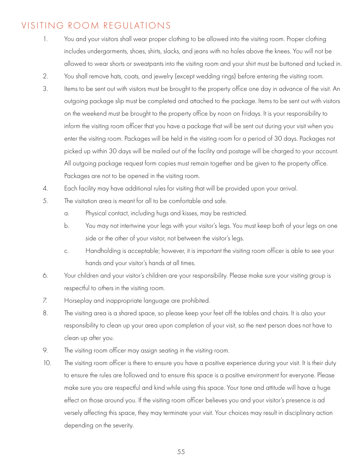#### VISITING ROOM REGULATIONS

- 1. You and your visitors shall wear proper clothing to be allowed into the visiting room. Proper clothing includes undergarments, shoes, shirts, slacks, and jeans with no holes above the knees. You will not be allowed to wear shorts or sweatpants into the visiting room and your shirt must be buttoned and tucked in.
- 2. You shall remove hats, coats, and jewelry (except wedding rings) before entering the visiting room.
- 3. Items to be sent out with visitors must be brought to the property office one day in advance of the visit. An outgoing package slip must be completed and attached to the package. Items to be sent out with visitors on the weekend must be brought to the property office by noon on Fridays. It is your responsibility to inform the visiting room officer that you have a package that will be sent out during your visit when you enter the visiting room. Packages will be held in the visiting room for a period of 30 days. Packages not picked up within 30 days will be mailed out of the facility and postage will be charged to your account. All outgoing package request form copies must remain together and be given to the property office. Packages are not to be opened in the visiting room.
- 4. Each facility may have additional rules for visiting that will be provided upon your arrival.
- 5. The visitation area is meant for all to be comfortable and safe.
	- a. Physical contact, including hugs and kisses, may be restricted.
	- b. You may not intertwine your legs with your visitor's legs. You must keep both of your legs on one side or the other of your visitor, not between the visitor's legs.
	- c. Handholding is acceptable; however, it is important the visiting room officer is able to see your hands and your visitor's hands at all times.
- 6. Your children and your visitor's children are your responsibility. Please make sure your visiting group is respectful to others in the visiting room.
- 7. Horseplay and inappropriate language are prohibited.
- 8. The visiting area is a shared space, so please keep your feet off the tables and chairs. It is also your responsibility to clean up your area upon completion of your visit, so the next person does not have to clean up after you.
- 9. The visiting room officer may assign seating in the visiting room.
- 10. The visiting room officer is there to ensure you have a positive experience during your visit. It is their duty to ensure the rules are followed and to ensure this space is a positive environment for everyone. Please make sure you are respectful and kind while using this space. Your tone and attitude will have a huge effect on those around you. If the visiting room officer believes you and your visitor's presence is ad versely affecting this space, they may terminate your visit. Your choices may result in disciplinary action depending on the severity.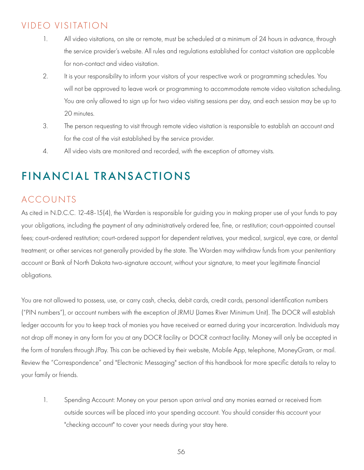# VIDEO VISITATION

- 1. All video visitations, on site or remote, must be scheduled at a minimum of 24 hours in advance, through the service provider's website. All rules and regulations established for contact visitation are applicable for non-contact and video visitation.
- 2. It is your responsibility to inform your visitors of your respective work or programming schedules. You will not be approved to leave work or programming to accommodate remote video visitation scheduling. You are only allowed to sign up for two video visiting sessions per day, and each session may be up to 20 minutes.
- 3. The person requesting to visit through remote video visitation is responsible to establish an account and for the cost of the visit established by the service provider.
- 4. All video visits are monitored and recorded, with the exception of attorney visits.

# FINANCIAL TRANSACTIONS

# ACCOUNTS

As cited in N.D.C.C. 12-48-15(4), the Warden is responsible for guiding you in making proper use of your funds to pay your obligations, including the payment of any administratively ordered fee, fine, or restitution; court-appointed counsel fees; court-ordered restitution; court-ordered support for dependent relatives, your medical, surgical, eye care, or dental treatment; or other services not generally provided by the state. The Warden may withdraw funds from your penitentiary account or Bank of North Dakota two-signature account, without your signature, to meet your legitimate financial obligations.

You are not allowed to possess, use, or carry cash, checks, debit cards, credit cards, personal identification numbers ("PIN numbers"), or account numbers with the exception of JRMU (James River Minimum Unit). The DOCR will establish ledger accounts for you to keep track of monies you have received or earned during your incarceration. Individuals may not drop off money in any form for you at any DOCR facility or DOCR contract facility. Money will only be accepted in the form of transfers through JPay. This can be achieved by their website, Mobile App, telephone, MoneyGram, or mail. Review the "Correspondence" and "Electronic Messaging" section of this handbook for more specific details to relay to your family or friends.

1. Spending Account: Money on your person upon arrival and any monies earned or received from outside sources will be placed into your spending account. You should consider this account your "checking account" to cover your needs during your stay here.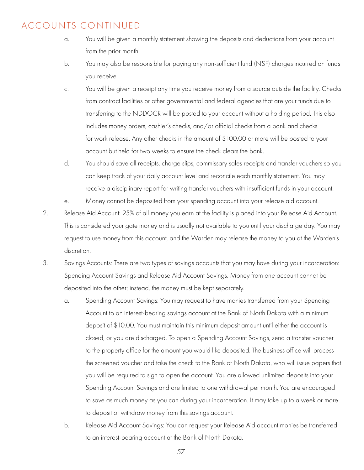#### ACCOUNTS CONTINUED

- a. You will be given a monthly statement showing the deposits and deductions from your account from the prior month.
- b. You may also be responsible for paying any non-sufficient fund (NSF) charges incurred on funds you receive.
- c. You will be given a receipt any time you receive money from a source outside the facility. Checks from contract facilities or other governmental and federal agencies that are your funds due to transferring to the NDDOCR will be posted to your account without a holding period. This also includes money orders, cashier's checks, and/or official checks from a bank and checks for work release. Any other checks in the amount of \$100.00 or more will be posted to your account but held for two weeks to ensure the check clears the bank.
- d. You should save all receipts, charge slips, commissary sales receipts and transfer vouchers so you can keep track of your daily account level and reconcile each monthly statement. You may receive a disciplinary report for writing transfer vouchers with insufficient funds in your account.
- e. Money cannot be deposited from your spending account into your release aid account.
- 2. Release Aid Account: 25% of all money you earn at the facility is placed into your Release Aid Account. This is considered your gate money and is usually not available to you until your discharge day. You may request to use money from this account, and the Warden may release the money to you at the Warden's discretion.
- 3. Savings Accounts: There are two types of savings accounts that you may have during your incarceration: Spending Account Savings and Release Aid Account Savings. Money from one account cannot be deposited into the other; instead, the money must be kept separately.
	- a. Spending Account Savings: You may request to have monies transferred from your Spending Account to an interest-bearing savings account at the Bank of North Dakota with a minimum deposit of \$10.00. You must maintain this minimum deposit amount until either the account is closed, or you are discharged. To open a Spending Account Savings, send a transfer voucher to the property office for the amount you would like deposited. The business office will process the screened voucher and take the check to the Bank of North Dakota, who will issue papers that you will be required to sign to open the account. You are allowed unlimited deposits into your Spending Account Savings and are limited to one withdrawal per month. You are encouraged to save as much money as you can during your incarceration. It may take up to a week or more to deposit or withdraw money from this savings account.
	- b. Release Aid Account Savings: You can request your Release Aid account monies be transferred to an interest-bearing account at the Bank of North Dakota.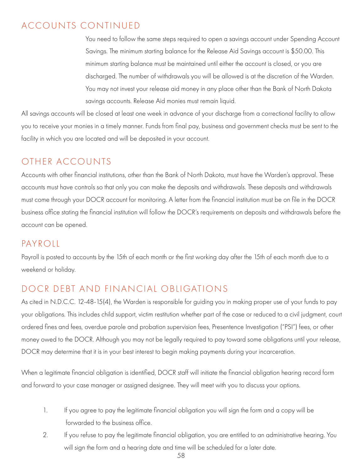#### ACCOUNTS CONTINUED

 You need to follow the same steps required to open a savings account under Spending Account Savings. The minimum starting balance for the Release Aid Savings account is \$50.00. This minimum starting balance must be maintained until either the account is closed, or you are discharged. The number of withdrawals you will be allowed is at the discretion of the Warden. You may not invest your release aid money in any place other than the Bank of North Dakota savings accounts. Release Aid monies must remain liquid.

All savings accounts will be closed at least one week in advance of your discharge from a correctional facility to allow you to receive your monies in a timely manner. Funds from final pay, business and government checks must be sent to the facility in which you are located and will be deposited in your account.

# OTHER ACCOUNTS

Accounts with other financial institutions, other than the Bank of North Dakota, must have the Warden's approval. These accounts must have controls so that only you can make the deposits and withdrawals. These deposits and withdrawals must come through your DOCR account for monitoring. A letter from the financial institution must be on file in the DOCR business office stating the financial institution will follow the DOCR's requirements on deposits and withdrawals before the account can be opened.

#### PAYROLL

Payroll is posted to accounts by the 15th of each month or the first working day after the 15th of each month due to a weekend or holiday.

# DOCR DEBT AND FINANCIAL OBLIGATIONS

As cited in N.D.C.C. 12-48-15(4), the Warden is responsible for guiding you in making proper use of your funds to pay your obligations. This includes child support, victim restitution whether part of the case or reduced to a civil judgment, court ordered fines and fees, overdue parole and probation supervision fees, Presentence Investigation ("PSI") fees, or other money owed to the DOCR. Although you may not be legally required to pay toward some obligations until your release, DOCR may determine that it is in your best interest to begin making payments during your incarceration.

When a legitimate financial obligation is identified, DOCR staff will initiate the financial obligation hearing record form and forward to your case manager or assigned designee. They will meet with you to discuss your options.

- 1. If you agree to pay the legitimate financial obligation you will sign the form and a copy will be forwarded to the business office.
- 2. If you refuse to pay the legitimate financial obligation, you are entitled to an administrative hearing. You will sign the form and a hearing date and time will be scheduled for a later date.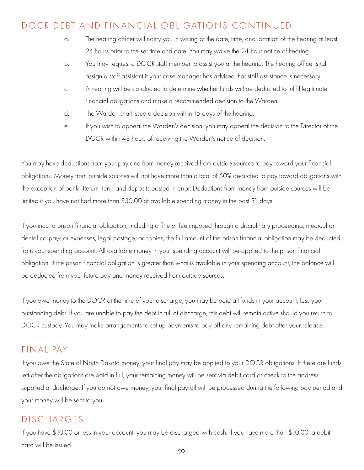### DOCR DEBT AND FINANCIAL OBLIGATIONS CONTINUED

- a. The hearing officer will notify you in writing of the date, time, and location of the hearing at least 24 hours prior to the set time and date. You may waive the 24-hour notice of hearing.
- b. You may request a DOCR staff member to assist you at the hearing. The hearing officer shall assign a staff assistant if your case manager has advised that staff assistance is necessary.
- c. A hearing will be conducted to determine whether funds will be deducted to fulfill legitimate financial obligations and make a recommended decision to the Warden.
- d. The Warden shall issue a decision within 15 days of the hearing.
- e. If you wish to appeal the Warden's decision, you may appeal the decision to the Director of the DOCR within 48 hours of receiving the Warden's notice of decision.

You may have deductions from your pay and from money received from outside sources to pay toward your financial obligations. Money from outside sources will not have more than a total of 50% deducted to pay toward obligations with the exception of bank "Return Item" and deposits posted in error. Deductions from money from outside sources will be limited if you have not had more than \$30.00 of available spending money in the past 31 days.

If you incur a prison financial obligation, including a fine or fee imposed through a disciplinary proceeding, medical or dental co-pays or expenses, legal postage, or copies, the full amount of the prison financial obligation may be deducted from your spending account. All available money in your spending account will be applied to the prison financial obligation. If the prison financial obligation is greater than what is available in your spending account, the balance will be deducted from your future pay and money received from outside sources.

If you owe money to the DOCR at the time of your discharge, you may be paid all funds in your account, less your outstanding debt. If you are unable to pay the debt in full at discharge, this debt will remain active should you return to DOCR custody. You may make arrangements to set up payments to pay off any remaining debt after your release.

#### FINAL PAY

If you owe the State of North Dakota money, your final pay may be applied to your DOCR obligations. If there are funds left after the obligations are paid in full, your remaining money will be sent via debit card or check to the address supplied at discharge. If you do not owe money, your final payroll will be processed during the following pay period and your money will be sent to you.

#### DISCHARGES

If you have \$10.00 or less in your account, you may be discharged with cash. If you have more than \$10.00, a debit card will be issued.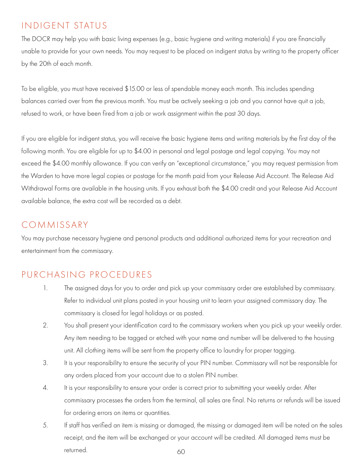# INDIGENT STATUS

The DOCR may help you with basic living expenses (e.g., basic hygiene and writing materials) if you are financially unable to provide for your own needs. You may request to be placed on indigent status by writing to the property officer by the 20th of each month.

To be eligible, you must have received \$15.00 or less of spendable money each month. This includes spending balances carried over from the previous month. You must be actively seeking a job and you cannot have quit a job, refused to work, or have been fired from a job or work assignment within the past 30 days.

If you are eligible for indigent status, you will receive the basic hygiene items and writing materials by the first day of the following month. You are eligible for up to \$4.00 in personal and legal postage and legal copying. You may not exceed the \$4.00 monthly allowance. If you can verify an "exceptional circumstance," you may request permission from the Warden to have more legal copies or postage for the month paid from your Release Aid Account. The Release Aid Withdrawal Forms are available in the housing units. If you exhaust both the \$4.00 credit and your Release Aid Account available balance, the extra cost will be recorded as a debt.

## COMMISSARY

You may purchase necessary hygiene and personal products and additional authorized items for your recreation and entertainment from the commissary.

# PURCHASING PROCEDURES

- 1. The assigned days for you to order and pick up your commissary order are established by commissary. Refer to individual unit plans posted in your housing unit to learn your assigned commissary day. The commissary is closed for legal holidays or as posted.
- 2. You shall present your identification card to the commissary workers when you pick up your weekly order. Any item needing to be tagged or etched with your name and number will be delivered to the housing unit. All clothing items will be sent from the property office to laundry for proper tagging.
- 3. It is your responsibility to ensure the security of your PIN number. Commissary will not be responsible for any orders placed from your account due to a stolen PIN number.
- 4. It is your responsibility to ensure your order is correct prior to submitting your weekly order. After commissary processes the orders from the terminal, all sales are final. No returns or refunds will be issued for ordering errors on items or quantities.
- 5. If staff has verified an item is missing or damaged, the missing or damaged item will be noted on the sales receipt, and the item will be exchanged or your account will be credited. All damaged items must be returned. 60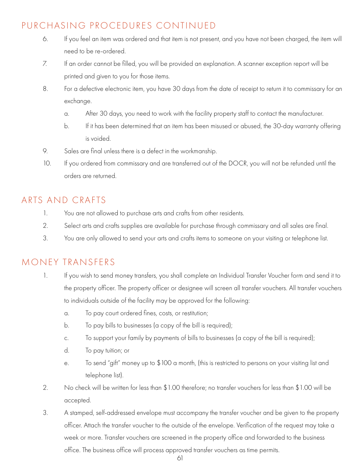## PURCHASING PROCEDURES CONTINUED

- 6. If you feel an item was ordered and that item is not present, and you have not been charged, the item will need to be re-ordered.
- 7. If an order cannot be filled, you will be provided an explanation. A scanner exception report will be printed and given to you for those items.
- 8. For a defective electronic item, you have 30 days from the date of receipt to return it to commissary for an exchange.
	- a. After 30 days, you need to work with the facility property staff to contact the manufacturer.
	- b. If it has been determined that an item has been misused or abused, the 30-day warranty offering is voided.
- 9. Sales are final unless there is a defect in the workmanship.
- 10. If you ordered from commissary and are transferred out of the DOCR, you will not be refunded until the orders are returned.

# ARTS AND CRAFTS

- 1. You are not allowed to purchase arts and crafts from other residents.
- 2. Select arts and crafts supplies are available for purchase through commissary and all sales are final.
- 3. You are only allowed to send your arts and crafts items to someone on your visiting or telephone list.

## MONEY TRANSFERS

- 1. If you wish to send money transfers, you shall complete an Individual Transfer Voucher form and send it to the property officer. The property officer or designee will screen all transfer vouchers. All transfer vouchers to individuals outside of the facility may be approved for the following:
	- a. To pay court ordered fines, costs, or restitution;
	- b. To pay bills to businesses (a copy of the bill is required);
	- c. To support your family by payments of bills to businesses (a copy of the bill is required);
	- d. To pay tuition; or
	- e. To send "gift" money up to \$100 a month, (this is restricted to persons on your visiting list and telephone list).
- 2. No check will be written for less than \$1.00 therefore; no transfer vouchers for less than \$1.00 will be accepted.
- 3. A stamped, self-addressed envelope must accompany the transfer voucher and be given to the property officer. Attach the transfer voucher to the outside of the envelope. Verification of the request may take a week or more. Transfer vouchers are screened in the property office and forwarded to the business office. The business office will process approved transfer vouchers as time permits.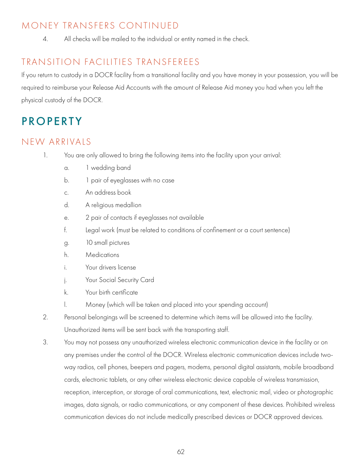## MONEY TRANSFERS CONTINUED

4. All checks will be mailed to the individual or entity named in the check.

# TRANSITION FACILITIES TRANSFEREES

If you return to custody in a DOCR facility from a transitional facility and you have money in your possession, you will be required to reimburse your Release Aid Accounts with the amount of Release Aid money you had when you left the physical custody of the DOCR.

# **PROPERTY**

## NEW ARRIVALS

- 1. You are only allowed to bring the following items into the facility upon your arrival:
	- a. 1 wedding band
	- b. 1 pair of eyeglasses with no case
	- c. An address book
	- d. A religious medallion
	- e. 2 pair of contacts if eyeglasses not available
	- f. Legal work (must be related to conditions of confinement or a court sentence)
	- g. 10 small pictures
	- h. Medications
	- i. Your drivers license
	- j. Your Social Security Card
	- k. Your birth certificate
	- l. Money (which will be taken and placed into your spending account)
- 2. Personal belongings will be screened to determine which items will be allowed into the facility. Unauthorized items will be sent back with the transporting staff.
- 3. You may not possess any unauthorized wireless electronic communication device in the facility or on any premises under the control of the DOCR. Wireless electronic communication devices include two way radios, cell phones, beepers and pagers, modems, personal digital assistants, mobile broadband cards, electronic tablets, or any other wireless electronic device capable of wireless transmission, reception, interception, or storage of oral communications, text, electronic mail, video or photographic images, data signals, or radio communications, or any component of these devices. Prohibited wireless communication devices do not include medically prescribed devices or DOCR approved devices.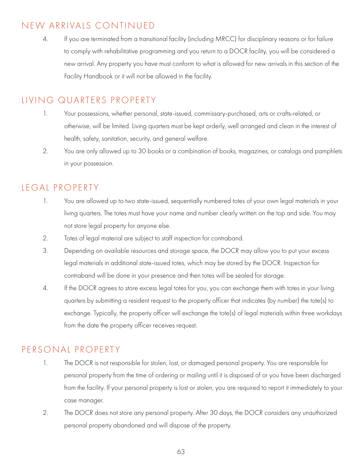## NEW ARRIVALS CONTINUED

4. If you are terminated from a transitional facility (including MRCC) for disciplinary reasons or for failure to comply with rehabilitative programming and you return to a DOCR facility, you will be considered a new arrival. Any property you have must conform to what is allowed for new arrivals in this section of the Facility Handbook or it will not be allowed in the facility.

### LIVING QUARTERS PROPERTY

- 1. Your possessions, whether personal, state-issued, commissary-purchased, arts or crafts-related, or otherwise, will be limited. Living quarters must be kept orderly, well arranged and clean in the interest of health, safety, sanitation, security, and general welfare.
- 2. You are only allowed up to 30 books or a combination of books, magazines, or catalogs and pamphlets in your possession.

### LEGAL PROPERTY

- 1. You are allowed up to two state-issued, sequentially numbered totes of your own legal materials in your living quarters. The totes must have your name and number clearly written on the top and side. You may not store legal property for anyone else.
- 2. Totes of legal material are subject to staff inspection for contraband.
- 3. Depending on available resources and storage space, the DOCR may allow you to put your excess legal materials in additional state-issued totes, which may be stored by the DOCR. Inspection for contraband will be done in your presence and then totes will be sealed for storage.
- 4. If the DOCR agrees to store excess legal totes for you, you can exchange them with totes in your living quarters by submitting a resident request to the property officer that indicates (by number) the tote(s) to exchange. Typically, the property officer will exchange the tote(s) of legal materials within three workdays from the date the property officer receives request.

## PERSONAL PROPERTY

- 1. The DOCR is not responsible for stolen, lost, or damaged personal property. You are responsible for personal property from the time of ordering or mailing until it is disposed of or you have been discharged from the facility. If your personal property is lost or stolen, you are required to report it immediately to your case manager.
- 2. The DOCR does not store any personal property. After 30 days, the DOCR considers any unauthorized personal property abandoned and will dispose of the property.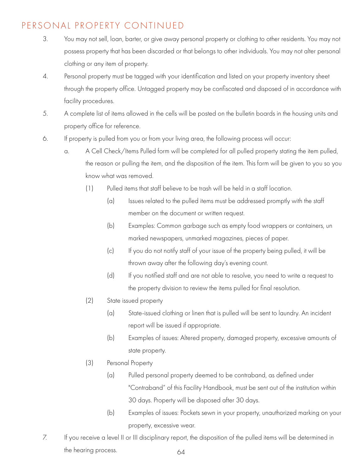# PERSONAL PROPERTY CONTINUED

- 3. You may not sell, loan, barter, or give away personal property or clothing to other residents. You may not possess property that has been discarded or that belongs to other individuals. You may not alter personal clothing or any item of property.
- 4. Personal property must be tagged with your identification and listed on your property inventory sheet through the property office. Untagged property may be confiscated and disposed of in accordance with facility procedures.
- 5. A complete list of items allowed in the cells will be posted on the bulletin boards in the housing units and property office for reference.
- 6. If property is pulled from you or from your living area, the following process will occur:
	- a. A Cell Check/Items Pulled form will be completed for all pulled property stating the item pulled, the reason or pulling the item, and the disposition of the item. This form will be given to you so you know what was removed.
		- (1) Pulled items that staff believe to be trash will be held in a staff location.
			- (a) Issues related to the pulled items must be addressed promptly with the staff member on the document or written request.
			- (b) Examples: Common garbage such as empty food wrappers or containers, un marked newspapers, unmarked magazines, pieces of paper.
			- (c) If you do not notify staff of your issue of the property being pulled, it will be thrown away after the following day's evening count.
			- (d) If you notified staff and are not able to resolve, you need to write a request to the property division to review the items pulled for final resolution.
		- (2) State issued property
			- (a) State-issued clothing or linen that is pulled will be sent to laundry. An incident report will be issued if appropriate.
			- (b) Examples of issues: Altered property, damaged property, excessive amounts of state property.
		- (3) Personal Property
			- (a) Pulled personal property deemed to be contraband, as defined under "Contraband" of this Facility Handbook, must be sent out of the institution within 30 days. Property will be disposed after 30 days.
			- (b) Examples of issues: Pockets sewn in your property, unauthorized marking on your property, excessive wear.
- 7. If you receive a level II or III disciplinary report, the disposition of the pulled items will be determined in the hearing process. 64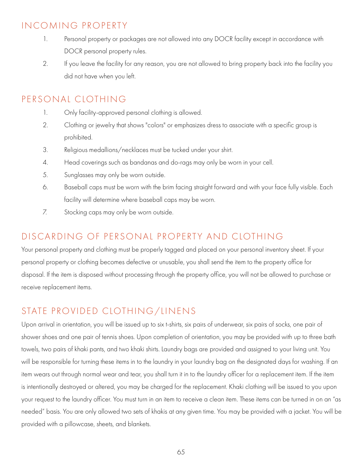## INCOMING PROPERTY

- 1. Personal property or packages are not allowed into any DOCR facility except in accordance with DOCR personal property rules.
- 2. If you leave the facility for any reason, you are not allowed to bring property back into the facility you did not have when you left.

#### PERSONAL CLOTHING

- 1. Only facility-approved personal clothing is allowed.
- 2. Clothing or jewelry that shows "colors" or emphasizes dress to associate with a specific group is prohibited.
- 3. Religious medallions/necklaces must be tucked under your shirt.
- 4. Head coverings such as bandanas and do-rags may only be worn in your cell.
- 5. Sunglasses may only be worn outside.
- 6. Baseball caps must be worn with the brim facing straight forward and with your face fully visible. Each facility will determine where baseball caps may be worn.
- 7. Stocking caps may only be worn outside.

#### DISCARDING OF PERSONAL PROPERTY AND CLOTHING

Your personal property and clothing must be properly tagged and placed on your personal inventory sheet. If your personal property or clothing becomes defective or unusable, you shall send the item to the property office for disposal. If the item is disposed without processing through the property office, you will not be allowed to purchase or receive replacement items.

## STATE PROVIDED CLOTHING/LINENS

Upon arrival in orientation, you will be issued up to six t-shirts, six pairs of underwear, six pairs of socks, one pair of shower shoes and one pair of tennis shoes. Upon completion of orientation, you may be provided with up to three bath towels, two pairs of khaki pants, and two khaki shirts. Laundry bags are provided and assigned to your living unit. You will be responsible for turning these items in to the laundry in your laundry bag on the designated days for washing. If an item wears out through normal wear and tear, you shall turn it in to the laundry officer for a replacement item. If the item is intentionally destroyed or altered, you may be charged for the replacement. Khaki clothing will be issued to you upon your request to the laundry officer. You must turn in an item to receive a clean item. These items can be turned in on an "as needed" basis. You are only allowed two sets of khakis at any given time. You may be provided with a jacket. You will be provided with a pillowcase, sheets, and blankets.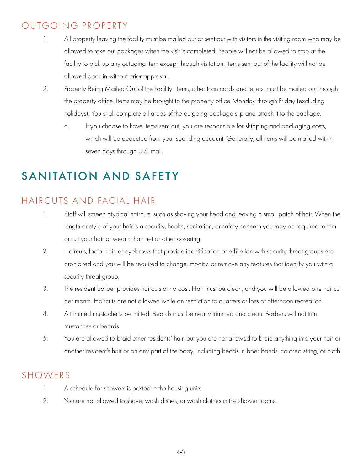# OUTGOING PROPERTY

- 1. All property leaving the facility must be mailed out or sent out with visitors in the visiting room who may be allowed to take out packages when the visit is completed. People will not be allowed to stop at the facility to pick up any outgoing item except through visitation. Items sent out of the facility will not be allowed back in without prior approval.
- 2. Property Being Mailed Out of the Facility: Items, other than cards and letters, must be mailed out through the property office. Items may be brought to the property office Monday through Friday (excluding holidays). You shall complete all areas of the outgoing package slip and attach it to the package.
	- a. If you choose to have items sent out, you are responsible for shipping and packaging costs, which will be deducted from your spending account. Generally, all items will be mailed within seven days through U.S. mail.

# SANITATION AND SAFETY

#### HAIRCUTS AND FACIAL HAIR

- 1. Staff will screen atypical haircuts, such as shaving your head and leaving a small patch of hair. When the length or style of your hair is a security, health, sanitation, or safety concern you may be required to trim or cut your hair or wear a hair net or other covering.
- 2. Haircuts, facial hair, or eyebrows that provide identification or affiliation with security threat groups are prohibited and you will be required to change, modify, or remove any features that identify you with a security threat group.
- 3. The resident barber provides haircuts at no cost. Hair must be clean, and you will be allowed one haircut per month. Haircuts are not allowed while on restriction to quarters or loss of afternoon recreation.
- 4. A trimmed mustache is permitted. Beards must be neatly trimmed and clean. Barbers will not trim mustaches or beards.
- 5. You are allowed to braid other residents' hair, but you are not allowed to braid anything into your hair or another resident's hair or on any part of the body, including beads, rubber bands, colored string, or cloth.

## SHOWERS

- 1. A schedule for showers is posted in the housing units.
- 2. You are not allowed to shave, wash dishes, or wash clothes in the shower rooms.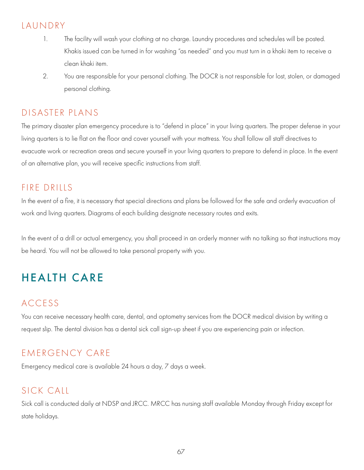### LAUNDRY

- 1. The facility will wash your clothing at no charge. Laundry procedures and schedules will be posted. Khakis issued can be turned in for washing "as needed" and you must turn in a khaki item to receive a clean khaki item.
- 2. You are responsible for your personal clothing. The DOCR is not responsible for lost, stolen, or damaged personal clothing.

#### DISASTER PLANS

The primary disaster plan emergency procedure is to "defend in place" in your living quarters. The proper defense in your living quarters is to lie flat on the floor and cover yourself with your mattress. You shall follow all staff directives to evacuate work or recreation areas and secure yourself in your living quarters to prepare to defend in place. In the event of an alternative plan, you will receive specific instructions from staff.

#### FIRE DRILLS

In the event of a fire, it is necessary that special directions and plans be followed for the safe and orderly evacuation of work and living quarters. Diagrams of each building designate necessary routes and exits.

In the event of a drill or actual emergency, you shall proceed in an orderly manner with no talking so that instructions may be heard. You will not be allowed to take personal property with you.

# HEALTH CARE

## ACCESS

You can receive necessary health care, dental, and optometry services from the DOCR medical division by writing a request slip. The dental division has a dental sick call sign-up sheet if you are experiencing pain or infection.

# EMERGENCY CARE

Emergency medical care is available 24 hours a day, 7 days a week.

# SICK CALL

Sick call is conducted daily at NDSP and JRCC. MRCC has nursing staff available Monday through Friday except for state holidays.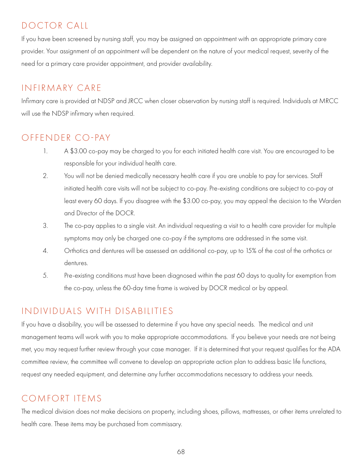# DOCTOR CALL

If you have been screened by nursing staff, you may be assigned an appointment with an appropriate primary care provider. Your assignment of an appointment will be dependent on the nature of your medical request, severity of the need for a primary care provider appointment, and provider availability.

# INFIRMARY CARE

Infirmary care is provided at NDSP and JRCC when closer observation by nursing staff is required. Individuals at MRCC will use the NDSP infirmary when required.

# OFFENDER CO-PAY

- 1. A \$3.00 co-pay may be charged to you for each initiated health care visit. You are encouraged to be responsible for your individual health care.
- 2. You will not be denied medically necessary health care if you are unable to pay for services. Staff initiated health care visits will not be subject to co-pay. Pre-existing conditions are subject to co-pay at least every 60 days. If you disagree with the \$3.00 co-pay, you may appeal the decision to the Warden and Director of the DOCR.
- 3. The co-pay applies to a single visit. An individual requesting a visit to a health care provider for multiple symptoms may only be charged one co-pay if the symptoms are addressed in the same visit.
- 4. Orthotics and dentures will be assessed an additional co-pay, up to 15% of the cost of the orthotics or dentures.
- 5. Pre-existing conditions must have been diagnosed within the past 60 days to quality for exemption from the co-pay, unless the 60-day time frame is waived by DOCR medical or by appeal.

# INDIVIDUALS WITH DISABILITIES

If you have a disability, you will be assessed to determine if you have any special needs. The medical and unit management teams will work with you to make appropriate accommodations. If you believe your needs are not being met, you may request further review through your case manager. If it is determined that your request qualifies for the ADA committee review, the committee will convene to develop an appropriate action plan to address basic life functions, request any needed equipment, and determine any further accommodations necessary to address your needs.

# COMFORT ITEMS

The medical division does not make decisions on property, including shoes, pillows, mattresses, or other items unrelated to health care. These items may be purchased from commissary.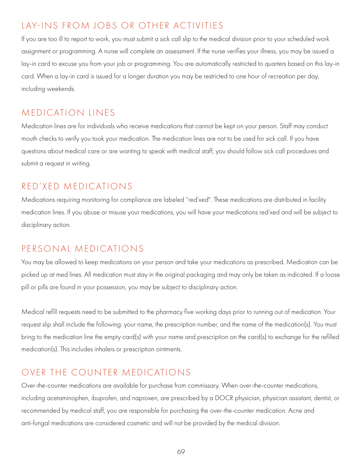# LAY-INS FROM JOBS OR OTHER ACTIVITIES

If you are too ill to report to work, you must submit a sick call slip to the medical division prior to your scheduled work assignment or programming. A nurse will complete an assessment. If the nurse verifies your illness, you may be issued a lay-in card to excuse you from your job or programming. You are automatically restricted to quarters based on this lay-in card. When a lay-in card is issued for a longer duration you may be restricted to one hour of recreation per day, including weekends.

#### MEDICATION LINES

Medication lines are for individuals who receive medications that cannot be kept on your person. Staff may conduct mouth checks to verify you took your medication. The medication lines are not to be used for sick call. If you have questions about medical care or are wanting to speak with medical staff, you should follow sick call procedures and submit a request in writing.

### RED'XED MEDICATIONS

Medications requiring monitoring for compliance are labeled "red'xed". These medications are distributed in facility medication lines. If you abuse or misuse your medications, you will have your medications red'xed and will be subject to disciplinary action.

## PERSONAL MEDICATIONS

You may be allowed to keep medications on your person and take your medications as prescribed. Medication can be picked up at med lines. All medication must stay in the original packaging and may only be taken as indicated. If a loose pill or pills are found in your possession, you may be subject to disciplinary action.

Medical refill requests need to be submitted to the pharmacy five working days prior to running out of medication. Your request slip shall include the following: your name, the prescription number, and the name of the medication(s). You must bring to the medication line the empty card(s) with your name and prescription on the card(s) to exchange for the refilled medication(s). This includes inhalers or prescription ointments.

## OVER THE COUNTER MEDICATIONS

Over-the-counter medications are available for purchase from commissary. When over-the-counter medications, including acetaminophen, ibuprofen, and naproxen, are prescribed by a DOCR physician, physician assistant, dentist, or recommended by medical staff, you are responsible for purchasing the over-the-counter medication. Acne and anti-fungal medications are considered cosmetic and will not be provided by the medical division.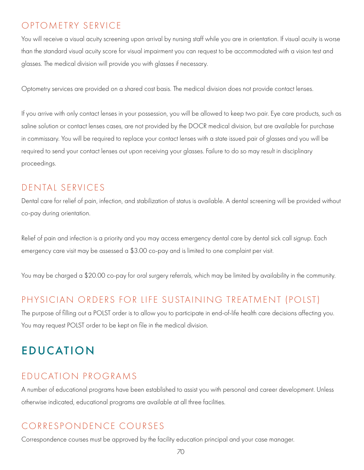# OPTOMETRY SERVICE

You will receive a visual acuity screening upon arrival by nursing staff while you are in orientation. If visual acuity is worse than the standard visual acuity score for visual impairment you can request to be accommodated with a vision test and glasses. The medical division will provide you with glasses if necessary.

Optometry services are provided on a shared cost basis. The medical division does not provide contact lenses.

If you arrive with only contact lenses in your possession, you will be allowed to keep two pair. Eye care products, such as saline solution or contact lenses cases, are not provided by the DOCR medical division, but are available for purchase in commissary. You will be required to replace your contact lenses with a state issued pair of glasses and you will be required to send your contact lenses out upon receiving your glasses. Failure to do so may result in disciplinary proceedings.

#### DENTAL SERVICES

Dental care for relief of pain, infection, and stabilization of status is available. A dental screening will be provided without co-pay during orientation.

Relief of pain and infection is a priority and you may access emergency dental care by dental sick call signup. Each emergency care visit may be assessed a \$3.00 co-pay and is limited to one complaint per visit.

You may be charged a \$20.00 co-pay for oral surgery referrals, which may be limited by availability in the community.

#### PHYSICIAN ORDERS FOR LIFE SUSTAINING TREATMENT (POLST)

The purpose of filling out a POLST order is to allow you to participate in end-of-life health care decisions affecting you. You may request POLST order to be kept on file in the medical division.

# EDUCATION

#### EDUCATION PROGRAMS

A number of educational programs have been established to assist you with personal and career development. Unless otherwise indicated, educational programs are available at all three facilities.

## CORRESPONDENCE COURSES

Correspondence courses must be approved by the facility education principal and your case manager.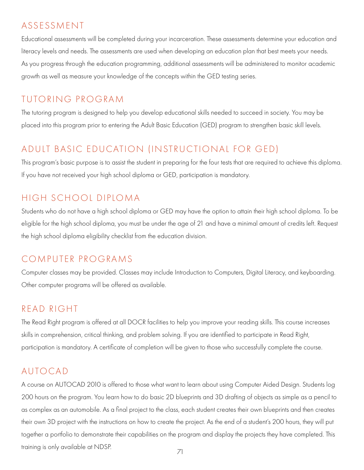### ASSESSMENT

Educational assessments will be completed during your incarceration. These assessments determine your education and literacy levels and needs. The assessments are used when developing an education plan that best meets your needs. As you progress through the education programming, additional assessments will be administered to monitor academic growth as well as measure your knowledge of the concepts within the GED testing series.

#### TUTORING PROGRAM

The tutoring program is designed to help you develop educational skills needed to succeed in society. You may be placed into this program prior to entering the Adult Basic Education (GED) program to strengthen basic skill levels.

# ADULT BASIC EDUCATION (INSTRUCTIONAL FOR GED)

This program's basic purpose is to assist the student in preparing for the four tests that are required to achieve this diploma. If you have not received your high school diploma or GED, participation is mandatory.

#### HIGH SCHOOL DIPLOMA

Students who do not have a high school diploma or GED may have the option to attain their high school diploma. To be eligible for the high school diploma, you must be under the age of 21 and have a minimal amount of credits left. Request the high school diploma eligibility checklist from the education division.

#### COMPUTER PROGRAMS

Computer classes may be provided. Classes may include Introduction to Computers, Digital Literacy, and keyboarding. Other computer programs will be offered as available.

#### READ RIGHT

The Read Right program is offered at all DOCR facilities to help you improve your reading skills. This course increases skills in comprehension, critical thinking, and problem solving. If you are identified to participate in Read Right, participation is mandatory. A certificate of completion will be given to those who successfully complete the course.

#### AUTOCAD

A course on AUTOCAD 2010 is offered to those what want to learn about using Computer Aided Design. Students log 200 hours on the program. You learn how to do basic 2D blueprints and 3D drafting of objects as simple as a pencil to as complex as an automobile. As a final project to the class, each student creates their own blueprints and then creates their own 3D project with the instructions on how to create the project. As the end of a student's 200 hours, they will put together a portfolio to demonstrate their capabilities on the program and display the projects they have completed. This training is only available at NDSP.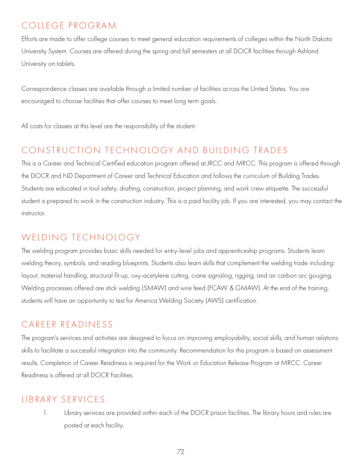# COLLEGE PROGRAM

Efforts are made to offer college courses to meet general education requirements of colleges within the North Dakota University System. Courses are offered during the spring and fall semesters at all DOCR facilities through Ashland University on tablets.

Correspondence classes are available through a limited number of facilities across the United States. You are encouraged to choose facilities that offer courses to meet long term goals.

All costs for classes at this level are the responsibility of the student.

# CONSTRUCTION TECHNOLOGY AND BUILDING TRADES

This is a Career and Technical Certified education program offered at JRCC and MRCC. This program is offered through the DOCR and ND Department of Career and Technical Education and follows the curriculum of Building Trades. Students are educated in tool safety, drafting, construction, project planning, and work crew etiquette. The successful student is prepared to work in the construction industry. This is a paid facility job. If you are interested, you may contact the instructor.

# WELDING TECHNOLOGY

The welding program provides basic skills needed for entry-level jobs and apprenticeship programs. Students learn welding theory, symbols, and reading blueprints. Students also learn skills that complement the welding trade including: layout, material handling, structural fit-up, oxy-acetylene cutting, crane signaling, rigging, and air carbon arc gouging. Welding processes offered are stick welding (SMAW) and wire feed (FCAW & GMAW). At the end of the training, students will have an opportunity to test for America Welding Society (AWS) certification.

## CAREER READINESS

The program's services and activities are designed to focus on improving employability, social skills, and human relations skills to facilitate a successful integration into the community. Recommendation for this program is based on assessment results. Completion of Career Readiness is required for the Work or Education Release Program at MRCC. Career Readiness is offered at all DOCR Facilities.

## LIBRARY SERVICES

1. Library services are provided within each of the DOCR prison facilities. The library hours and rules are posted at each facility.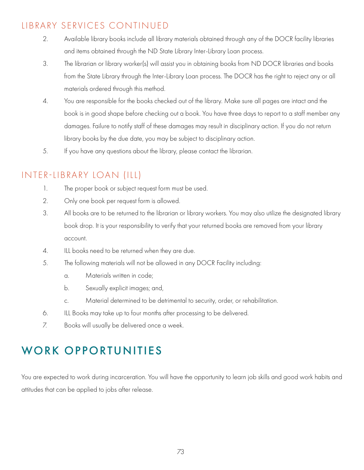### LIBRARY SERVICES CONTINUED

- 2. Available library books include all library materials obtained through any of the DOCR facility libraries and items obtained through the ND State Library Inter-Library Loan process.
- 3. The librarian or library worker(s) will assist you in obtaining books from ND DOCR libraries and books from the State Library through the Inter-Library Loan process. The DOCR has the right to reject any or all materials ordered through this method.
- 4. You are responsible for the books checked out of the library. Make sure all pages are intact and the book is in good shape before checking out a book. You have three days to report to a staff member any damages. Failure to notify staff of these damages may result in disciplinary action. If you do not return library books by the due date, you may be subject to disciplinary action.
- 5. If you have any questions about the library, please contact the librarian.

### INTER-LIBRARY LOAN (ILL)

- 1. The proper book or subject request form must be used.
- 2. Only one book per request form is allowed.
- 3. All books are to be returned to the librarian or library workers. You may also utilize the designated library book drop. It is your responsibility to verify that your returned books are removed from your library account.
- 4. ILL books need to be returned when they are due.
- 5. The following materials will not be allowed in any DOCR Facility including:
	- a. Materials written in code;
	- b. Sexually explicit images; and,
	- c. Material determined to be detrimental to security, order, or rehabilitation.
- 6. ILL Books may take up to four months after processing to be delivered.
- 7. Books will usually be delivered once a week.

# WORK OPPORTUNITIES

You are expected to work during incarceration. You will have the opportunity to learn job skills and good work habits and attitudes that can be applied to jobs after release.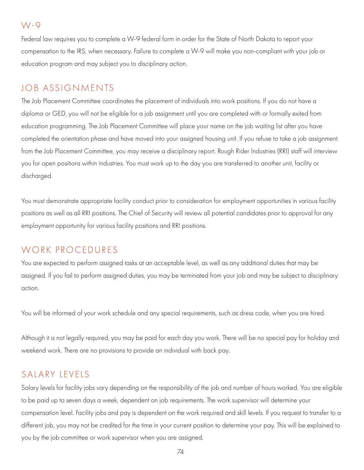#### W-9

Federal law requires you to complete a W-9 federal form in order for the State of North Dakota to report your compensation to the IRS, when necessary. Failure to complete a W-9 will make you non-compliant with your job or education program and may subject you to disciplinary action.

### JOB ASSIGNMENTS

The Job Placement Committee coordinates the placement of individuals into work positions. If you do not have a diploma or GED, you will not be eligible for a job assignment until you are completed with or formally exited from education programming. The Job Placement Committee will place your name on the job waiting list after you have completed the orientation phase and have moved into your assigned housing unit. If you refuse to take a job assignment from the Job Placement Committee, you may receive a disciplinary report. Rough Rider Industries (RRI) staff will interview you for open positions within industries. You must work up to the day you are transferred to another unit, facility or discharged.

You must demonstrate appropriate facility conduct prior to consideration for employment opportunities in various facility positions as well as all RRI positions. The Chief of Security will review all potential candidates prior to approval for any employment opportunity for various facility positions and RRI positions.

### WORK PROCEDURES

You are expected to perform assigned tasks at an acceptable level, as well as any additional duties that may be assigned. If you fail to perform assigned duties, you may be terminated from your job and may be subject to disciplinary action.

You will be informed of your work schedule and any special requirements, such as dress code, when you are hired.

Although it is not legally required, you may be paid for each day you work. There will be no special pay for holiday and weekend work. There are no provisions to provide an individual with back pay.

### SALARY LEVELS

Salary levels for facility jobs vary depending on the responsibility of the job and number of hours worked. You are eligible to be paid up to seven days a week, dependent on job requirements. The work supervisor will determine your compensation level. Facility jobs and pay is dependent on the work required and skill levels. If you request to transfer to a different job, you may not be credited for the time in your current position to determine your pay. This will be explained to you by the job committee or work supervisor when you are assigned.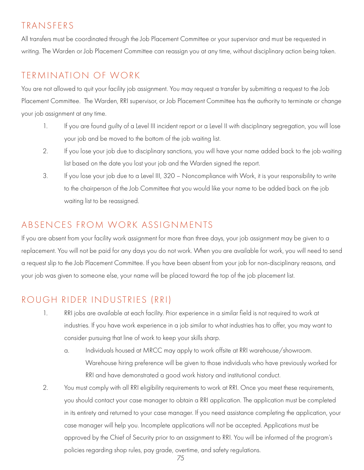### TRANSFERS

All transfers must be coordinated through the Job Placement Committee or your supervisor and must be requested in writing. The Warden or Job Placement Committee can reassign you at any time, without disciplinary action being taken.

# TERMINATION OF WORK

You are not allowed to quit your facility job assignment. You may request a transfer by submitting a request to the Job Placement Committee. The Warden, RRI supervisor, or Job Placement Committee has the authority to terminate or change your job assignment at any time.

- 1. If you are found guilty of a Level III incident report or a Level II with disciplinary segregation, you will lose your job and be moved to the bottom of the job waiting list.
- 2. If you lose your job due to disciplinary sanctions, you will have your name added back to the job waiting list based on the date you lost your job and the Warden signed the report.
- 3. If you lose your job due to a Level III, 320 Noncompliance with Work, it is your responsibility to write to the chairperson of the Job Committee that you would like your name to be added back on the job waiting list to be reassigned.

## ABSENCES FROM WORK ASSIGNMENTS

If you are absent from your facility work assignment for more than three days, your job assignment may be given to a replacement. You will not be paid for any days you do not work. When you are available for work, you will need to send a request slip to the Job Placement Committee. If you have been absent from your job for non-disciplinary reasons, and your job was given to someone else, your name will be placed toward the top of the job placement list.

# ROUGH RIDER INDUSTRIES (RRI)

- 1. RRI jobs are available at each facility. Prior experience in a similar field is not required to work at industries. If you have work experience in a job similar to what industries has to offer, you may want to consider pursuing that line of work to keep your skills sharp.
	- a. Individuals housed at MRCC may apply to work offsite at RRI warehouse/showroom. Warehouse hiring preference will be given to those individuals who have previously worked for RRI and have demonstrated a good work history and institutional conduct.
- 2. You must comply with all RRI eligibility requirements to work at RRI. Once you meet these requirements, you should contact your case manager to obtain a RRI application. The application must be completed in its entirety and returned to your case manager. If you need assistance completing the application, your case manager will help you. Incomplete applications will not be accepted. Applications must be approved by the Chief of Security prior to an assignment to RRI. You will be informed of the program's policies regarding shop rules, pay grade, overtime, and safety regulations.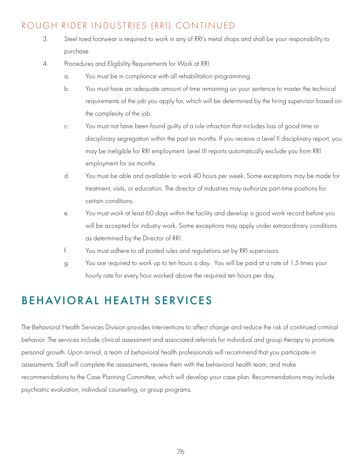# ROUGH RIDER INDUSTRIES (RRI) CONTINUED

- 3. Steel toed footwear is required to work in any of RRI's metal shops and shall be your responsibility to purchase.
- 4. Procedures and Eligibility Requirements for Work at RRI:
	- a. You must be in compliance with all rehabilitation programming.
	- b. You must have an adequate amount of time remaining on your sentence to master the technical requirements of the job you apply for, which will be determined by the hiring supervisor based on the complexity of the job.
	- c. You must not have been found guilty of a rule infraction that includes loss of good time or disciplinary segregation within the past six months. If you receive a Level II disciplinary report, you may be ineligible for RRI employment. Level III reports automatically exclude you from RRI employment for six months.
	- d. You must be able and available to work 40 hours per week. Some exceptions may be made for treatment, visits, or education. The director of industries may authorize part-time positions for certain conditions.
	- e. You must work at least 60 days within the facility and develop a good work record before you will be accepted for industry work. Some exceptions may apply under extraordinary conditions as determined by the Director of RRI.
	- f. You must adhere to all posted rules and regulations set by RRI supervisors.
	- g. You are required to work up to ten hours a day. You will be paid at a rate of 1.5 times your hourly rate for every hour worked above the required ten hours per day.

# BEHAVIORAL HEALTH SERVICES

The Behavioral Health Services Division provides interventions to affect change and reduce the risk of continued criminal behavior. The services include clinical assessment and associated referrals for individual and group therapy to promote personal growth. Upon arrival, a team of behavioral health professionals will recommend that you participate in assessments. Staff will complete the assessments, review them with the behavioral health team, and make recommendations to the Case Planning Committee, which will develop your case plan. Recommendations may include psychiatric evaluation, individual counseling, or group programs.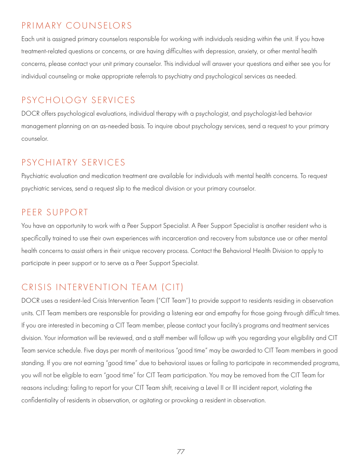### PRIMARY COUNSELORS

Each unit is assigned primary counselors responsible for working with individuals residing within the unit. If you have treatment-related questions or concerns, or are having difficulties with depression, anxiety, or other mental health concerns, please contact your unit primary counselor. This individual will answer your questions and either see you for individual counseling or make appropriate referrals to psychiatry and psychological services as needed.

### PSYCHOLOGY SERVICES

DOCR offers psychological evaluations, individual therapy with a psychologist, and psychologist-led behavior management planning on an as-needed basis. To inquire about psychology services, send a request to your primary counselor.

### PSYCHIATRY SERVICES

Psychiatric evaluation and medication treatment are available for individuals with mental health concerns. To request psychiatric services, send a request slip to the medical division or your primary counselor.

### PEER SUPPORT

You have an opportunity to work with a Peer Support Specialist. A Peer Support Specialist is another resident who is specifically trained to use their own experiences with incarceration and recovery from substance use or other mental health concerns to assist others in their unique recovery process. Contact the Behavioral Health Division to apply to participate in peer support or to serve as a Peer Support Specialist.

# CRISIS INTERVENTION TEAM (CIT)

DOCR uses a resident-led Crisis Intervention Team ("CIT Team") to provide support to residents residing in observation units. CIT Team members are responsible for providing a listening ear and empathy for those going through difficult times. If you are interested in becoming a CIT Team member, please contact your facility's programs and treatment services division. Your information will be reviewed, and a staff member will follow up with you regarding your eligibility and CIT Team service schedule. Five days per month of meritorious "good time" may be awarded to CIT Team members in good standing. If you are not earning "good time" due to behavioral issues or failing to participate in recommended programs, you will not be eligible to earn "good time" for CIT Team participation. You may be removed from the CIT Team for reasons including: failing to report for your CIT Team shift, receiving a Level II or III incident report, violating the confidentiality of residents in observation, or agitating or provoking a resident in observation.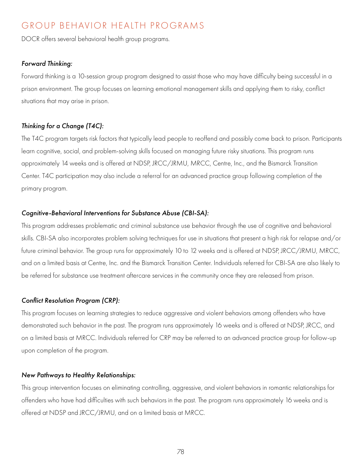### GROUP BEHAVIOR HEALTH PROGRAMS

DOCR offers several behavioral health group programs.

#### *Forward Thinking:*

Forward thinking is a 10-session group program designed to assist those who may have difficulty being successful in a prison environment. The group focuses on learning emotional management skills and applying them to risky, conflict situations that may arise in prison.

#### *Thinking for a Change (T4C):*

The T4C program targets risk factors that typically lead people to reoffend and possibly come back to prison. Participants learn cognitive, social, and problem-solving skills focused on managing future risky situations. This program runs approximately 14 weeks and is offered at NDSP, JRCC/JRMU, MRCC, Centre, Inc., and the Bismarck Transition Center. T4C participation may also include a referral for an advanced practice group following completion of the primary program.

#### *Cognitive-Behavioral Interventions for Substance Abuse (CBI-SA):*

This program addresses problematic and criminal substance use behavior through the use of cognitive and behavioral skills. CBI-SA also incorporates problem solving techniques for use in situations that present a high risk for relapse and/or future criminal behavior. The group runs for approximately 10 to 12 weeks and is offered at NDSP, JRCC/JRMU, MRCC, and on a limited basis at Centre, Inc. and the Bismarck Transition Center. Individuals referred for CBI-SA are also likely to be referred for substance use treatment aftercare services in the community once they are released from prison.

#### *Conflict Resolution Program (CRP):*

This program focuses on learning strategies to reduce aggressive and violent behaviors among offenders who have demonstrated such behavior in the past. The program runs approximately 16 weeks and is offered at NDSP, JRCC, and on a limited basis at MRCC. Individuals referred for CRP may be referred to an advanced practice group for follow-up upon completion of the program.

#### *New Pathways to Healthy Relationships:*

This group intervention focuses on eliminating controlling, aggressive, and violent behaviors in romantic relationships for offenders who have had difficulties with such behaviors in the past. The program runs approximately 16 weeks and is offered at NDSP and JRCC/JRMU, and on a limited basis at MRCC.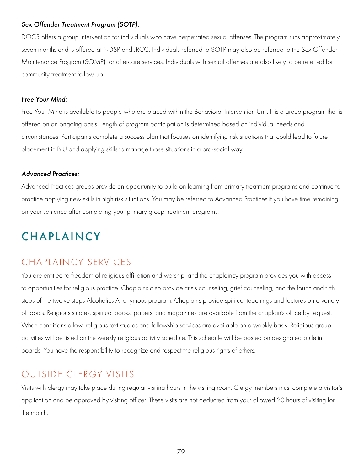#### *Sex Offender Treatment Program (SOTP):*

DOCR offers a group intervention for individuals who have perpetrated sexual offenses. The program runs approximately seven months and is offered at NDSP and JRCC. Individuals referred to SOTP may also be referred to the Sex Offender Maintenance Program (SOMP) for aftercare services. Individuals with sexual offenses are also likely to be referred for community treatment follow-up.

#### *Free Your Mind:*

Free Your Mind is available to people who are placed within the Behavioral Intervention Unit. It is a group program that is offered on an ongoing basis. Length of program participation is determined based on individual needs and circumstances. Participants complete a success plan that focuses on identifying risk situations that could lead to future placement in BIU and applying skills to manage those situations in a pro-social way.

#### *Advanced Practices:*

Advanced Practices groups provide an opportunity to build on learning from primary treatment programs and continue to practice applying new skills in high risk situations. You may be referred to Advanced Practices if you have time remaining on your sentence after completing your primary group treatment programs.

# **CHAPLAINCY**

### CHAPLAINCY SERVICES

You are entitled to freedom of religious affiliation and worship, and the chaplaincy program provides you with access to opportunities for religious practice. Chaplains also provide crisis counseling, grief counseling, and the fourth and fifth steps of the twelve steps Alcoholics Anonymous program. Chaplains provide spiritual teachings and lectures on a variety of topics. Religious studies, spiritual books, papers, and magazines are available from the chaplain's office by request. When conditions allow, religious text studies and fellowship services are available on a weekly basis. Religious group activities will be listed on the weekly religious activity schedule. This schedule will be posted on designated bulletin boards. You have the responsibility to recognize and respect the religious rights of others.

### OUTSIDE CLERGY VISITS

Visits with clergy may take place during regular visiting hours in the visiting room. Clergy members must complete a visitor's application and be approved by visiting officer. These visits are not deducted from your allowed 20 hours of visiting for the month.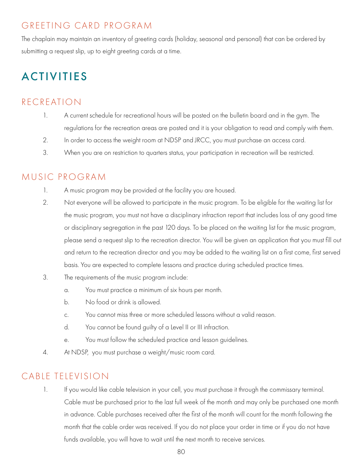# GREETING CARD PROGRAM

The chaplain may maintain an inventory of greeting cards (holiday, seasonal and personal) that can be ordered by submitting a request slip, up to eight greeting cards at a time.

# ACTIVITIES

# RECREATION

- 1. A current schedule for recreational hours will be posted on the bulletin board and in the gym. The regulations for the recreation areas are posted and it is your obligation to read and comply with them.
- 2. In order to access the weight room at NDSP and JRCC, you must purchase an access card.
- 3. When you are on restriction to quarters status, your participation in recreation will be restricted.

### MUSIC PROGRAM

- 1. A music program may be provided at the facility you are housed.
- 2. Not everyone will be allowed to participate in the music program. To be eligible for the waiting list for the music program, you must not have a disciplinary infraction report that includes loss of any good time or disciplinary segregation in the past 120 days. To be placed on the waiting list for the music program, please send a request slip to the recreation director. You will be given an application that you must fill out and return to the recreation director and you may be added to the waiting list on a first come, first served basis. You are expected to complete lessons and practice during scheduled practice times.
- 3. The requirements of the music program include:
	- a. You must practice a minimum of six hours per month.
	- b. No food or drink is allowed.
	- c. You cannot miss three or more scheduled lessons without a valid reason.
	- d. You cannot be found guilty of a Level II or III infraction.
	- e. You must follow the scheduled practice and lesson guidelines.
- 4. At NDSP, you must purchase a weight/music room card.

# CABLE TELEVISION

1. If you would like cable television in your cell, you must purchase it through the commissary terminal. Cable must be purchased prior to the last full week of the month and may only be purchased one month in advance. Cable purchases received after the first of the month will count for the month following the month that the cable order was received. If you do not place your order in time or if you do not have funds available, you will have to wait until the next month to receive services.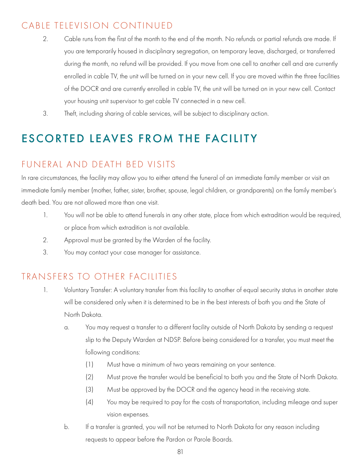## CABLE TELEVISION CONTINUED

- 2. Cable runs from the first of the month to the end of the month. No refunds or partial refunds are made. If you are temporarily housed in disciplinary segregation, on temporary leave, discharged, or transferred during the month, no refund will be provided. If you move from one cell to another cell and are currently enrolled in cable TV, the unit will be turned on in your new cell. If you are moved within the three facilities of the DOCR and are currently enrolled in cable TV, the unit will be turned on in your new cell. Contact your housing unit supervisor to get cable TV connected in a new cell.
- 3. Theft, including sharing of cable services, will be subject to disciplinary action.

# ESCORTED LEAVES FROM THE FACILITY

# FUNERAL AND DEATH BED VISITS

In rare circumstances, the facility may allow you to either attend the funeral of an immediate family member or visit an immediate family member (mother, father, sister, brother, spouse, legal children, or grandparents) on the family member's death bed. You are not allowed more than one visit.

- 1. You will not be able to attend funerals in any other state, place from which extradition would be required, or place from which extradition is not available.
- 2. Approval must be granted by the Warden of the facility.
- 3. You may contact your case manager for assistance.

# TRANSFERS TO OTHER FACILITIES

- 1. Voluntary Transfer: A voluntary transfer from this facility to another of equal security status in another state will be considered only when it is determined to be in the best interests of both you and the State of North Dakota.
	- a. You may request a transfer to a different facility outside of North Dakota by sending a request slip to the Deputy Warden at NDSP. Before being considered for a transfer, you must meet the following conditions:
		- (1) Must have a minimum of two years remaining on your sentence.
		- (2) Must prove the transfer would be beneficial to both you and the State of North Dakota.
		- (3) Must be approved by the DOCR and the agency head in the receiving state.
		- (4) You may be required to pay for the costs of transportation, including mileage and super vision expenses.
	- b. If a transfer is granted, you will not be returned to North Dakota for any reason including requests to appear before the Pardon or Parole Boards.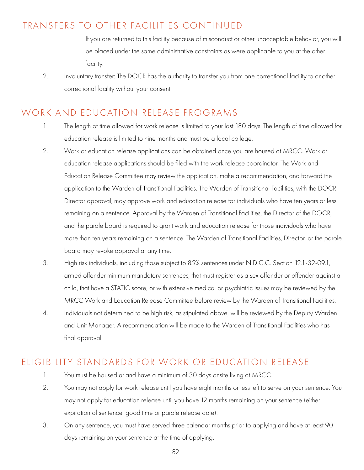### .TRANSFERS TO OTHER FACILITIES CONTINUED

 If you are returned to this facility because of misconduct or other unacceptable behavior, you will be placed under the same administrative constraints as were applicable to you at the other facility.

2. Involuntary transfer: The DOCR has the authority to transfer you from one correctional facility to another correctional facility without your consent.

### WORK AND EDUCATION RELEASE PROGRAMS

- 1. The length of time allowed for work release is limited to your last 180 days. The length of time allowed for education release is limited to nine months and must be a local college.
- 2. Work or education release applications can be obtained once you are housed at MRCC. Work or education release applications should be filed with the work release coordinator. The Work and Education Release Committee may review the application, make a recommendation, and forward the application to the Warden of Transitional Facilities. The Warden of Transitional Facilities, with the DOCR Director approval, may approve work and education release for individuals who have ten years or less remaining on a sentence. Approval by the Warden of Transitional Facilities, the Director of the DOCR, and the parole board is required to grant work and education release for those individuals who have more than ten years remaining on a sentence. The Warden of Transitional Facilities, Director, or the parole board may revoke approval at any time.
- 3. High risk individuals, including those subject to 85% sentences under N.D.C.C. Section 12.1-32-09.1, armed offender minimum mandatory sentences, that must register as a sex offender or offender against a child, that have a STATIC score, or with extensive medical or psychiatric issues may be reviewed by the MRCC Work and Education Release Committee before review by the Warden of Transitional Facilities.
- 4. Individuals not determined to be high risk, as stipulated above, will be reviewed by the Deputy Warden and Unit Manager. A recommendation will be made to the Warden of Transitional Facilities who has final approval.

### ELIGIBILITY STANDARDS FOR WORK OR EDUCATION RELEASE

- 1. You must be housed at and have a minimum of 30 days onsite living at MRCC.
- 2. You may not apply for work release until you have eight months or less left to serve on your sentence. You may not apply for education release until you have 12 months remaining on your sentence (either expiration of sentence, good time or parole release date).
- 3. On any sentence, you must have served three calendar months prior to applying and have at least 90 days remaining on your sentence at the time of applying.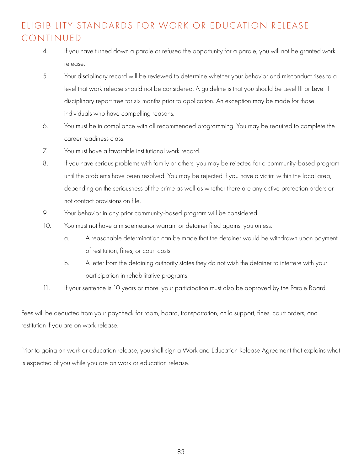# ELIGIBILITY STANDARDS FOR WORK OR EDUCATION RELEASE CONTINUED

- 4. If you have turned down a parole or refused the opportunity for a parole, you will not be granted work release.
- 5. Your disciplinary record will be reviewed to determine whether your behavior and misconduct rises to a level that work release should not be considered. A guideline is that you should be Level III or Level II disciplinary report free for six months prior to application. An exception may be made for those individuals who have compelling reasons.
- 6. You must be in compliance with all recommended programming. You may be required to complete the career readiness class.
- 7. You must have a favorable institutional work record.
- 8. If you have serious problems with family or others, you may be rejected for a community-based program until the problems have been resolved. You may be rejected if you have a victim within the local area, depending on the seriousness of the crime as well as whether there are any active protection orders or not contact provisions on file.
- 9. Your behavior in any prior community-based program will be considered.
- 10. You must not have a misdemeanor warrant or detainer filed against you unless:
	- a. A reasonable determination can be made that the detainer would be withdrawn upon payment of restitution, fines, or court costs.
	- b. A letter from the detaining authority states they do not wish the detainer to interfere with your participation in rehabilitative programs.
- 11. If your sentence is 10 years or more, your participation must also be approved by the Parole Board.

Fees will be deducted from your paycheck for room, board, transportation, child support, fines, court orders, and restitution if you are on work release.

Prior to going on work or education release, you shall sign a Work and Education Release Agreement that explains what is expected of you while you are on work or education release.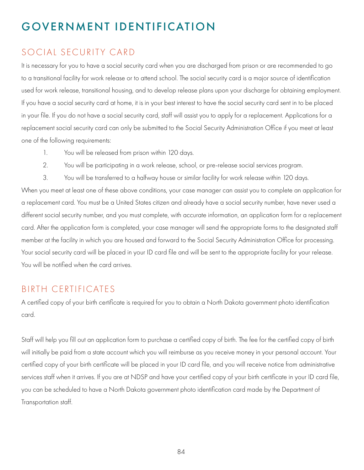# GOVERNMENT IDENTIFICATION

### SOCIAL SECURITY CARD

It is necessary for you to have a social security card when you are discharged from prison or are recommended to go to a transitional facility for work release or to attend school. The social security card is a major source of identification used for work release, transitional housing, and to develop release plans upon your discharge for obtaining employment. If you have a social security card at home, it is in your best interest to have the social security card sent in to be placed in your file. If you do not have a social security card, staff will assist you to apply for a replacement. Applications for a replacement social security card can only be submitted to the Social Security Administration Office if you meet at least one of the following requirements:

- 1. You will be released from prison within 120 days.
- 2. You will be participating in a work release, school, or pre-release social services program.
- 3. You will be transferred to a halfway house or similar facility for work release within 120 days.

When you meet at least one of these above conditions, your case manager can assist you to complete an application for a replacement card. You must be a United States citizen and already have a social security number, have never used a different social security number, and you must complete, with accurate information, an application form for a replacement card. After the application form is completed, your case manager will send the appropriate forms to the designated staff member at the facility in which you are housed and forward to the Social Security Administration Office for processing. Your social security card will be placed in your ID card file and will be sent to the appropriate facility for your release. You will be notified when the card arrives.

### BIRTH CERTIFICATES

A certified copy of your birth certificate is required for you to obtain a North Dakota government photo identification card.

Staff will help you fill out an application form to purchase a certified copy of birth. The fee for the certified copy of birth will initially be paid from a state account which you will reimburse as you receive money in your personal account. Your certified copy of your birth certificate will be placed in your ID card file, and you will receive notice from administrative services staff when it arrives. If you are at NDSP and have your certified copy of your birth certificate in your ID card file, you can be scheduled to have a North Dakota government photo identification card made by the Department of Transportation staff.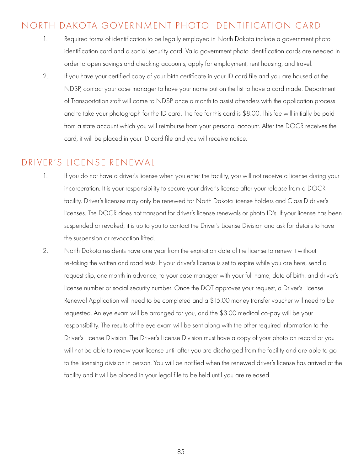### NORTH DAKOTA GOVERNMENT PHOTO IDENTIFICATION CARD

- 1. Required forms of identification to be legally employed in North Dakota include a government photo identification card and a social security card. Valid government photo identification cards are needed in order to open savings and checking accounts, apply for employment, rent housing, and travel.
- 2. If you have your certified copy of your birth certificate in your ID card file and you are housed at the NDSP, contact your case manager to have your name put on the list to have a card made. Department of Transportation staff will come to NDSP once a month to assist offenders with the application process and to take your photograph for the ID card. The fee for this card is \$8.00. This fee will initially be paid from a state account which you will reimburse from your personal account. After the DOCR receives the card, it will be placed in your ID card file and you will receive notice.

### DRIVER'S LICENSE RENEWAL

- 1. If you do not have a driver's license when you enter the facility, you will not receive a license during your incarceration. It is your responsibility to secure your driver's license after your release from a DOCR facility. Driver's licenses may only be renewed for North Dakota license holders and Class D driver's licenses. The DOCR does not transport for driver's license renewals or photo ID's. If your license has been suspended or revoked, it is up to you to contact the Driver's License Division and ask for details to have the suspension or revocation lifted.
- 2. North Dakota residents have one year from the expiration date of the license to renew it without re-taking the written and road tests. If your driver's license is set to expire while you are here, send a request slip, one month in advance, to your case manager with your full name, date of birth, and driver's license number or social security number. Once the DOT approves your request, a Driver's License Renewal Application will need to be completed and a \$15.00 money transfer voucher will need to be requested. An eye exam will be arranged for you, and the \$3.00 medical co-pay will be your responsibility. The results of the eye exam will be sent along with the other required information to the Driver's License Division. The Driver's License Division must have a copy of your photo on record or you will not be able to renew your license until after you are discharged from the facility and are able to go to the licensing division in person. You will be notified when the renewed driver's license has arrived at the facility and it will be placed in your legal file to be held until you are released.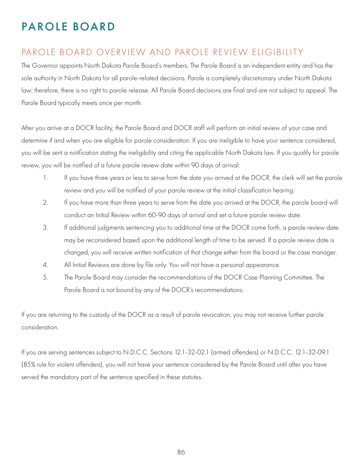# PAROLE BOARD

### PAROLE BOARD OVERVIEW AND PAROLE REVIEW ELIGIBILITY

The Governor appoints North Dakota Parole Board's members. The Parole Board is an independent entity and has the sole authority in North Dakota for all parole-related decisions. Parole is completely discretionary under North Dakota law; therefore, there is no right to parole release. All Parole Board decisions are final and are not subject to appeal. The Parole Board typically meets once per month.

After you arrive at a DOCR facility, the Parole Board and DOCR staff will perform an initial review of your case and determine if and when you are eligible for parole consideration. If you are ineligible to have your sentence considered, you will be sent a notification stating the ineligibility and citing the applicable North Dakota law. If you qualify for parole review, you will be notified of a future parole review date within 90 days of arrival:

- 1. If you have three years or less to serve from the date you arrived at the DOCR, the clerk will set the parole review and you will be notified of your parole review at the initial classification hearing.
- 2. If you have more than three years to serve from the date you arrived at the DOCR, the parole board will conduct an Initial Review within 60-90 days of arrival and set a future parole review date.
- 3. If additional judgments sentencing you to additional time at the DOCR come forth, a parole review date may be reconsidered based upon the additional length of time to be served. If a parole review date is changed, you will receive written notification of that change either from the board or the case manager.
- 4. All Initial Reviews are done by file only. You will not have a personal appearance.
- 5. The Parole Board may consider the recommendations of the DOCR Case Planning Committee. The Parole Board is not bound by any of the DOCR's recommendations.

If you are returning to the custody of the DOCR as a result of parole revocation, you may not receive further parole consideration.

If you are serving sentences subject to N.D.C.C. Sections 12.1-32-02.1 (armed offenders) or N.D.C.C. 12.1-32-09.1 (85% rule for violent offenders), you will not have your sentence considered by the Parole Board until after you have served the mandatory part of the sentence specified in these statutes.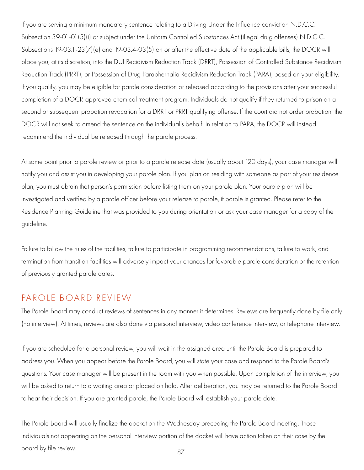If you are serving a minimum mandatory sentence relating to a Driving Under the Influence conviction N.D.C.C. Subsection 39-01-01(5)(i) or subject under the Uniform Controlled Substances Act (illegal drug offenses) N.D.C.C. Subsections 19-03.1-23(7)(e) and 19-03.4-03(5) on or after the effective date of the applicable bills, the DOCR will place you, at its discretion, into the DUI Recidivism Reduction Track (DRRT), Possession of Controlled Substance Recidivism Reduction Track (PRRT), or Possession of Drug Paraphernalia Recidivism Reduction Track (PARA), based on your eligibility. If you qualify, you may be eligible for parole consideration or released according to the provisions after your successful completion of a DOCR-approved chemical treatment program. Individuals do not qualify if they returned to prison on a second or subsequent probation revocation for a DRRT or PRRT qualifying offense. If the court did not order probation, the DOCR will not seek to amend the sentence on the individual's behalf. In relation to PARA, the DOCR will instead recommend the individual be released through the parole process.

At some point prior to parole review or prior to a parole release date (usually about 120 days), your case manager will notify you and assist you in developing your parole plan. If you plan on residing with someone as part of your residence plan, you must obtain that person's permission before listing them on your parole plan. Your parole plan will be investigated and verified by a parole officer before your release to parole, if parole is granted. Please refer to the Residence Planning Guideline that was provided to you during orientation or ask your case manager for a copy of the guideline.

Failure to follow the rules of the facilities, failure to participate in programming recommendations, failure to work, and termination from transition facilities will adversely impact your chances for favorable parole consideration or the retention of previously granted parole dates.

#### PAROLE BOARD REVIEW

The Parole Board may conduct reviews of sentences in any manner it determines. Reviews are frequently done by file only (no interview). At times, reviews are also done via personal interview, video conference interview, or telephone interview.

If you are scheduled for a personal review, you will wait in the assigned area until the Parole Board is prepared to address you. When you appear before the Parole Board, you will state your case and respond to the Parole Board's questions. Your case manager will be present in the room with you when possible. Upon completion of the interview, you will be asked to return to a waiting area or placed on hold. After deliberation, you may be returned to the Parole Board to hear their decision. If you are granted parole, the Parole Board will establish your parole date.

The Parole Board will usually finalize the docket on the Wednesday preceding the Parole Board meeting. Those individuals not appearing on the personal interview portion of the docket will have action taken on their case by the board by file review.  $87$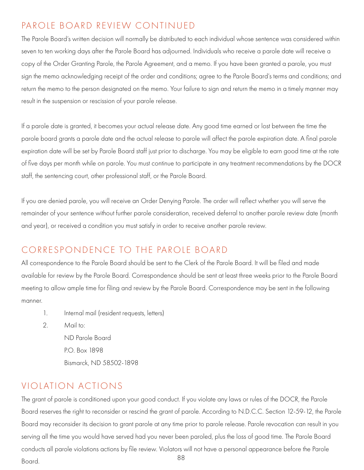## PAROLE BOARD REVIEW CONTINUED

The Parole Board's written decision will normally be distributed to each individual whose sentence was considered within seven to ten working days after the Parole Board has adjourned. Individuals who receive a parole date will receive a copy of the Order Granting Parole, the Parole Agreement, and a memo. If you have been granted a parole, you must sign the memo acknowledging receipt of the order and conditions; agree to the Parole Board's terms and conditions; and return the memo to the person designated on the memo. Your failure to sign and return the memo in a timely manner may result in the suspension or rescission of your parole release.

If a parole date is granted, it becomes your actual release date. Any good time earned or lost between the time the parole board grants a parole date and the actual release to parole will affect the parole expiration date. A final parole expiration date will be set by Parole Board staff just prior to discharge. You may be eligible to earn good time at the rate of five days per month while on parole. You must continue to participate in any treatment recommendations by the DOCR staff, the sentencing court, other professional staff, or the Parole Board.

If you are denied parole, you will receive an Order Denying Parole. The order will reflect whether you will serve the remainder of your sentence without further parole consideration, received deferral to another parole review date (month and year), or received a condition you must satisfy in order to receive another parole review.

### CORRESPONDENCE TO THE PAROLE BOARD

All correspondence to the Parole Board should be sent to the Clerk of the Parole Board. It will be filed and made available for review by the Parole Board. Correspondence should be sent at least three weeks prior to the Parole Board meeting to allow ample time for filing and review by the Parole Board. Correspondence may be sent in the following manner.

- 1. Internal mail (resident requests, letters)
- 2. Mail to: ND Parole Board

 P.O. Box 1898 Bismarck, ND 58502-1898

### VIOLATION ACTIONS

The grant of parole is conditioned upon your good conduct. If you violate any laws or rules of the DOCR, the Parole Board reserves the right to reconsider or rescind the grant of parole. According to N.D.C.C. Section 12-59-12, the Parole Board may reconsider its decision to grant parole at any time prior to parole release. Parole revocation can result in you serving all the time you would have served had you never been paroled, plus the loss of good time. The Parole Board conducts all parole violations actions by file review. Violators will not have a personal appearance before the Parole Board. <sup>88</sup>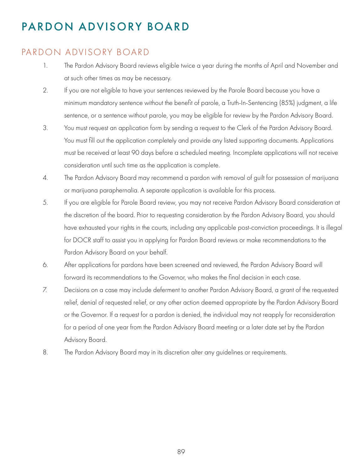# PARDON ADVISORY BOARD

### PARDON ADVISORY BOARD

- 1. The Pardon Advisory Board reviews eligible twice a year during the months of April and November and at such other times as may be necessary.
- 2. If you are not eligible to have your sentences reviewed by the Parole Board because you have a minimum mandatory sentence without the benefit of parole, a Truth-In-Sentencing (85%) judgment, a life sentence, or a sentence without parole, you may be eligible for review by the Pardon Advisory Board.
- 3. You must request an application form by sending a request to the Clerk of the Pardon Advisory Board. You must fill out the application completely and provide any listed supporting documents. Applications must be received at least 90 days before a scheduled meeting. Incomplete applications will not receive consideration until such time as the application is complete.
- 4. The Pardon Advisory Board may recommend a pardon with removal of guilt for possession of marijuana or marijuana paraphernalia. A separate application is available for this process.
- 5. If you are eligible for Parole Board review, you may not receive Pardon Advisory Board consideration at the discretion of the board. Prior to requesting consideration by the Pardon Advisory Board, you should have exhausted your rights in the courts, including any applicable post-conviction proceedings. It is illegal for DOCR staff to assist you in applying for Pardon Board reviews or make recommendations to the Pardon Advisory Board on your behalf.
- 6. After applications for pardons have been screened and reviewed, the Pardon Advisory Board will forward its recommendations to the Governor, who makes the final decision in each case.
- 7. Decisions on a case may include deferment to another Pardon Advisory Board, a grant of the requested relief, denial of requested relief, or any other action deemed appropriate by the Pardon Advisory Board or the Governor. If a request for a pardon is denied, the individual may not reapply for reconsideration for a period of one year from the Pardon Advisory Board meeting or a later date set by the Pardon Advisory Board.
- 8. The Pardon Advisory Board may in its discretion alter any guidelines or requirements.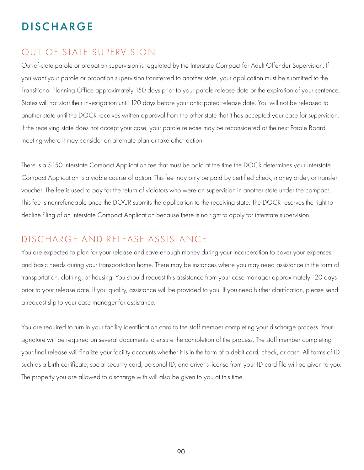# **DISCHARGE**

### OUT OF STATE SUPERVISION

Out-of-state parole or probation supervision is regulated by the Interstate Compact for Adult Offender Supervision. If you want your parole or probation supervision transferred to another state, your application must be submitted to the Transitional Planning Office approximately 150 days prior to your parole release date or the expiration of your sentence. States will not start their investigation until 120 days before your anticipated release date. You will not be released to another state until the DOCR receives written approval from the other state that it has accepted your case for supervision. If the receiving state does not accept your case, your parole release may be reconsidered at the next Parole Board meeting where it may consider an alternate plan or take other action.

There is a \$150 Interstate Compact Application fee that must be paid at the time the DOCR determines your Interstate Compact Application is a viable course of action. This fee may only be paid by certified check, money order, or transfer voucher. The fee is used to pay for the return of violators who were on supervision in another state under the compact. This fee is nonrefundable once the DOCR submits the application to the receiving state. The DOCR reserves the right to decline filing of an Interstate Compact Application because there is no right to apply for interstate supervision.

### DISCHARGE AND RELEASE ASSISTANCE

You are expected to plan for your release and save enough money during your incarceration to cover your expenses and basic needs during your transportation home. There may be instances where you may need assistance in the form of transportation, clothing, or housing. You should request this assistance from your case manager approximately 120 days prior to your release date. If you qualify, assistance will be provided to you. If you need further clarification, please send a request slip to your case manager for assistance.

You are required to turn in your facility identification card to the staff member completing your discharge process. Your signature will be required on several documents to ensure the completion of the process. The staff member completing your final release will finalize your facility accounts whether it is in the form of a debit card, check, or cash. All forms of ID such as a birth certificate, social security card, personal ID, and driver's license from your ID card file will be given to you. The property you are allowed to discharge with will also be given to you at this time.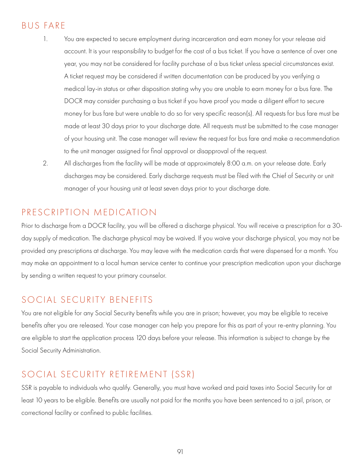### BUS FARE

- 1. You are expected to secure employment during incarceration and earn money for your release aid account. It is your responsibility to budget for the cost of a bus ticket. If you have a sentence of over one year, you may not be considered for facility purchase of a bus ticket unless special circumstances exist. A ticket request may be considered if written documentation can be produced by you verifying a medical lay-in status or other disposition stating why you are unable to earn money for a bus fare. The DOCR may consider purchasing a bus ticket if you have proof you made a diligent effort to secure money for bus fare but were unable to do so for very specific reason(s). All requests for bus fare must be made at least 30 days prior to your discharge date. All requests must be submitted to the case manager of your housing unit. The case manager will review the request for bus fare and make a recommendation to the unit manager assigned for final approval or disapproval of the request.
- 2. All discharges from the facility will be made at approximately 8:00 a.m. on your release date. Early discharges may be considered. Early discharge requests must be filed with the Chief of Security or unit manager of your housing unit at least seven days prior to your discharge date.

### PRESCRIPTION MEDICATION

Prior to discharge from a DOCR facility, you will be offered a discharge physical. You will receive a prescription for a 30 day supply of medication. The discharge physical may be waived. If you waive your discharge physical, you may not be provided any prescriptions at discharge. You may leave with the medication cards that were dispensed for a month. You may make an appointment to a local human service center to continue your prescription medication upon your discharge by sending a written request to your primary counselor.

### SOCIAL SECURITY BENEFITS

You are not eligible for any Social Security benefits while you are in prison; however, you may be eligible to receive benefits after you are released. Your case manager can help you prepare for this as part of your re-entry planning. You are eligible to start the application process 120 days before your release. This information is subject to change by the Social Security Administration.

### SOCIAL SECURITY RETIREMENT (SSR)

SSR is payable to individuals who qualify. Generally, you must have worked and paid taxes into Social Security for at least 10 years to be eligible. Benefits are usually not paid for the months you have been sentenced to a jail, prison, or correctional facility or confined to public facilities.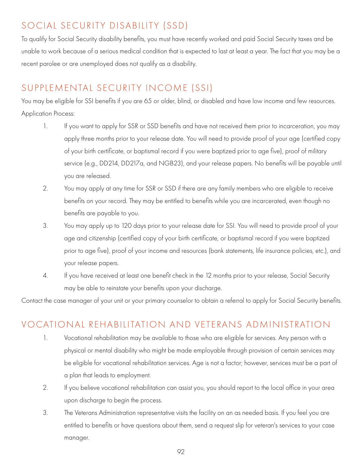# SOCIAL SECURITY DISABILITY (SSD)

To qualify for Social Security disability benefits, you must have recently worked and paid Social Security taxes and be unable to work because of a serious medical condition that is expected to last at least a year. The fact that you may be a recent parolee or are unemployed does not qualify as a disability.

# SUPPLEMENTAL SECURITY INCOME (SSI)

You may be eligible for SSI benefits if you are 65 or older, blind, or disabled and have low income and few resources. Application Process:

- 1. If you want to apply for SSR or SSD benefits and have not received them prior to incarceration, you may apply three months prior to your release date. You will need to provide proof of your age (certified copy of your birth certificate, or baptismal record if you were baptized prior to age five), proof of military service (e.g., DD214, DD217a, and NGB23), and your release papers. No benefits will be payable until you are released.
- 2. You may apply at any time for SSR or SSD if there are any family members who are eligible to receive benefits on your record. They may be entitled to benefits while you are incarcerated, even though no benefits are payable to you.
- 3. You may apply up to 120 days prior to your release date for SSI. You will need to provide proof of your age and citizenship (certified copy of your birth certificate, or baptismal record if you were baptized prior to age five), proof of your income and resources (bank statements, life insurance policies, etc.), and your release papers.
- 4. If you have received at least one benefit check in the 12 months prior to your release, Social Security may be able to reinstate your benefits upon your discharge.

Contact the case manager of your unit or your primary counselor to obtain a referral to apply for Social Security benefits.

### VOCATIONAL REHABILITATION AND VETERANS ADMINISTRATION

- 1. Vocational rehabilitation may be available to those who are eligible for services. Any person with a physical or mental disability who might be made employable through provision of certain services may be eligible for vocational rehabilitation services. Age is not a factor; however, services must be a part of a plan that leads to employment.
- 2. If you believe vocational rehabilitation can assist you, you should report to the local office in your area upon discharge to begin the process.
- 3. The Veterans Administration representative visits the facility on an as needed basis. If you feel you are entitled to benefits or have questions about them, send a request slip for veteran's services to your case manager.